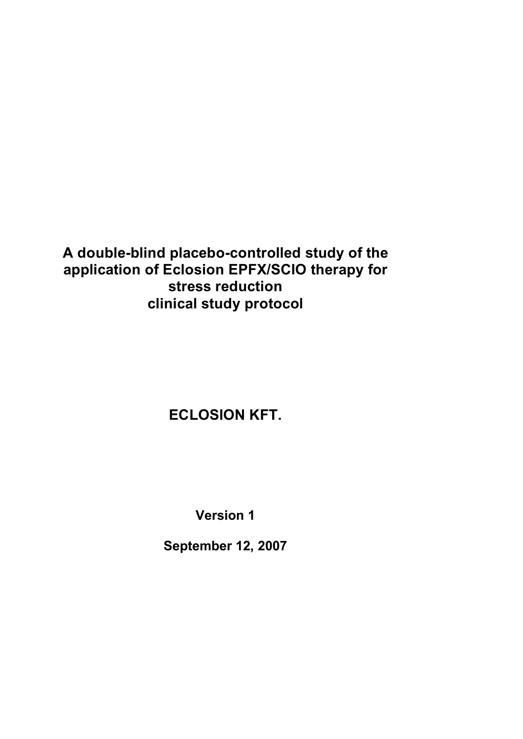# **A double-blind placebo-controlled study of the application of Eclosion EPFX/SCIO therapy for stress reduction clinical study protocol**

# **ECLOSION KFT.**

**Version 1** 

**September 12, 2007**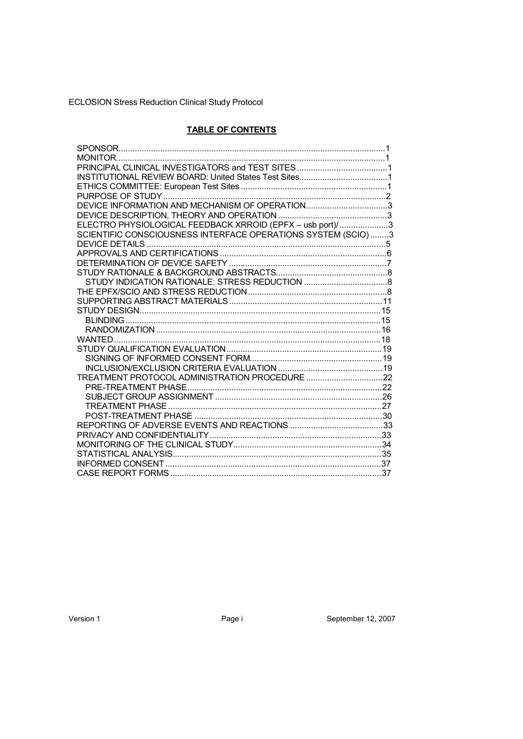# **TABLE OF CONTENTS**

| DEVICE INFORMATION AND MECHANISM OF OPERATION3               |  |
|--------------------------------------------------------------|--|
|                                                              |  |
| ELECTRO PHYSIOLOGICAL FEEDBACK XRROID (EPFX - usb port)/3    |  |
| SCIENTIFIC CONSCIOUSNESS INTERFACE OPERATIONS SYSTEM (SCIO)3 |  |
|                                                              |  |
|                                                              |  |
|                                                              |  |
|                                                              |  |
|                                                              |  |
|                                                              |  |
|                                                              |  |
|                                                              |  |
|                                                              |  |
|                                                              |  |
|                                                              |  |
|                                                              |  |
|                                                              |  |
|                                                              |  |
|                                                              |  |
|                                                              |  |
|                                                              |  |
|                                                              |  |
|                                                              |  |
|                                                              |  |
|                                                              |  |
|                                                              |  |
|                                                              |  |
|                                                              |  |
|                                                              |  |

Page i

September 12, 2007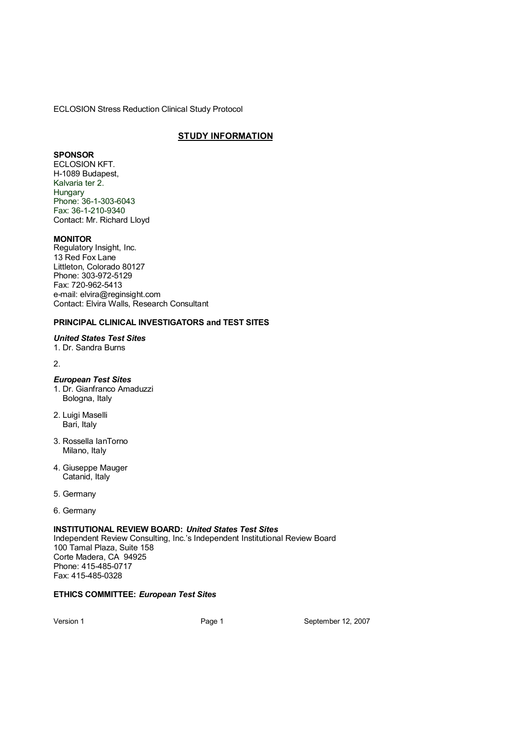# **STUDY INFORMATION**

#### **SPONSOR**

ECLOSION KFT. H-1089 Budapest, Kalvaria ter 2. **Hungary** Phone: 36-1-303-6043 Fax: 36-1-210-9340 Contact: Mr. Richard Lloyd

#### **MONITOR**

Regulatory Insight, Inc. 13 Red Fox Lane Littleton, Colorado 80127 Phone: 303-972-5129 Fax: 720-962-5413 [e-mail: elvira@reginsight.com](mailto:elvira@reginsight.com )  Contact: Elvira Walls, Research Consultant

#### **PRINCIPAL CLINICAL INVESTIGATORS and TEST SITES**

#### *United States Test Sites*

1. Dr. Sandra Burns

#### 2.

# *European Test Sites*

- 1. Dr. Gianfranco Amaduzzi Bologna, Italy
- 2. Luigi Maselli Bari, Italy
- 3. Rossella IanTorno Milano, Italy
- 4. Giuseppe Mauger Catanid, Italy
- 5. Germany
- 6. Germany

#### **INSTITUTIONAL REVIEW BOARD:** *United States Test Sites*

Independent Review Consulting, Inc.'s Independent Institutional Review Board 100 Tamal Plaza, Suite 158 Corte Madera, CA 94925 Phone: 415-485-0717 Fax: 415-485-0328

#### **ETHICS COMMITTEE:** *European Test Sites*

Version 1 Page 1 September 12, 2007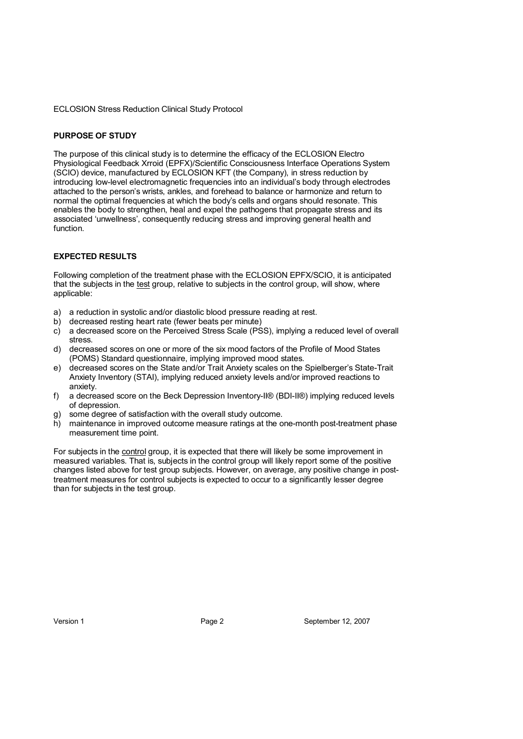#### **PURPOSE OF STUDY**

The purpose of this clinical study is to determine the efficacy of the ECLOSION Electro Physiological Feedback Xrroid (EPFX)/Scientific Consciousness Interface Operations System (SCIO) device, manufactured by ECLOSION KFT (the Company), in stress reduction by introducing low-level electromagnetic frequencies into an individual's body through electrodes attached to the person's wrists, ankles, and forehead to balance or harmonize and return to normal the optimal frequencies at which the body's cells and organs should resonate. This enables the body to strengthen, heal and expel the pathogens that propagate stress and its associated 'unwellness', consequently reducing stress and improving general health and function.

#### **EXPECTED RESULTS**

Following completion of the treatment phase with the ECLOSION EPFX/SCIO, it is anticipated that the subjects in the test group, relative to subjects in the control group, will show, where applicable:

- a) a reduction in systolic and/or diastolic blood pressure reading at rest.
- b) decreased resting heart rate (fewer beats per minute)
- c) a decreased score on the Perceived Stress Scale (PSS), implying a reduced level of overall stress.
- d) decreased scores on one or more of the six mood factors of the Profile of Mood States (POMS) Standard questionnaire, implying improved mood states.
- e) decreased scores on the State and/or Trait Anxiety scales on the Spielberger's State-Trait Anxiety Inventory (STAI), implying reduced anxiety levels and/or improved reactions to anxiety.
- f) a decreased score on the Beck Depression Inventory-II® (BDI-II®) implying reduced levels of depression.
- g) some degree of satisfaction with the overall study outcome.
- h) maintenance in improved outcome measure ratings at the one-month post-treatment phase measurement time point.

For subjects in the control group, it is expected that there will likely be some improvement in measured variables. That is, subjects in the control group will likely report some of the positive changes listed above for test group subjects. However, on average, any positive change in posttreatment measures for control subjects is expected to occur to a significantly lesser degree than for subjects in the test group.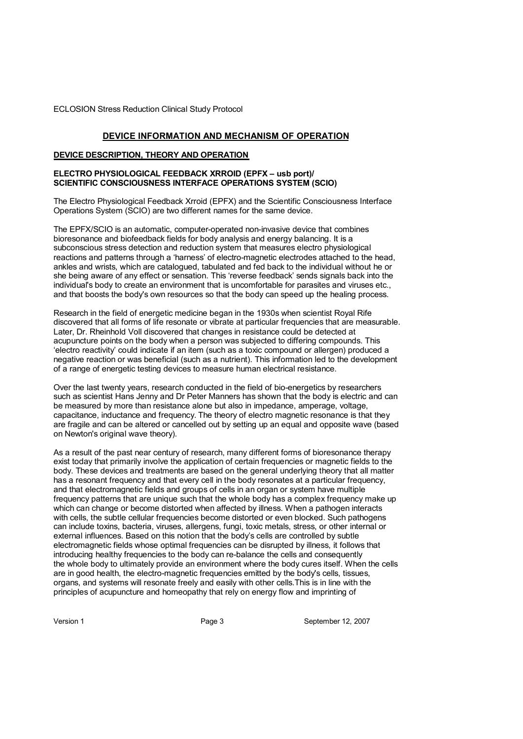#### **DEVICE INFORMATION AND MECHANISM OF OPERATION**

#### **DEVICE DESCRIPTION, THEORY AND OPERATION**

#### **ELECTRO PHYSIOLOGICAL FEEDBACK XRROID (EPFX – usb port)/ SCIENTIFIC CONSCIOUSNESS INTERFACE OPERATIONS SYSTEM (SCIO)**

The Electro Physiological Feedback Xrroid (EPFX) and the Scientific Consciousness Interface Operations System (SCIO) are two different names for the same device.

The EPFX/SCIO is an automatic, computer-operated non-invasive device that combines bioresonance and biofeedback fields for body analysis and energy balancing. It is a subconscious stress detection and reduction system that measures electro physiological reactions and patterns through a 'harness' of electro-magnetic electrodes attached to the head, ankles and wrists, which are catalogued, tabulated and fed back to the individual without he or she being aware of any effect or sensation. This 'reverse feedback' sends signals back into the individual's body to create an environment that is uncomfortable for parasites and viruses etc., and that boosts the body's own resources so that the body can speed up the healing process.

Research in the field of energetic medicine began in the 1930s when scientist Royal Rife discovered that all forms of life resonate or vibrate at particular frequencies that are measurable. Later, Dr. Rheinhold Voll discovered that changes in resistance could be detected at acupuncture points on the body when a person was subjected to differing compounds. This 'electro reactivity' could indicate if an item (such as a toxic compound or allergen) produced a negative reaction or was beneficial (such as a nutrient). This information led to the development of a range of energetic testing devices to measure human electrical resistance.

Over the last twenty years, research conducted in the field of bio-energetics by researchers such as scientist Hans Jenny and Dr Peter Manners has shown that the body is electric and can be measured by more than resistance alone but also in impedance, amperage, voltage, capacitance, inductance and frequency. The theory of electro magnetic resonance is that they are fragile and can be altered or cancelled out by setting up an equal and opposite wave (based on Newton's original wave theory).

As a result of the past near century of research, many different forms of bioresonance therapy exist today that primarily involve the application of certain frequencies or magnetic fields to the body. These devices and treatments are based on the general underlying theory that all matter has a resonant frequency and that every cell in the body resonates at a particular frequency. and that electromagnetic fields and groups of cells in an organ or system have multiple frequency patterns that are unique such that the whole body has a complex frequency make up which can change or become distorted when affected by illness. When a pathogen interacts with cells, the subtle cellular frequencies become distorted or even blocked. Such pathogens can include toxins, bacteria, viruses, allergens, fungi, toxic metals, stress, or other internal or external influences. Based on this notion that the body's cells are controlled by subtle electromagnetic fields whose optimal frequencies can be disrupted by illness, it follows that introducing healthy frequencies to the body can re-balance the cells and consequently the whole body to ultimately provide an environment where the body cures itself. When the cells are in good health, the electro-magnetic frequencies emitted by the body's cells, tissues, organs, and systems will resonate freely and easily with other cells.This is in line with the principles of acupuncture and homeopathy that rely on energy flow and imprinting of

Version 1 **Page 3** Page 3 September 12, 2007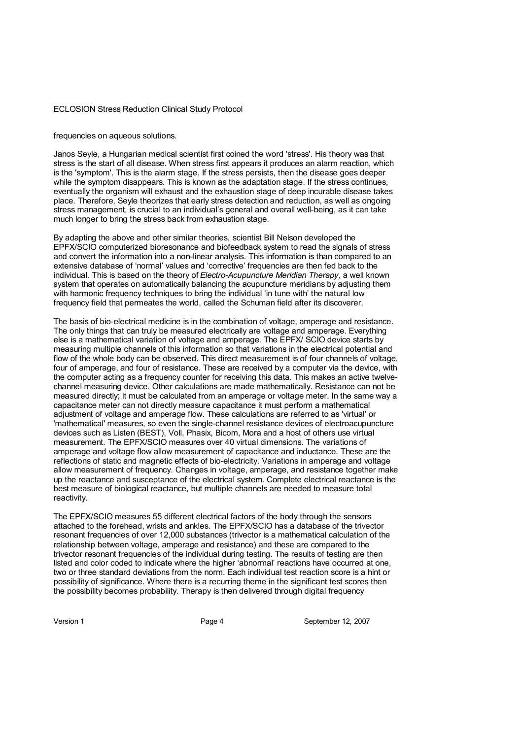frequencies on aqueous solutions.

Janos Seyle, a Hungarian medical scientist first coined the word 'stress'. His theory was that stress is the start of all disease. When stress first appears it produces an alarm reaction, which is the 'symptom'. This is the alarm stage. If the stress persists, then the disease goes deeper while the symptom disappears. This is known as the adaptation stage. If the stress continues, eventually the organism will exhaust and the exhaustion stage of deep incurable disease takes place. Therefore, Seyle theorizes that early stress detection and reduction, as well as ongoing stress management, is crucial to an individual's general and overall well-being, as it can take much longer to bring the stress back from exhaustion stage.

By adapting the above and other similar theories, scientist Bill Nelson developed the EPFX/SCIO computerized bioresonance and biofeedback system to read the signals of stress and convert the information into a non-linear analysis. This information is than compared to an extensive database of 'normal' values and 'corrective' frequencies are then fed back to the individual. This is based on the theory of *Electro-Acupuncture Meridian Therapy*, a well known system that operates on automatically balancing the acupuncture meridians by adjusting them with harmonic frequency techniques to bring the individual 'in tune with' the natural low frequency field that permeates the world, called the Schuman field after its discoverer.

The basis of bio-electrical medicine is in the combination of voltage, amperage and resistance. The only things that can truly be measured electrically are voltage and amperage. Everything else is a mathematical variation of voltage and amperage. The EPFX/ SCIO device starts by measuring multiple channels of this information so that variations in the electrical potential and flow of the whole body can be observed. This direct measurement is of four channels of voltage, four of amperage, and four of resistance. These are received by a computer via the device, with the computer acting as a frequency counter for receiving this data. This makes an active twelvechannel measuring device. Other calculations are made mathematically. Resistance can not be measured directly; it must be calculated from an amperage or voltage meter. In the same way a capacitance meter can not directly measure capacitance it must perform a mathematical adjustment of voltage and amperage flow. These calculations are referred to as 'virtual' or 'mathematical' measures, so even the single-channel resistance devices of electroacupuncture devices such as Listen (BEST), Voll, Phasix, Bicom, Mora and a host of others use virtual measurement. The EPFX/SCIO measures over 40 virtual dimensions. The variations of amperage and voltage flow allow measurement of capacitance and inductance. These are the reflections of static and magnetic effects of bio-electricity. Variations in amperage and voltage allow measurement of frequency. Changes in voltage, amperage, and resistance together make up the reactance and susceptance of the electrical system. Complete electrical reactance is the best measure of biological reactance, but multiple channels are needed to measure total reactivity.

The EPFX/SCIO measures 55 different electrical factors of the body through the sensors attached to the forehead, wrists and ankles. The EPFX/SCIO has a database of the trivector resonant frequencies of over 12,000 substances (trivector is a mathematical calculation of the relationship between voltage, amperage and resistance) and these are compared to the trivector resonant frequencies of the individual during testing. The results of testing are then listed and color coded to indicate where the higher 'abnormal' reactions have occurred at one, two or three standard deviations from the norm. Each individual test reaction score is a hint or possibility of significance. Where there is a recurring theme in the significant test scores then the possibility becomes probability. Therapy is then delivered through digital frequency

Version 1 **Page 4** Page 4 September 12, 2007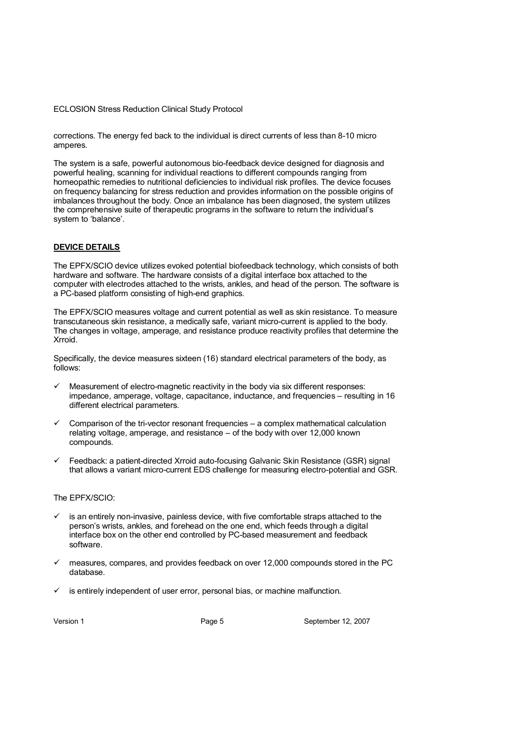corrections. The energy fed back to the individual is direct currents of less than 8-10 micro amperes.

The system is a safe, powerful autonomous bio-feedback device designed for diagnosis and powerful healing, scanning for individual reactions to different compounds ranging from homeopathic remedies to nutritional deficiencies to individual risk profiles. The device focuses on frequency balancing for stress reduction and provides information on the possible origins of imbalances throughout the body. Once an imbalance has been diagnosed, the system utilizes the comprehensive suite of therapeutic programs in the software to return the individual's system to 'balance'.

#### **DEVICE DETAILS**

The EPFX/SCIO device utilizes evoked potential biofeedback technology, which consists of both hardware and software. The hardware consists of a digital interface box attached to the computer with electrodes attached to the wrists, ankles, and head of the person. The software is a PC-based platform consisting of high-end graphics.

The EPFX/SCIO measures voltage and current potential as well as skin resistance. To measure transcutaneous skin resistance, a medically safe, variant micro-current is applied to the body. The changes in voltage, amperage, and resistance produce reactivity profiles that determine the Xrroid.

Specifically, the device measures sixteen (16) standard electrical parameters of the body, as follows:

- Measurement of electro-magnetic reactivity in the body via six different responses: impedance, amperage, voltage, capacitance, inductance, and frequencies – resulting in 16 different electrical parameters.
- Comparison of the tri-vector resonant frequencies a complex mathematical calculation relating voltage, amperage, and resistance – of the body with over 12,000 known compounds.
- Feedback: a patient-directed Xrroid auto-focusing Galvanic Skin Resistance (GSR) signal that allows a variant micro-current EDS challenge for measuring electro-potential and GSR.

#### The EPFX/SCIO:

- is an entirely non-invasive, painless device, with five comfortable straps attached to the person's wrists, ankles, and forehead on the one end, which feeds through a digital interface box on the other end controlled by PC-based measurement and feedback software.
- measures, compares, and provides feedback on over 12,000 compounds stored in the PC database.
- is entirely independent of user error, personal bias, or machine malfunction.

Version 1 **Page 5** Page 5 September 12, 2007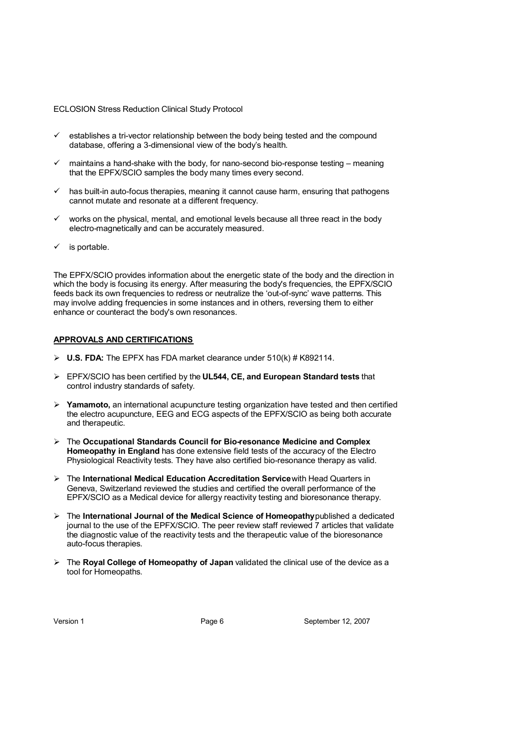- establishes a tri-vector relationship between the body being tested and the compound database, offering a 3-dimensional view of the body's health.
- maintains a hand-shake with the body, for nano-second bio-response testing meaning that the EPFX/SCIO samples the body many times every second.
- $\checkmark$  has built-in auto-focus therapies, meaning it cannot cause harm, ensuring that pathogens cannot mutate and resonate at a different frequency.
- works on the physical, mental, and emotional levels because all three react in the body electro-magnetically and can be accurately measured.
- is portable.

The EPFX/SCIO provides information about the energetic state of the body and the direction in which the body is focusing its energy. After measuring the body's frequencies, the EPFX/SCIO feeds back its own frequencies to redress or neutralize the 'out-of-sync' wave patterns. This may involve adding frequencies in some instances and in others, reversing them to either enhance or counteract the body's own resonances.

#### **APPROVALS AND CERTIFICATIONS**

- $\triangleright$  **U.S. FDA:** The EPFX has FDA market clearance under 510(k) # K892114.
- EPFX/SCIO has been certified by the **UL544, CE, and European Standard tests** that control industry standards of safety.
- **Yamamoto,** an international acupuncture testing organization have tested and then certified the electro acupuncture, EEG and ECG aspects of the EPFX/SCIO as being both accurate and therapeutic.
- The **Occupational Standards Council for Bio-resonance Medicine and Complex Homeopathy in England** has done extensive field tests of the accuracy of the Electro Physiological Reactivity tests. They have also certified bio-resonance therapy as valid.
- The **International Medical Education Accreditation Service** with Head Quarters in Geneva, Switzerland reviewed the studies and certified the overall performance of the EPFX/SCIO as a Medical device for allergy reactivity testing and bioresonance therapy.
- The **International Journal of the Medical Science of Homeopathy** published a dedicated journal to the use of the EPFX/SCIO. The peer review staff reviewed 7 articles that validate the diagnostic value of the reactivity tests and the therapeutic value of the bioresonance auto-focus therapies.
- The **Royal College of Homeopathy of Japan** validated the clinical use of the device as a tool for Homeopaths.

Version 1 **Page 6** Page 6 September 12, 2007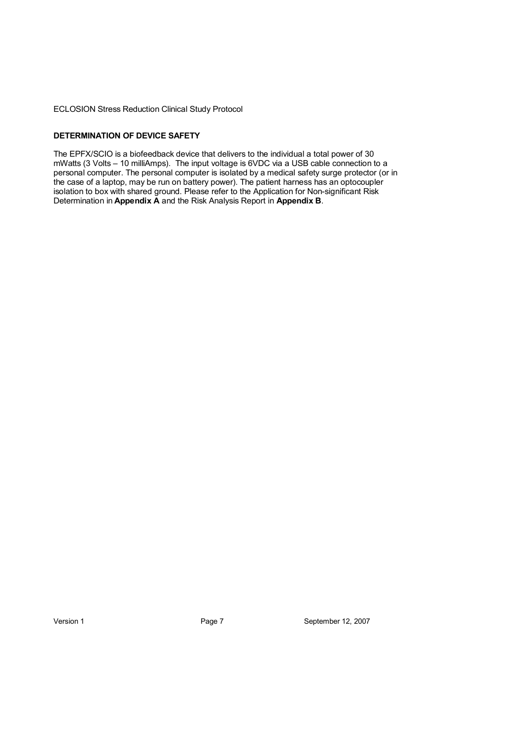#### **DETERMINATION OF DEVICE SAFETY**

The EPFX/SCIO is a biofeedback device that delivers to the individual a total power of 30 mWatts (3 Volts – 10 milliAmps). The input voltage is 6VDC via a USB cable connection to a personal computer. The personal computer is isolated by a medical safety surge protector (or in the case of a laptop, may be run on battery power). The patient harness has an optocoupler isolation to box with shared ground. Please refer to the Application for Non-significant Risk Determination in **Appendix A** and the Risk Analysis Report in **Appendix B**.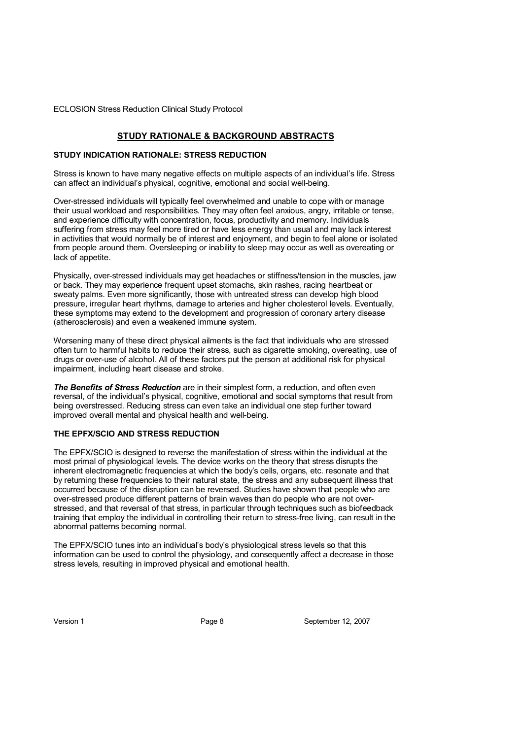## **STUDY RATIONALE & BACKGROUND ABSTRACTS**

#### **STUDY INDICATION RATIONALE: STRESS REDUCTION**

Stress is known to have many negative effects on multiple aspects of an individual's life. Stress can affect an individual's physical, cognitive, emotional and social well-being.

Over-stressed individuals will typically feel overwhelmed and unable to cope with or manage their usual workload and responsibilities. They may often feel anxious, angry, irritable or tense, and experience difficulty with concentration, focus, productivity and memory. Individuals suffering from stress may feel more tired or have less energy than usual and may lack interest in activities that would normally be of interest and enjoyment, and begin to feel alone or isolated from people around them. Oversleeping or inability to sleep may occur as well as overeating or lack of appetite.

Physically, over-stressed individuals may get headaches or stiffness/tension in the muscles, jaw or back. They may experience frequent upset stomachs, skin rashes, racing heartbeat or sweaty palms. Even more significantly, those with untreated stress can develop high blood pressure, irregular heart rhythms, damage to arteries and higher cholesterol levels. Eventually, these symptoms may extend to the development and progression of coronary artery disease (atherosclerosis) and even a weakened immune system.

Worsening many of these direct physical ailments is the fact that individuals who are stressed often turn to harmful habits to reduce their stress, such as cigarette smoking, overeating, use of drugs or over-use of alcohol. All of these factors put the person at additional risk for physical impairment, including heart disease and stroke.

**The Benefits of Stress Reduction** are in their simplest form, a reduction, and often even reversal, of the individual's physical, cognitive, emotional and social symptoms that result from being overstressed. Reducing stress can even take an individual one step further toward improved overall mental and physical health and well-being.

#### **THE EPFX/SCIO AND STRESS REDUCTION**

The EPFX/SCIO is designed to reverse the manifestation of stress within the individual at the most primal of physiological levels. The device works on the theory that stress disrupts the inherent electromagnetic frequencies at which the body's cells, organs, etc. resonate and that by returning these frequencies to their natural state, the stress and any subsequent illness that occurred because of the disruption can be reversed. Studies have shown that people who are over-stressed produce different patterns of brain waves than do people who are not overstressed, and that reversal of that stress, in particular through techniques such as biofeedback training that employ the individual in controlling their return to stress-free living, can result in the abnormal patterns becoming normal.

The EPFX/SCIO tunes into an individual's body's physiological stress levels so that this information can be used to control the physiology, and consequently affect a decrease in those stress levels, resulting in improved physical and emotional health.

Version 1 **Page 8** Page 8 September 12, 2007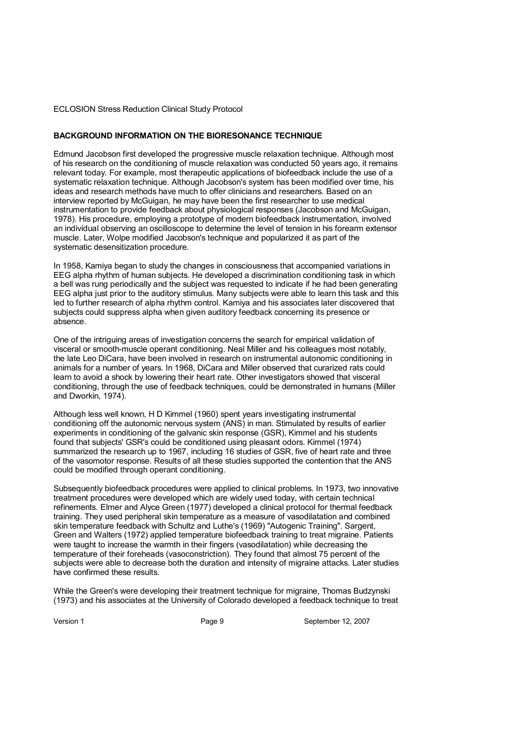#### **BACKGROUND INFORMATION ON THE BIORESONANCE TECHNIQUE**

Edmund Jacobson first developed the progressive muscle relaxation technique. Although most of his research on the conditioning of muscle relaxation was conducted 50 years ago, it remains relevant today. For example, most therapeutic applications of biofeedback include the use of a systematic relaxation technique. Although Jacobson's system has been modified over time, his ideas and research methods have much to offer clinicians and researchers. Based on an interview reported by McGuigan, he may have been the first researcher to use medical instrumentation to provide feedback about physiological responses (Jacobson and McGuigan, 1978). His procedure, employing a prototype of modern biofeedback instrumentation, involved an individual observing an oscilloscope to determine the level of tension in his forearm extensor muscle. Later, Wolpe modified Jacobson's technique and popularized it as part of the systematic desensitization procedure.

In 1958, Kamiya began to study the changes in consciousness that accompanied variations in EEG alpha rhythm of human subjects. He developed a discrimination conditioning task in which a bell was rung periodically and the subject was requested to indicate if he had been generating EEG alpha just prior to the auditory stimulus. Many subjects were able to learn this task and this led to further research of alpha rhythm control. Kamiya and his associates later discovered that subjects could suppress alpha when given auditory feedback concerning its presence or absence.

One of the intriguing areas of investigation concerns the search for empirical validation of visceral or smooth-muscle operant conditioning. Neal Miller and his colleagues most notably, the late Leo DiCara, have been involved in research on instrumental autonomic conditioning in animals for a number of years. In 1968, DiCara and Miller observed that curarized rats could learn to avoid a shock by lowering their heart rate. Other investigators showed that visceral conditioning, through the use of feedback techniques, could be demonstrated in humans (Miller and Dworkin, 1974).

Although less well known, H D Kimmel (1960) spent years investigating instrumental conditioning off the autonomic nervous system (ANS) in man. Stimulated by results of earlier experiments in conditioning of the galvanic skin response (GSR), Kimmel and his students found that subjects' GSR's could be conditioned using pleasant odors. Kimmel (1974) summarized the research up to 1967, including 16 studies of GSR, five of heart rate and three of the vasomotor response. Results of all these studies supported the contention that the ANS could be modified through operant conditioning.

Subsequently biofeedback procedures were applied to clinical problems. In 1973, two innovative treatment procedures were developed which are widely used today, with certain technical refinements. Elmer and Alyce Green (1977) developed a clinical protocol for thermal feedback training. They used peripheral skin temperature as a measure of vasodilatation and combined skin temperature feedback with Schultz and Luthe's (1969) "Autogenic Training". Sargent, Green and Walters (1972) applied temperature biofeedback training to treat migraine. Patients were taught to increase the warmth in their fingers (vasodilatation) while decreasing the temperature of their foreheads (vasoconstriction). They found that almost 75 percent of the subjects were able to decrease both the duration and intensity of migraine attacks. Later studies have confirmed these results.

While the Green's were developing their treatment technique for migraine, Thomas Budzynski (1973) and his associates at the University of Colorado developed a feedback technique to treat

Version 1 **Page 9** Page 9 September 12, 2007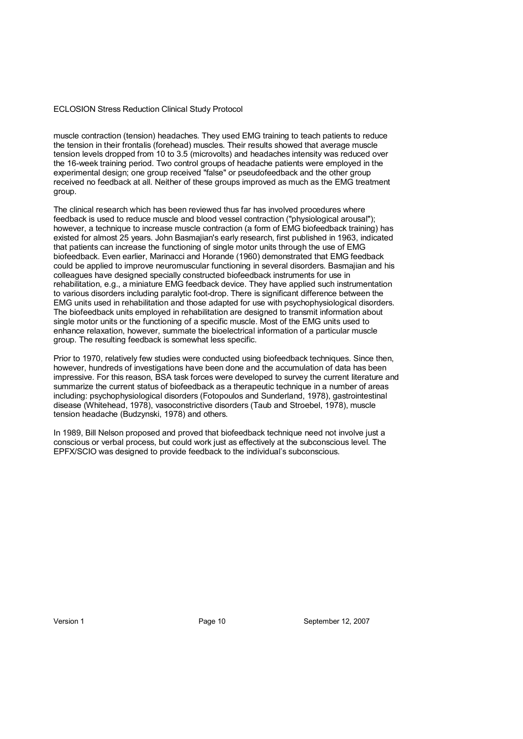muscle contraction (tension) headaches. They used EMG training to teach patients to reduce the tension in their frontalis (forehead) muscles. Their results showed that average muscle tension levels dropped from 10 to 3.5 (microvolts) and headaches intensity was reduced over the 16-week training period. Two control groups of headache patients were employed in the experimental design; one group received "false" or pseudofeedback and the other group received no feedback at all. Neither of these groups improved as much as the EMG treatment group.

The clinical research which has been reviewed thus far has involved procedures where feedback is used to reduce muscle and blood vessel contraction ("physiological arousal"); however, a technique to increase muscle contraction (a form of EMG biofeedback training) has existed for almost 25 years. John Basmajian's early research, first published in 1963, indicated that patients can increase the functioning of single motor units through the use of EMG biofeedback. Even earlier, Marinacci and Horande (1960) demonstrated that EMG feedback could be applied to improve neuromuscular functioning in several disorders. Basmajian and his colleagues have designed specially constructed biofeedback instruments for use in rehabilitation, e.g., a miniature EMG feedback device. They have applied such instrumentation to various disorders including paralytic foot-drop. There is significant difference between the EMG units used in rehabilitation and those adapted for use with psychophysiological disorders. The biofeedback units employed in rehabilitation are designed to transmit information about single motor units or the functioning of a specific muscle. Most of the EMG units used to enhance relaxation, however, summate the bioelectrical information of a particular muscle group. The resulting feedback is somewhat less specific.

Prior to 1970, relatively few studies were conducted using biofeedback techniques. Since then, however, hundreds of investigations have been done and the accumulation of data has been impressive. For this reason, BSA task forces were developed to survey the current literature and summarize the current status of biofeedback as a therapeutic technique in a number of areas including: psychophysiological disorders (Fotopoulos and Sunderland, 1978), gastrointestinal disease (Whitehead, 1978), vasoconstrictive disorders (Taub and Stroebel, 1978), muscle tension headache (Budzynski, 1978) and others.

In 1989, Bill Nelson proposed and proved that biofeedback technique need not involve just a conscious or verbal process, but could work just as effectively at the subconscious level. The EPFX/SCIO was designed to provide feedback to the individual's subconscious.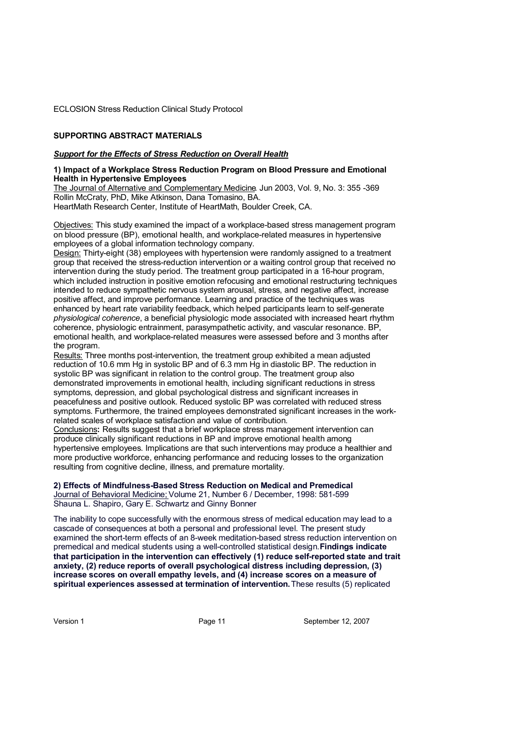#### **SUPPORTING ABSTRACT MATERIALS**

#### *Support for the Effects of Stress Reduction on Overall Health*

#### **1) Impact of a Workplace Stress Reduction Program on Blood Pressure and Emotional Health in Hypertensive Employees**

The Journal of Alternative and Complementary Medicine. Jun 2003, Vol. 9, No. 3: 355 -369 Rollin McCraty, PhD, Mike Atkinson, Dana Tomasino, BA. HeartMath Research Center, Institute of HeartMath, Boulder Creek, CA.

Objectives: This study examined the impact of a workplace-based stress management program on blood pressure (BP), emotional health, and workplace-related measures in hypertensive employees of a global information technology company.

Design: Thirty-eight (38) employees with hypertension were randomly assigned to a treatment group that received the stress-reduction intervention or a waiting control group that received no intervention during the study period. The treatment group participated in a 16-hour program, which included instruction in positive emotion refocusing and emotional restructuring techniques intended to reduce sympathetic nervous system arousal, stress, and negative affect, increase positive affect, and improve performance. Learning and practice of the techniques was enhanced by heart rate variability feedback, which helped participants learn to self-generate *physiological coherence*, a beneficial physiologic mode associated with increased heart rhythm coherence, physiologic entrainment, parasympathetic activity, and vascular resonance. BP, emotional health, and workplace-related measures were assessed before and 3 months after the program.

Results: Three months post-intervention, the treatment group exhibited a mean adjusted reduction of 10.6 mm Hg in systolic BP and of 6.3 mm Hg in diastolic BP. The reduction in systolic BP was significant in relation to the control group. The treatment group also demonstrated improvements in emotional health, including significant reductions in stress symptoms, depression, and global psychological distress and significant increases in peacefulness and positive outlook. Reduced systolic BP was correlated with reduced stress symptoms. Furthermore, the trained employees demonstrated significant increases in the workrelated scales of workplace satisfaction and value of contribution.

Conclusions**:** Results suggest that a brief workplace stress management intervention can produce clinically significant reductions in BP and improve emotional health among hypertensive employees. Implications are that such interventions may produce a healthier and more productive workforce, enhancing performance and reducing losses to the organization resulting from cognitive decline, illness, and premature mortality.

**2) Effects of Mindfulness-Based Stress Reduction on Medical and Premedical**  Journal of Behavioral Medicine; Volume 21, Number 6 / December, 1998: 581-599 Shauna L. Shapiro, Gary E. Schwartz and Ginny Bonner

The inability to cope successfully with the enormous stress of medical education may lead to a cascade of consequences at both a personal and professional level. The present study examined the short-term effects of an 8-week meditation-based stress reduction intervention on premedical and medical students using a well-controlled statistical design. **Findings indicate that participation in the intervention can effectively (1) reduce self-reported state and trait anxiety, (2) reduce reports of overall psychological distress including depression, (3) increase scores on overall empathy levels, and (4) increase scores on a measure of spiritual experiences assessed at termination of intervention.** These results (5) replicated

Version 1 **Page 11** Page 11 September 12, 2007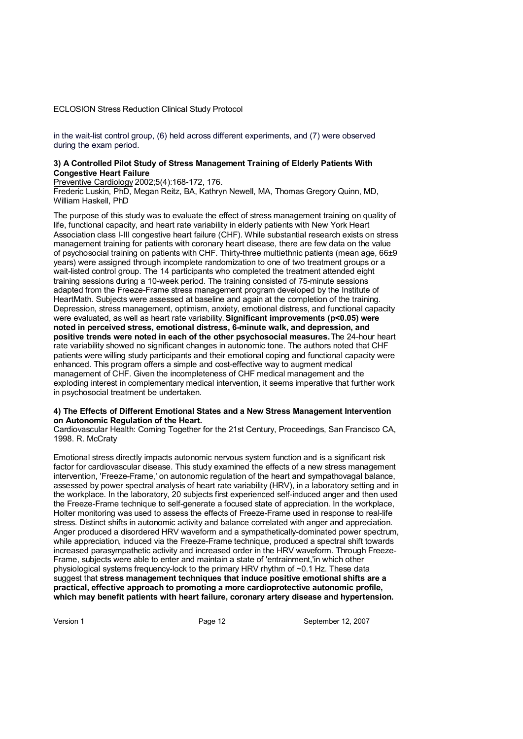in the wait-list control group, (6) held across different experiments, and (7) were observed during the exam period.

#### **3) A Controlled Pilot Study of Stress Management Training of Elderly Patients With Congestive Heart Failure**

Preventive Cardiology 2002;5(4):168-172, 176.

Frederic Luskin, PhD, Megan Reitz, BA, Kathryn Newell, MA, Thomas Gregory Quinn, MD, William Haskell, PhD

The purpose of this study was to evaluate the effect of stress management training on quality of life, functional capacity, and heart rate variability in elderly patients with New York Heart Association class I-III congestive heart failure (CHF). While substantial research exists on stress management training for patients with coronary heart disease, there are few data on the value of psychosocial training on patients with CHF. Thirty-three multiethnic patients (mean age, 66±9 years) were assigned through incomplete randomization to one of two treatment groups or a wait-listed control group. The 14 participants who completed the treatment attended eight training sessions during a 10-week period. The training consisted of 75-minute sessions adapted from the Freeze-Frame stress management program developed by the Institute of HeartMath. Subjects were assessed at baseline and again at the completion of the training. Depression, stress management, optimism, anxiety, emotional distress, and functional capacity were evaluated, as well as heart rate variability. **Significant improvements (p<0.05) were noted in perceived stress, emotional distress, 6-minute walk, and depression, and positive trends were noted in each of the other psychosocial measures.** The 24-hour heart rate variability showed no significant changes in autonomic tone. The authors noted that CHF patients were willing study participants and their emotional coping and functional capacity were enhanced. This program offers a simple and cost-effective way to augment medical management of CHF. Given the incompleteness of CHF medical management and the exploding interest in complementary medical intervention, it seems imperative that further work in psychosocial treatment be undertaken.

#### **4) The Effects of Different Emotional States and a New Stress Management Intervention on Autonomic Regulation of the Heart.**

Cardiovascular Health: Coming Together for the 21st Century, Proceedings, San Francisco CA, 1998. R. McCraty

Emotional stress directly impacts autonomic nervous system function and is a significant risk factor for cardiovascular disease. This study examined the effects of a new stress management intervention, 'Freeze-Frame,' on autonomic regulation of the heart and sympathovagal balance, assessed by power spectral analysis of heart rate variability (HRV), in a laboratory setting and in the workplace. In the laboratory, 20 subjects first experienced self-induced anger and then used the Freeze-Frame technique to self-generate a focused state of appreciation. In the workplace, Holter monitoring was used to assess the effects of Freeze-Frame used in response to real-life stress. Distinct shifts in autonomic activity and balance correlated with anger and appreciation. Anger produced a disordered HRV waveform and a sympathetically-dominated power spectrum, while appreciation, induced via the Freeze-Frame technique, produced a spectral shift towards increased parasympathetic activity and increased order in the HRV waveform. Through Freeze-Frame, subjects were able to enter and maintain a state of 'entrainment,'in which other physiological systems frequency-lock to the primary HRV rhythm of ~0.1 Hz. These data suggest that **stress management techniques that induce positive emotional shifts are a practical, effective approach to promoting a more cardioprotective autonomic profile, which may benefit patients with heart failure, coronary artery disease and hypertension.**

Version 1 **Page 12** Page 12 September 12, 2007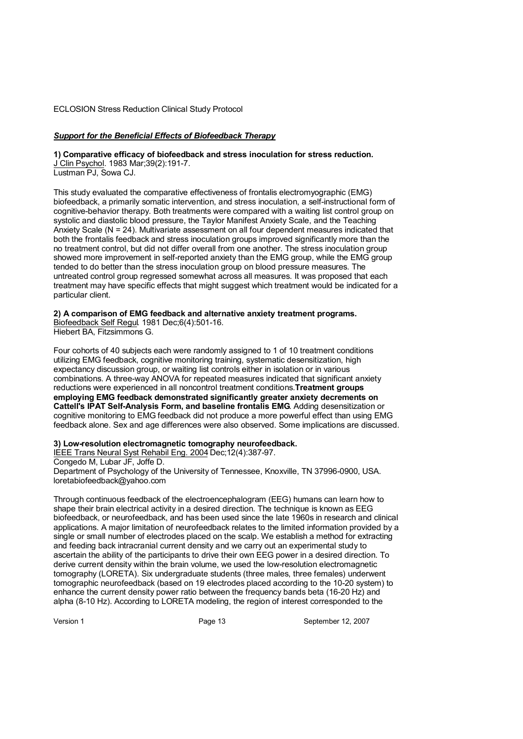#### *Support for the Beneficial Effects of Biofeedback Therapy*

**1) Comparative efficacy of biofeedback and stress inoculation for stress reduction.** 

J Clin Psychol. 1983 Mar;39(2):191-7. Lustman PJ, Sowa CJ.

This study evaluated the comparative effectiveness of frontalis electromyographic (EMG) biofeedback, a primarily somatic intervention, and stress inoculation, a self-instructional form of cognitive-behavior therapy. Both treatments were compared with a waiting list control group on systolic and diastolic blood pressure, the Taylor Manifest Anxiety Scale, and the Teaching Anxiety Scale (N = 24). Multivariate assessment on all four dependent measures indicated that both the frontalis feedback and stress inoculation groups improved significantly more than the no treatment control, but did not differ overall from one another. The stress inoculation group showed more improvement in self-reported anxiety than the EMG group, while the EMG group tended to do better than the stress inoculation group on blood pressure measures. The untreated control group regressed somewhat across all measures. It was proposed that each treatment may have specific effects that might suggest which treatment would be indicated for a particular client.

#### **2) A comparison of EMG feedback and alternative anxiety treatment programs.**

Biofeedback Self Regul. 1981 Dec;6(4):501-16. Hiebert BA, Fitzsimmons G.

Four cohorts of 40 subjects each were randomly assigned to 1 of 10 treatment conditions utilizing EMG feedback, cognitive monitoring training, systematic desensitization, high expectancy discussion group, or waiting list controls either in isolation or in various combinations. A three-way ANOVA for repeated measures indicated that significant anxiety reductions were experienced in all noncontrol treatment conditions. **Treatment groups employing EMG feedback demonstrated significantly greater anxiety decrements on Cattell's IPAT Self-Analysis Form, and baseline frontalis EMG**. Adding desensitization or cognitive monitoring to EMG feedback did not produce a more powerful effect than using EMG feedback alone. Sex and age differences were also observed. Some implications are discussed.

#### **3) Low-resolution electromagnetic tomography neurofeedback.**

IEEE Trans Neural Syst Rehabil Eng. 2004 Dec;12(4):387-97.

Congedo M, Lubar JF, Joffe D.

Department of Psychology of the University of Tennessee, Knoxville, TN 37996-0900, USA. [loretabiofeedback@yahoo.com](mailto:loretabiofeedback@yahoo.com ) 

Through continuous feedback of the electroencephalogram (EEG) humans can learn how to shape their brain electrical activity in a desired direction. The technique is known as EEG biofeedback, or neurofeedback, and has been used since the late 1960s in research and clinical applications. A major limitation of neurofeedback relates to the limited information provided by a single or small number of electrodes placed on the scalp. We establish a method for extracting and feeding back intracranial current density and we carry out an experimental study to ascertain the ability of the participants to drive their own EEG power in a desired direction. To derive current density within the brain volume, we used the low-resolution electromagnetic tomography (LORETA). Six undergraduate students (three males, three females) underwent tomographic neurofeedback (based on 19 electrodes placed according to the 10-20 system) to enhance the current density power ratio between the frequency bands beta (16-20 Hz) and alpha (8-10 Hz). According to LORETA modeling, the region of interest corresponded to the

Version 1 **Page 13** Page 13 September 12, 2007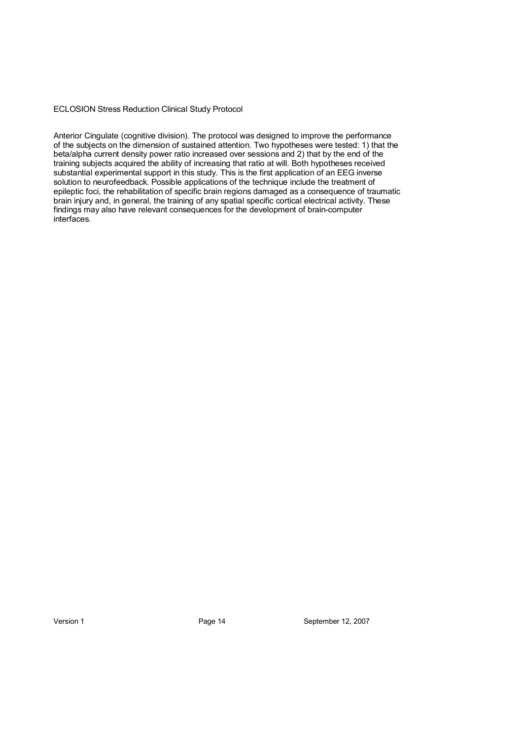Anterior Cingulate (cognitive division). The protocol was designed to improve the performance of the subjects on the dimension of sustained attention. Two hypotheses were tested: 1) that the beta/alpha current density power ratio increased over sessions and 2) that by the end of the training subjects acquired the ability of increasing that ratio at will. Both hypotheses received substantial experimental support in this study. This is the first application of an EEG inverse solution to neurofeedback. Possible applications of the technique include the treatment of epileptic foci, the rehabilitation of specific brain regions damaged as a consequence of traumatic brain injury and, in general, the training of any spatial specific cortical electrical activity. These findings may also have relevant consequences for the development of brain-computer interfaces.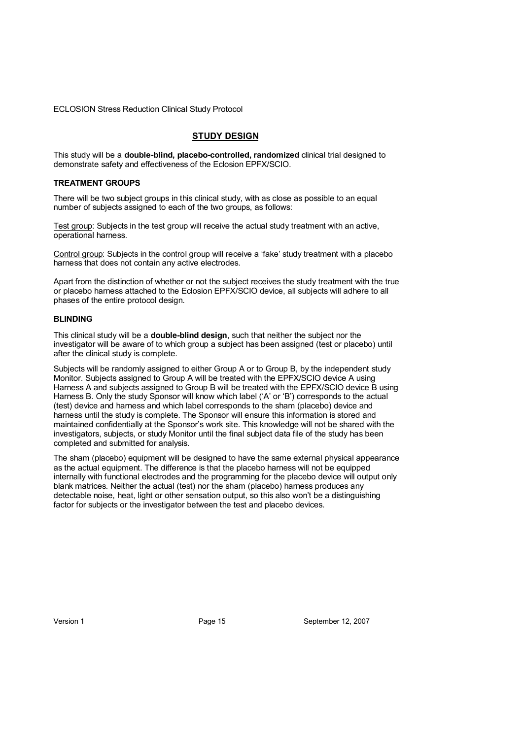#### **STUDY DESIGN**

This study will be a **double-blind, placebo-controlled, randomized** clinical trial designed to demonstrate safety and effectiveness of the Eclosion EPFX/SCIO.

#### **TREATMENT GROUPS**

There will be two subject groups in this clinical study, with as close as possible to an equal number of subjects assigned to each of the two groups, as follows:

Test group: Subjects in the test group will receive the actual study treatment with an active, operational harness.

Control group: Subjects in the control group will receive a 'fake' study treatment with a placebo harness that does not contain any active electrodes.

Apart from the distinction of whether or not the subject receives the study treatment with the true or placebo harness attached to the Eclosion EPFX/SCIO device, all subjects will adhere to all phases of the entire protocol design.

#### **BLINDING**

This clinical study will be a **double-blind design**, such that neither the subject nor the investigator will be aware of to which group a subject has been assigned (test or placebo) until after the clinical study is complete.

Subjects will be randomly assigned to either Group A or to Group B, by the independent study Monitor. Subjects assigned to Group A will be treated with the EPFX/SCIO device A using Harness A and subjects assigned to Group B will be treated with the EPFX/SCIO device B using Harness B. Only the study Sponsor will know which label ('A' or 'B') corresponds to the actual (test) device and harness and which label corresponds to the sham (placebo) device and harness until the study is complete. The Sponsor will ensure this information is stored and maintained confidentially at the Sponsor's work site. This knowledge will not be shared with the investigators, subjects, or study Monitor until the final subject data file of the study has been completed and submitted for analysis.

The sham (placebo) equipment will be designed to have the same external physical appearance as the actual equipment. The difference is that the placebo harness will not be equipped internally with functional electrodes and the programming for the placebo device will output only blank matrices. Neither the actual (test) nor the sham (placebo) harness produces any detectable noise, heat, light or other sensation output, so this also won't be a distinguishing factor for subjects or the investigator between the test and placebo devices.

Version 1 **Page 15** Page 15 September 12, 2007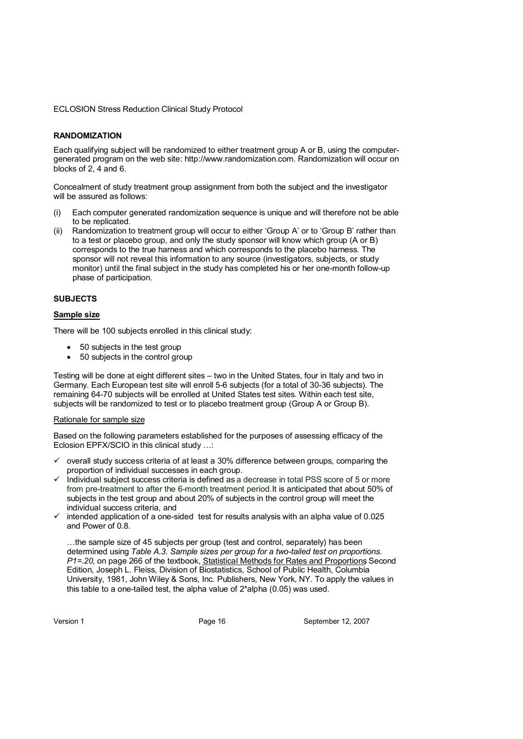#### **RANDOMIZATION**

Each qualifying subject will be randomized to either treatment group A or B, using the computer[generated program on the web site: http://www.randomization.com. Randomization will occur on](http://www.randomization.com. Randomization will occur on )  blocks of 2, 4 and 6.

Concealment of study treatment group assignment from both the subject and the investigator will be assured as follows:

- Each computer generated randomization sequence is unique and will therefore not be able to be replicated.
- (ii) Randomization to treatment group will occur to either 'Group A' or to 'Group B' rather than to a test or placebo group, and only the study sponsor will know which group (A or B) corresponds to the true harness and which corresponds to the placebo harness. The sponsor will not reveal this information to any source (investigators, subjects, or study monitor) until the final subject in the study has completed his or her one-month follow-up phase of participation.

#### **SUBJECTS**

#### **Sample size**

There will be 100 subjects enrolled in this clinical study:

- 50 subjects in the test group
- 50 subjects in the control group

Testing will be done at eight different sites – two in the United States, four in Italy and two in Germany. Each European test site will enroll 5-6 subjects (for a total of 30-36 subjects). The remaining 64-70 subjects will be enrolled at United States test sites. Within each test site, subjects will be randomized to test or to placebo treatment group (Group A or Group B).

#### Rationale for sample size

Based on the following parameters established for the purposes of assessing efficacy of the Eclosion EPFX/SCIO in this clinical study …:

- $\checkmark$  overall study success criteria of at least a 30% difference between groups, comparing the proportion of individual successes in each group.
- Individual subject success criteria is defined as a decrease in total PSS score of 5 or more from pre-treatment to after the 6-month treatment period. It is anticipated that about 50% of subjects in the test group and about 20% of subjects in the control group will meet the individual success criteria, and
- $\checkmark$  intended application of a one-sided test for results analysis with an alpha value of 0.025 and Power of 0.8.

…the sample size of 45 subjects per group (test and control, separately) has been determined using *Table A.3. Sample sizes per group for a two-tailed test on proportions*. *P1* = 20, on page 266 of the textbook, Statistical Methods for Rates and Proportions Second Edition, Joseph L. Fleiss, Division of Biostatistics, School of Public Health, Columbia University, 1981, John Wiley & Sons, Inc. Publishers, New York, NY. To apply the values in this table to a one-tailed test, the alpha value of 2\*alpha (0.05) was used.

Version 1 **Page 16** Page 16 September 12, 2007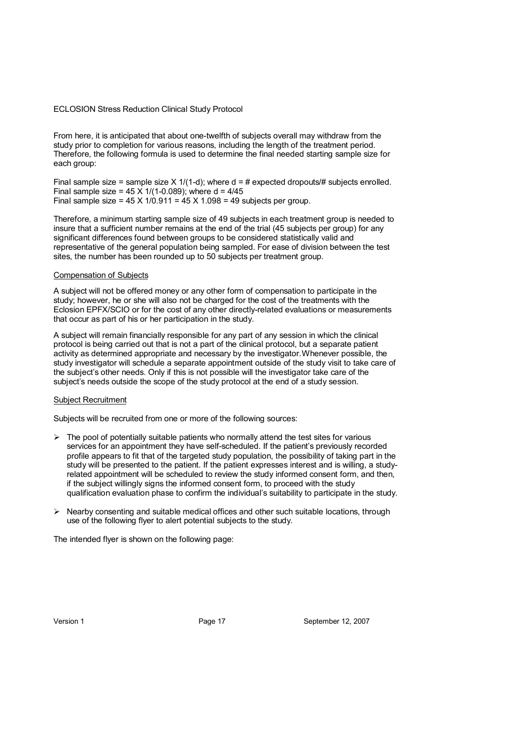From here, it is anticipated that about one-twelfth of subjects overall may withdraw from the study prior to completion for various reasons, including the length of the treatment period. Therefore, the following formula is used to determine the final needed starting sample size for each group:

Final sample size = sample size  $X$  1/(1-d); where  $d = #$  expected dropouts/# subjects enrolled. Final sample size =  $45 \times 1/(1-0.089)$ ; where  $d = 4/45$ Final sample size =  $45 \times 1/0.911 = 45 \times 1.098 = 49$  subjects per group.

Therefore, a minimum starting sample size of 49 subjects in each treatment group is needed to insure that a sufficient number remains at the end of the trial (45 subjects per group) for any significant differences found between groups to be considered statistically valid and representative of the general population being sampled. For ease of division between the test sites, the number has been rounded up to 50 subjects per treatment group.

#### Compensation of Subjects

A subject will not be offered money or any other form of compensation to participate in the study; however, he or she will also not be charged for the cost of the treatments with the Eclosion EPFX/SCIO or for the cost of any other directly-related evaluations or measurements that occur as part of his or her participation in the study.

A subject will remain financially responsible for any part of any session in which the clinical protocol is being carried out that is not a part of the clinical protocol, but a separate patient activity as determined appropriate and necessary by the investigator.Whenever possible, the study investigator will schedule a separate appointment outside of the study visit to take care of the subject's other needs. Only if this is not possible will the investigator take care of the subject's needs outside the scope of the study protocol at the end of a study session.

#### Subject Recruitment

Subjects will be recruited from one or more of the following sources:

- $\triangleright$  The pool of potentially suitable patients who normally attend the test sites for various services for an appointment they have self-scheduled. If the patient's previously recorded profile appears to fit that of the targeted study population, the possibility of taking part in the study will be presented to the patient. If the patient expresses interest and is willing, a studyrelated appointment will be scheduled to review the study informed consent form, and then, if the subject willingly signs the informed consent form, to proceed with the study qualification evaluation phase to confirm the individual's suitability to participate in the study.
- $\triangleright$  Nearby consenting and suitable medical offices and other such suitable locations, through use of the following flyer to alert potential subjects to the study.

The intended flyer is shown on the following page:

Version 1 **Page 17** Page 17 September 12, 2007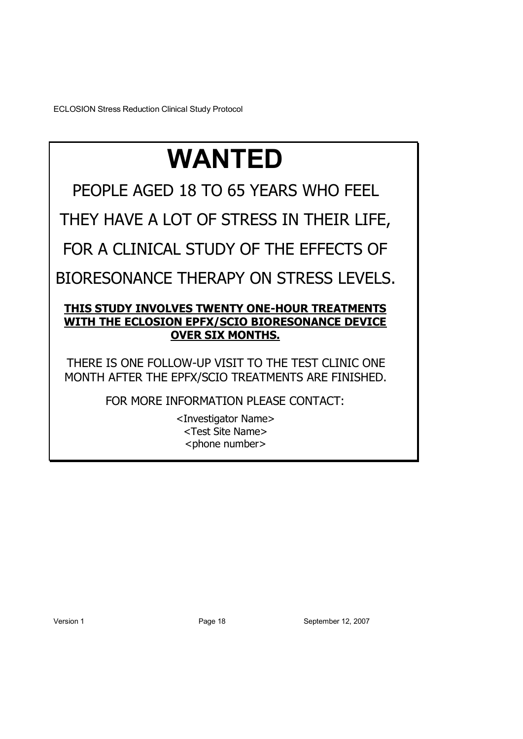# **WANTED**

PEOPLE AGED 18 TO 65 YEARS WHO FEEL

THEY HAVE A LOT OF STRESS IN THEIR LIFE,

FOR A CLINICAL STUDY OF THE EFFECTS OF

BIORESONANCE THERAPY ON STRESS LEVELS.

# **THIS STUDY INVOLVES TWENTY ONE-HOUR TREATMENTS WITH THE ECLOSION EPFX/SCIO BIORESONANCE DEVICE OVER SIX MONTHS.**

THERE IS ONE FOLLOW-UP VISIT TO THE TEST CLINIC ONE MONTH AFTER THE EPFX/SCIO TREATMENTS ARE FINISHED.

FOR MORE INFORMATION PLEASE CONTACT:

<Investigator Name> <Test Site Name> <phone number>

Version 1 Page 18 September 12, 2007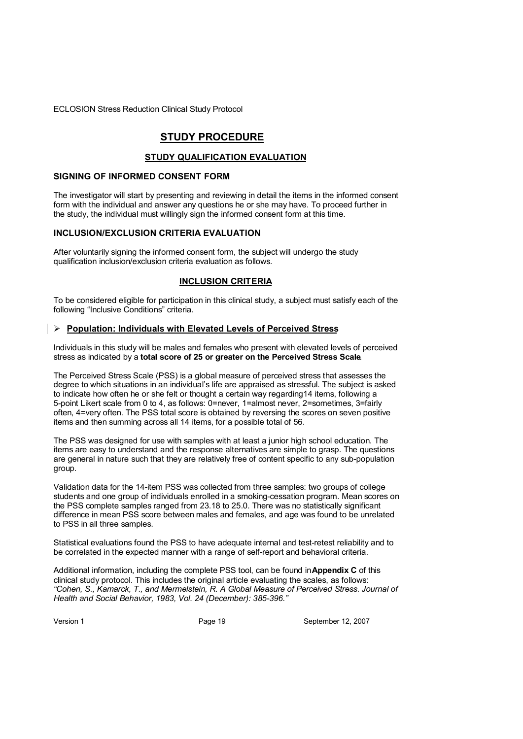# **STUDY PROCEDURE**

## **STUDY QUALIFICATION EVALUATION**

#### **SIGNING OF INFORMED CONSENT FORM**

The investigator will start by presenting and reviewing in detail the items in the informed consent form with the individual and answer any questions he or she may have. To proceed further in the study, the individual must willingly sign the informed consent form at this time.

#### **INCLUSION/EXCLUSION CRITERIA EVALUATION**

After voluntarily signing the informed consent form, the subject will undergo the study qualification inclusion/exclusion criteria evaluation as follows.

#### **INCLUSION CRITERIA**

To be considered eligible for participation in this clinical study, a subject must satisfy each of the following "Inclusive Conditions" criteria.

#### **Population: Individuals with Elevated Levels of Perceived Stress**

Individuals in this study will be males and females who present with elevated levels of perceived stress as indicated by a **total score of 25 or greater on the Perceived Stress Scale**.

The Perceived Stress Scale (PSS) is a global measure of perceived stress that assesses the degree to which situations in an individual's life are appraised as stressful. The subject is asked to indicate how often he or she felt or thought a certain way regarding14 items, following a 5-point Likert scale from 0 to 4, as follows: 0=never, 1=almost never, 2=sometimes, 3=fairly often, 4=very often. The PSS total score is obtained by reversing the scores on seven positive items and then summing across all 14 items, for a possible total of 56.

The PSS was designed for use with samples with at least a junior high school education. The items are easy to understand and the response alternatives are simple to grasp. The questions are general in nature such that they are relatively free of content specific to any sub-population group.

Validation data for the 14-item PSS was collected from three samples: two groups of college students and one group of individuals enrolled in a smoking-cessation program. Mean scores on the PSS complete samples ranged from 23.18 to 25.0. There was no statistically significant difference in mean PSS score between males and females, and age was found to be unrelated to PSS in all three samples.

Statistical evaluations found the PSS to have adequate internal and test-retest reliability and to be correlated in the expected manner with a range of self-report and behavioral criteria.

Additional information, including the complete PSS tool, can be found in **Appendix C** of this clinical study protocol. This includes the original article evaluating the scales, as follows: *"Cohen, S., Kamarck, T., and Mermelstein, R. A Global Measure of Perceived Stress. Journal of Health and Social Behavior, 1983, Vol. 24 (December): 385-396."* 

Version 1 **Page 19** Page 19 September 12, 2007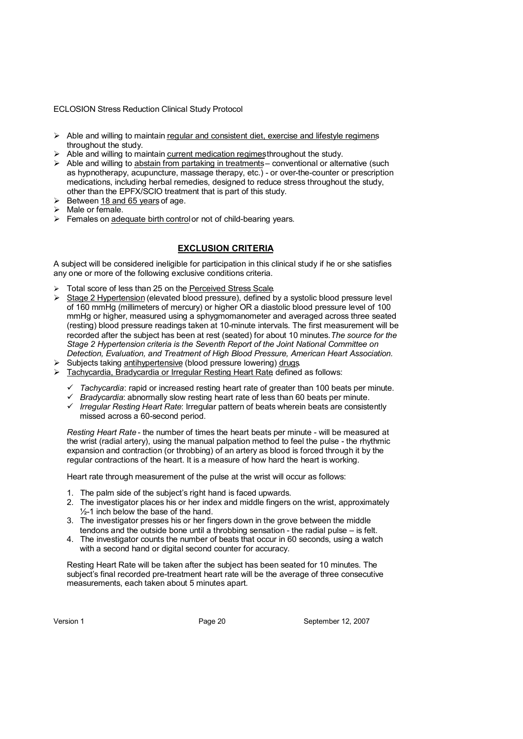- $\triangleright$  Able and willing to maintain regular and consistent diet, exercise and lifestyle regimens throughout the study.
- $\triangleright$  Able and willing to maintain current medication regimes throughout the study.
- $\triangleright$  Able and willing to abstain from partaking in treatments conventional or alternative (such as hypnotherapy, acupuncture, massage therapy, etc.) - or over-the-counter or prescription medications, including herbal remedies, designed to reduce stress throughout the study, other than the EPFX/SCIO treatment that is part of this study.
- $\geq$  Between 18 and 65 years of age.
- $\triangleright$  Male or female.
- $\triangleright$  Females on adequate birth control or not of child-bearing years.

# **EXCLUSION CRITERIA**

A subject will be considered ineligible for participation in this clinical study if he or she satisfies any one or more of the following exclusive conditions criteria.

- > Total score of less than 25 on the Perceived Stress Scale.
- $\triangleright$  Stage 2 Hypertension (elevated blood pressure), defined by a systolic blood pressure level of 160 mmHg (millimeters of mercury) or higher OR a diastolic blood pressure level of 100 mmHg or higher, measured using a sphygmomanometer and averaged across three seated (resting) blood pressure readings taken at 10-minute intervals. The first measurement will be recorded after the subject has been at rest (seated) for about 10 minutes. *The source for the Stage 2 Hypertension criteria is the Seventh Report of the Joint National Committee on Detection, Evaluation, and Treatment of High Blood Pressure, American Heart Association.*
- Subjects taking antihypertensive (blood pressure lowering) drugs.
- > Tachycardia, Bradycardia or Irregular Resting Heart Rate defined as follows:
	- *Tachycardia*: rapid or increased resting heart rate of greater than 100 beats per minute.
	- *Bradycardia*: abnormally slow resting heart rate of less than 60 beats per minute.
	- *Irregular Resting Heart Rate*: Irregular pattern of beats wherein beats are consistently missed across a 60-second period.

*Resting Heart Rate* - the number of times the heart beats per minute - will be measured at the wrist (radial artery), using the manual palpation method to feel the pulse - the rhythmic expansion and contraction (or throbbing) of an artery as blood is forced through it by the regular contractions of the heart. It is a measure of how hard the heart is working.

Heart rate through measurement of the pulse at the wrist will occur as follows:

- 1. The palm side of the subject's right hand is faced upwards.
- 2. The investigator places his or her index and middle fingers on the wrist, approximately  $\frac{1}{2}$ -1 inch below the base of the hand.
- 3. The investigator presses his or her fingers down in the grove between the middle tendons and the outside bone until a throbbing sensation - the radial pulse – is felt.
- 4. The investigator counts the number of beats that occur in 60 seconds, using a watch with a second hand or digital second counter for accuracy.

Resting Heart Rate will be taken after the subject has been seated for 10 minutes. The subject's final recorded pre-treatment heart rate will be the average of three consecutive measurements, each taken about 5 minutes apart.

Version 1 Page 20 September 12, 2007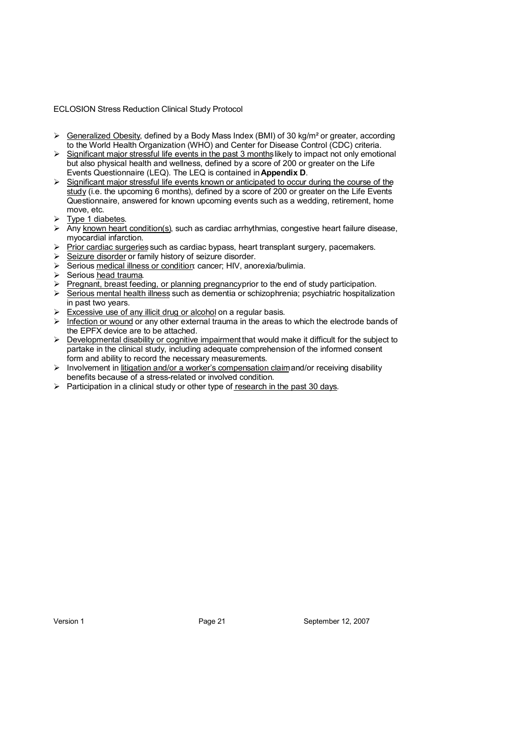- $\triangleright$  Generalized Obesity, defined by a Body Mass Index (BMI) of 30 kg/m<sup>2</sup> or greater, according to the World Health Organization (WHO) and Center for Disease Control (CDC) criteria.
- $\triangleright$  Significant major stressful life events in the past 3 months likely to impact not only emotional but also physical health and wellness, defined by a score of 200 or greater on the Life Events Questionnaire (LEQ). The LEQ is contained in **Appendix D**.
- $\triangleright$  Significant major stressful life events known or anticipated to occur during the course of the study (i.e. the upcoming 6 months), defined by a score of 200 or greater on the Life Events Questionnaire, answered for known upcoming events such as a wedding, retirement, home move, etc.
- $\triangleright$  Type 1 diabetes.
- $\triangleright$  Any known heart condition(s), such as cardiac arrhythmias, congestive heart failure disease, myocardial infarction.
- $\triangleright$  Prior cardiac surgeries such as cardiac bypass, heart transplant surgery, pacemakers.
- Seizure disorder or family history of seizure disorder.
- $\triangleright$  Serious medical illness or condition cancer; HIV, anorexia/bulimia.
- $\triangleright$  Serious head trauma.
- $\triangleright$  Pregnant, breast feeding, or planning pregnancy prior to the end of study participation.
- $\triangleright$  Serious mental health illness such as dementia or schizophrenia; psychiatric hospitalization in past two years.
- $\triangleright$  Excessive use of any illicit drug or alcohol on a regular basis.
- $\triangleright$  Infection or wound or any other external trauma in the areas to which the electrode bands of the EPFX device are to be attached.
- $\triangleright$  Developmental disability or cognitive impairment that would make it difficult for the subject to partake in the clinical study, including adequate comprehension of the informed consent form and ability to record the necessary measurements.
- $\triangleright$  Involvement in litigation and/or a worker's compensation claim and/or receiving disability benefits because of a stress-related or involved condition.
- $\triangleright$  Participation in a clinical study or other type of research in the past 30 days.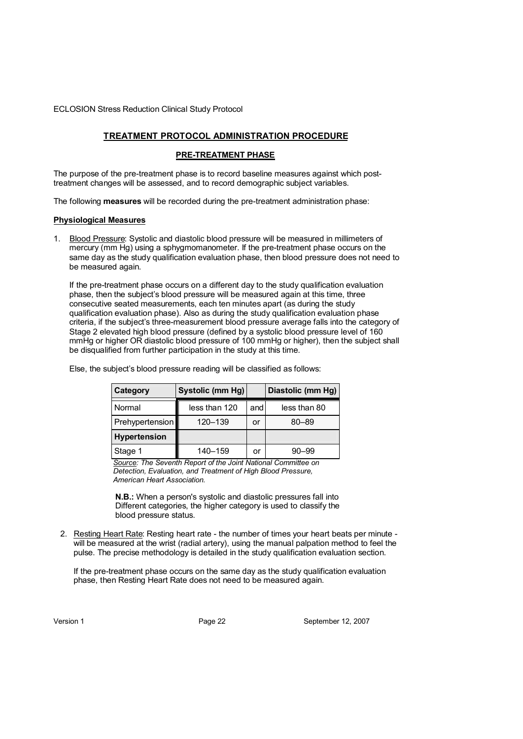# **TREATMENT PROTOCOL ADMINISTRATION PROCEDURE**

#### **PRE-TREATMENT PHASE**

The purpose of the pre-treatment phase is to record baseline measures against which posttreatment changes will be assessed, and to record demographic subject variables.

The following **measures** will be recorded during the pre-treatment administration phase:

#### **Physiological Measures**

1. Blood Pressure: Systolic and diastolic blood pressure will be measured in millimeters of mercury (mm Hg) using a sphygmomanometer. If the pre-treatment phase occurs on the same day as the study qualification evaluation phase, then blood pressure does not need to be measured again.

If the pre-treatment phase occurs on a different day to the study qualification evaluation phase, then the subject's blood pressure will be measured again at this time, three consecutive seated measurements, each ten minutes apart (as during the study qualification evaluation phase). Also as during the study qualification evaluation phase criteria, if the subject's three-measurement blood pressure average falls into the category of Stage 2 elevated high blood pressure (defined by a systolic blood pressure level of 160 mmHg or higher OR diastolic blood pressure of 100 mmHg or higher), then the subject shall be disqualified from further participation in the study at this time.

| Category            | Systolic (mm Hg) |     | Diastolic (mm Hg) |
|---------------------|------------------|-----|-------------------|
| Normal              | less than 120    | and | less than 80      |
| Prehypertension     | 120-139          | or  | 80-89             |
| <b>Hypertension</b> |                  |     |                   |
| Stage 1             | 140–159          | or  | $90 - 99$         |

Else, the subject's blood pressure reading will be classified as follows:

*Source: The Seventh Report of the Joint National Committee on Detection, Evaluation, and Treatment of High Blood Pressure, American Heart Association.* 

**N.B.:** When a person's systolic and diastolic pressures fall into Different categories, the higher category is used to classify the blood pressure status.

2. Resting Heart Rate: Resting heart rate - the number of times your heart beats per minute will be measured at the wrist (radial artery), using the manual palpation method to feel the pulse. The precise methodology is detailed in the study qualification evaluation section.

If the pre-treatment phase occurs on the same day as the study qualification evaluation phase, then Resting Heart Rate does not need to be measured again.

Version 1 Page 22 September 12, 2007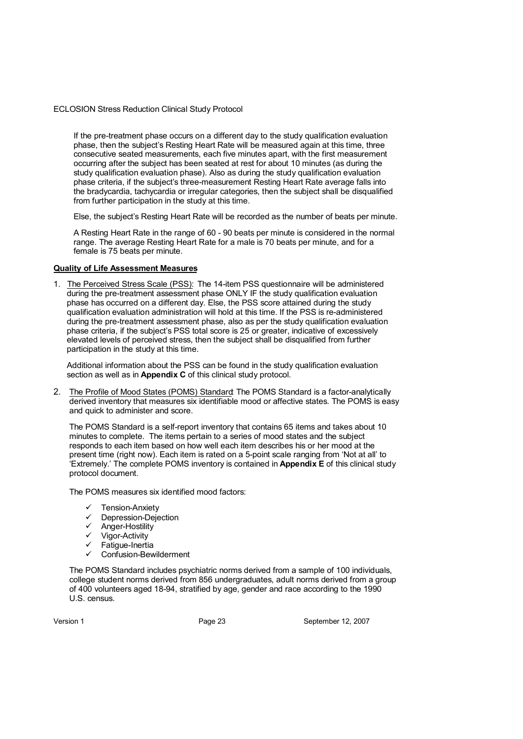If the pre-treatment phase occurs on a different day to the study qualification evaluation phase, then the subject's Resting Heart Rate will be measured again at this time, three consecutive seated measurements, each five minutes apart, with the first measurement occurring after the subject has been seated at rest for about 10 minutes (as during the study qualification evaluation phase). Also as during the study qualification evaluation phase criteria, if the subject's three-measurement Resting Heart Rate average falls into the bradycardia, tachycardia or irregular categories, then the subject shall be disqualified from further participation in the study at this time.

Else, the subject's Resting Heart Rate will be recorded as the number of beats per minute.

A Resting Heart Rate in the range of 60 - 90 beats per minute is considered in the normal range. The average Resting Heart Rate for a male is 70 beats per minute, and for a female is 75 beats per minute.

#### **Quality of Life Assessment Measures**

1. The Perceived Stress Scale (PSS): The 14-item PSS questionnaire will be administered during the pre-treatment assessment phase ONLY IF the study qualification evaluation phase has occurred on a different day. Else, the PSS score attained during the study qualification evaluation administration will hold at this time. If the PSS is re-administered during the pre-treatment assessment phase, also as per the study qualification evaluation phase criteria, if the subject's PSS total score is 25 or greater, indicative of excessively elevated levels of perceived stress, then the subject shall be disqualified from further participation in the study at this time.

Additional information about the PSS can be found in the study qualification evaluation section as well as in **Appendix C** of this clinical study protocol.

2. The Profile of Mood States (POMS) Standard: The POMS Standard is a factor-analytically derived inventory that measures six identifiable mood or affective states. The POMS is easy and quick to administer and score.

The POMS Standard is a self-report inventory that contains 65 items and takes about 10 minutes to complete. The items pertain to a series of mood states and the subject responds to each item based on how well each item describes his or her mood at the present time (right now). Each item is rated on a 5-point scale ranging from 'Not at all' to 'Extremely.' The complete POMS inventory is contained in **Appendix E** of this clinical study protocol document.

The POMS measures six identified mood factors:

- Tension-Anxiety
- $\checkmark$  Depression-Dejection
- $\checkmark$  Anger-Hostility
- $\checkmark$  Vigor-Activity
- $\checkmark$  Fatigue-Inertia
- Confusion-Bewilderment

The POMS Standard includes psychiatric norms derived from a sample of 100 individuals, college student norms derived from 856 undergraduates, adult norms derived from a group of 400 volunteers aged 18-94, stratified by age, gender and race according to the 1990 U.S. census.

Version 1 **Page 23** Page 23 September 12, 2007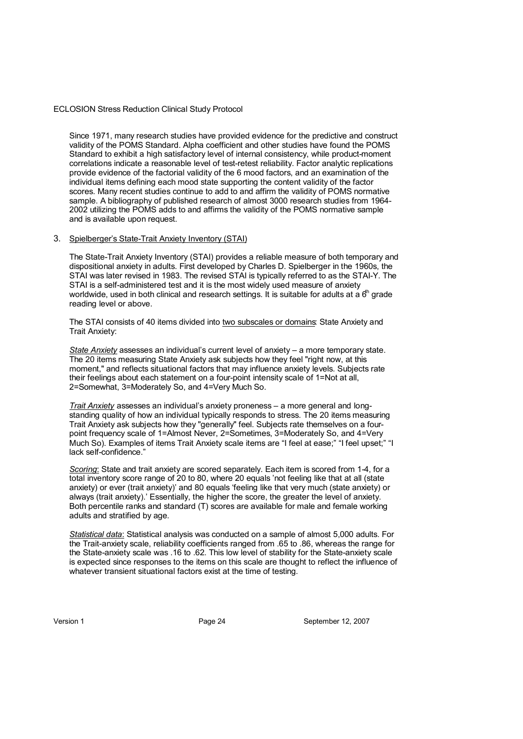Since 1971, many research studies have provided evidence for the predictive and construct validity of the POMS Standard. Alpha coefficient and other studies have found the POMS Standard to exhibit a high satisfactory level of internal consistency, while product-moment correlations indicate a reasonable level of test-retest reliability. Factor analytic replications provide evidence of the factorial validity of the 6 mood factors, and an examination of the individual items defining each mood state supporting the content validity of the factor scores. Many recent studies continue to add to and affirm the validity of POMS normative sample. A bibliography of published research of almost 3000 research studies from 1964- 2002 utilizing the POMS adds to and affirms the validity of the POMS normative sample and is available upon request.

#### 3. Spielberger's State-Trait Anxiety Inventory (STAI)

The State-Trait Anxiety Inventory (STAI) provides a reliable measure of both temporary and dispositional anxiety in adults. First developed by Charles D. Spielberger in the 1960s, the STAI was later revised in 1983. The revised STAI is typically referred to as the STAI-Y. The STAI is a self-administered test and it is the most widely used measure of anxiety worldwide, used in both clinical and research settings. It is suitable for adults at a  $6<sup>th</sup>$  grade reading level or above.

The STAI consists of 40 items divided into two subscales or domains: State Anxiety and Trait Anxiety:

*State Anxiety* assesses an individual's current level of anxiety – a more temporary state. The 20 items measuring State Anxiety ask subjects how they feel "right now, at this moment," and reflects situational factors that may influence anxiety levels. Subjects rate their feelings about each statement on a four-point intensity scale of 1=Not at all, 2=Somewhat, 3=Moderately So, and 4=Very Much So.

*Trait Anxiety* assesses an individual's anxiety proneness – a more general and longstanding quality of how an individual typically responds to stress. The 20 items measuring Trait Anxiety ask subjects how they "generally" feel. Subjects rate themselves on a fourpoint frequency scale of 1=Almost Never, 2=Sometimes, 3=Moderately So, and 4=Very Much So). Examples of items Trait Anxiety scale items are "I feel at ease;" "I feel upset;" "I lack self-confidence.'

*Scoring*: State and trait anxiety are scored separately. Each item is scored from 1-4, for a total inventory score range of 20 to 80, where 20 equals 'not feeling like that at all (state anxiety) or ever (trait anxiety)' and 80 equals 'feeling like that very much (state anxiety) or always (trait anxiety).' Essentially, the higher the score, the greater the level of anxiety. Both percentile ranks and standard (T) scores are available for male and female working adults and stratified by age.

*Statistical data*: Statistical analysis was conducted on a sample of almost 5,000 adults. For the Trait-anxiety scale, reliability coefficients ranged from .65 to .86, whereas the range for the State-anxiety scale was .16 to .62. This low level of stability for the State-anxiety scale is expected since responses to the items on this scale are thought to reflect the influence of whatever transient situational factors exist at the time of testing.

Version 1 Page 24 September 12, 2007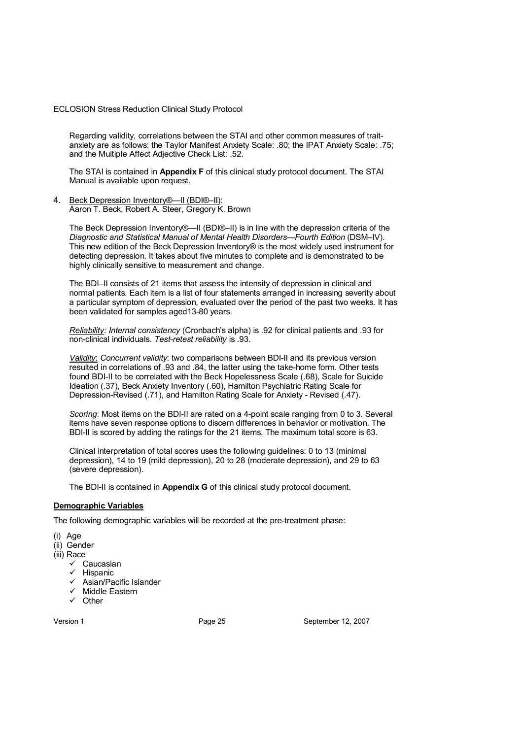Regarding validity, correlations between the STAI and other common measures of traitanxiety are as follows: the Taylor Manifest Anxiety Scale: .80; the IPAT Anxiety Scale: .75; and the Multiple Affect Adjective Check List: .52.

The STAI is contained in **Appendix F** of this clinical study protocol document. The STAI Manual is available upon request.

4. Beck Depression Inventory®—II (BDI®–II): Aaron T. Beck, Robert A. Steer, Gregory K. Brown

The Beck Depression Inventory®—II (BDI®–II) is in line with the depression criteria of the *Diagnostic and Statistical Manual of Mental Health Disorders—Fourth Edition* (DSM–IV). This new edition of the Beck Depression Inventory® is the most widely used instrument for detecting depression. It takes about five minutes to complete and is demonstrated to be highly clinically sensitive to measurement and change.

The BDI–II consists of 21 items that assess the intensity of depression in clinical and normal patients. Each item is a list of four statements arranged in increasing severity about a particular symptom of depression, evaluated over the period of the past two weeks. It has been validated for samples aged13-80 years.

*Reliability: Internal consistency* (Cronbach's alpha) is .92 for clinical patients and .93 for non-clinical individuals. *Test-retest reliability* is .93.

*Validity*: *Concurrent validity*: two comparisons between BDI-II and its previous version resulted in correlations of .93 and .84, the latter using the take-home form. Other tests found BDI-II to be correlated with the Beck Hopelessness Scale (.68), Scale for Suicide Ideation (.37), Beck Anxiety Inventory (.60), Hamilton Psychiatric Rating Scale for Depression-Revised (.71), and Hamilton Rating Scale for Anxiety - Revised (.47).

*Scoring*: Most items on the BDI-II are rated on a 4-point scale ranging from 0 to 3. Several items have seven response options to discern differences in behavior or motivation. The BDI-II is scored by adding the ratings for the 21 items. The maximum total score is 63.

Clinical interpretation of total scores uses the following guidelines: 0 to 13 (minimal depression), 14 to 19 (mild depression), 20 to 28 (moderate depression), and 29 to 63 (severe depression).

The BDI-II is contained in **Appendix G** of this clinical study protocol document.

# **Demographic Variables**

The following demographic variables will be recorded at the pre-treatment phase:

- (i) Age
- (ii) Gender
- (iii) Race
	- $\checkmark$  Caucasian
	- $\checkmark$  Hispanic
	- $\checkmark$  Asian/Pacific Islander
	- Middle Eastern
	- $\checkmark$  Other

Version 1 **Page 25** Page 25 September 12, 2007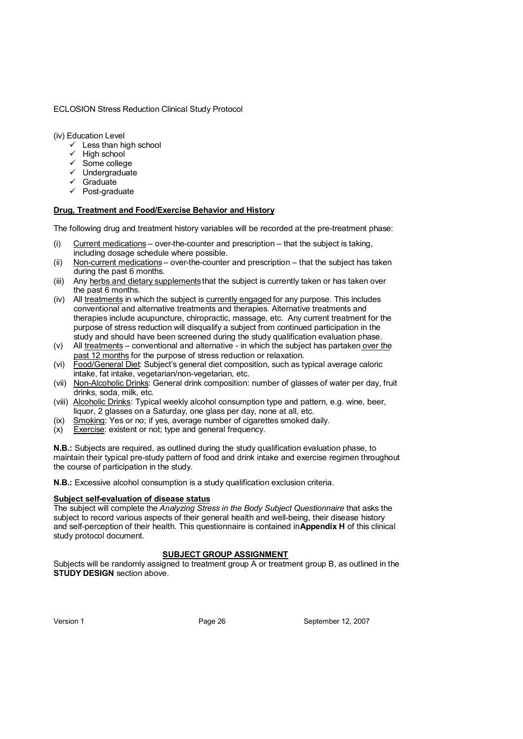(iv) Education Level

- $\checkmark$  Less than high school
- $\checkmark$  High school
- $\checkmark$  Some college
- $\checkmark$  Undergraduate
- $\checkmark$  Graduate
- $\checkmark$  Post-graduate

#### **Drug, Treatment and Food/Exercise Behavior and History**

The following drug and treatment history variables will be recorded at the pre-treatment phase:

- (i) Current medications over-the-counter and prescription that the subject is taking, including dosage schedule where possible.
- (ii) Non-current medications over-the-counter and prescription that the subject has taken during the past 6 months.
- (iii) Any herbs and dietary supplements that the subject is currently taken or has taken over the past 6 months.
- (iv) All treatments in which the subject is currently engaged for any purpose. This includes conventional and alternative treatments and therapies. Alternative treatments and therapies include acupuncture, chiropractic, massage, etc. Any current treatment for the purpose of stress reduction will disqualify a subject from continued participation in the study and should have been screened during the study qualification evaluation phase.
- (v) All treatments conventional and alternative in which the subject has partaken over the past 12 months for the purpose of stress reduction or relaxation.
- (vi) Food/General Diet: Subject's general diet composition, such as typical average caloric intake, fat intake, vegetarian/non-vegetarian, etc.
- (vii) Non-Alcoholic Drinks: General drink composition: number of glasses of water per day, fruit drinks, soda, milk, etc.
- (viii) Alcoholic Drinks: Typical weekly alcohol consumption type and pattern, e.g. wine, beer, liquor, 2 glasses on a Saturday, one glass per day, none at all, etc.
- (ix) Smoking: Yes or no; if yes, average number of cigarettes smoked daily.
- (x) Exercise: existent or not; type and general frequency.

**N.B.:** Subjects are required, as outlined during the study qualification evaluation phase, to maintain their typical pre-study pattern of food and drink intake and exercise regimen throughout the course of participation in the study.

**N.B.:** Excessive alcohol consumption is a study qualification exclusion criteria.

#### **Subject self-evaluation of disease status**

The subject will complete the *Analyzing Stress in the Body Subject Questionnaire* that asks the subject to record various aspects of their general health and well-being, their disease history and self-perception of their health. This questionnaire is contained in **Appendix H** of this clinical study protocol document.

#### **SUBJECT GROUP ASSIGNMENT**

Subjects will be randomly assigned to treatment group A or treatment group B, as outlined in the **STUDY DESIGN** section above.

Version 1 **Page 26** September 12, 2007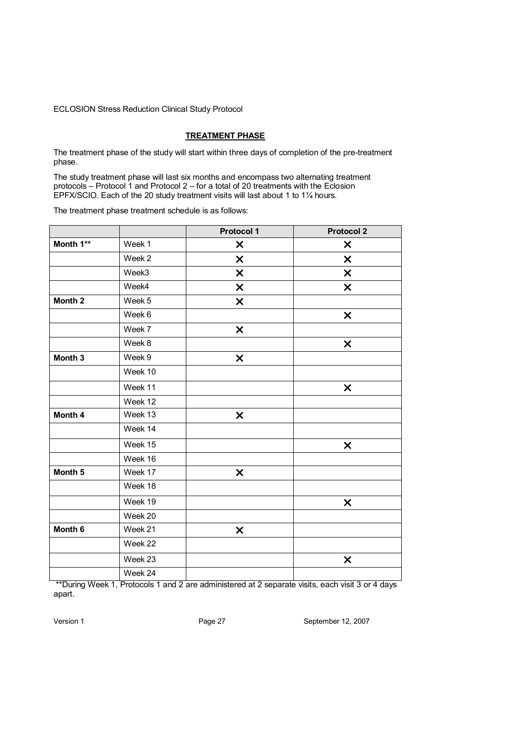#### **TREATMENT PHASE**

The treatment phase of the study will start within three days of completion of the pre-treatment phase.

The study treatment phase will last six months and encompass two alternating treatment protocols – Protocol 1 and Protocol 2 – for a total of 20 treatments with the Eclosion EPFX/SCIO. Each of the 20 study treatment visits will last about 1 to 1¼ hours.

The treatment phase treatment schedule is as follows:

|                    |         | <b>Protocol 1</b>         | <b>Protocol 2</b>         |
|--------------------|---------|---------------------------|---------------------------|
| Month 1**          | Week 1  | X                         | X                         |
|                    | Week 2  | X                         | $\boldsymbol{\mathsf{x}}$ |
|                    | Week3   | X                         | $\boldsymbol{\mathsf{x}}$ |
|                    | Week4   | X                         | $\boldsymbol{\mathsf{x}}$ |
| Month <sub>2</sub> | Week 5  | X                         |                           |
|                    | Week 6  |                           | $\boldsymbol{\mathsf{x}}$ |
|                    | Week 7  | $\pmb{\times}$            |                           |
|                    | Week 8  |                           | $\boldsymbol{\mathsf{x}}$ |
| Month 3            | Week 9  | $\pmb{\times}$            |                           |
|                    | Week 10 |                           |                           |
|                    | Week 11 |                           | $\boldsymbol{\mathsf{x}}$ |
|                    | Week 12 |                           |                           |
| Month 4            | Week 13 | $\pmb{\times}$            |                           |
|                    | Week 14 |                           |                           |
|                    | Week 15 |                           | $\boldsymbol{\mathsf{x}}$ |
|                    | Week 16 |                           |                           |
| Month 5            | Week 17 | X                         |                           |
|                    | Week 18 |                           |                           |
|                    | Week 19 |                           | $\boldsymbol{\mathsf{x}}$ |
|                    | Week 20 |                           |                           |
| Month 6            | Week 21 | $\boldsymbol{\mathsf{x}}$ |                           |
|                    | Week 22 |                           |                           |
|                    | Week 23 |                           | X                         |
|                    | Week 24 |                           |                           |

 \*\*During Week 1, Protocols 1 and 2 are administered at 2 separate visits, each visit 3 or 4 days apart.

Version 1 Page 27 September 12, 2007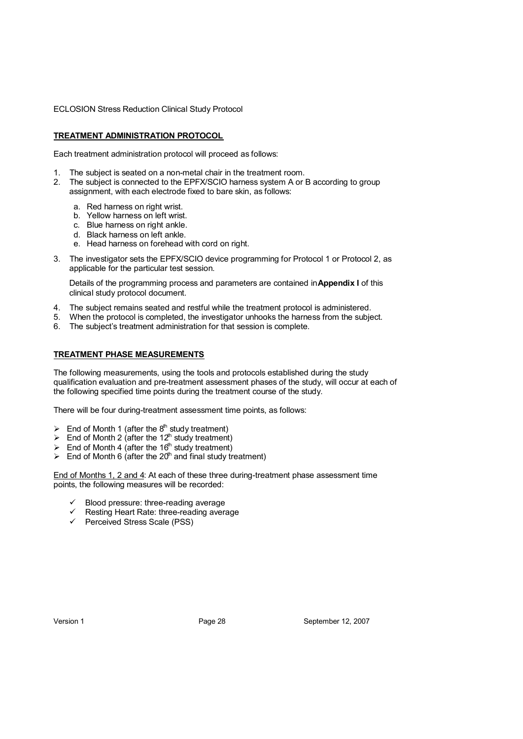#### **TREATMENT ADMINISTRATION PROTOCOL**

Each treatment administration protocol will proceed as follows:

- 1. The subject is seated on a non-metal chair in the treatment room.
- 2. The subject is connected to the EPFX/SCIO harness system A or B according to group assignment, with each electrode fixed to bare skin, as follows:
	- a. Red harness on right wrist.
	- b. Yellow harness on left wrist.
	- c. Blue harness on right ankle.
	- d. Black harness on left ankle.
	- e. Head harness on forehead with cord on right.
- 3. The investigator sets the EPFX/SCIO device programming for Protocol 1 or Protocol 2, as applicable for the particular test session.

Details of the programming process and parameters are contained in **Appendix I** of this clinical study protocol document.

- 4. The subject remains seated and restful while the treatment protocol is administered.
- 5. When the protocol is completed, the investigator unhooks the harness from the subject.
- 6. The subject's treatment administration for that session is complete.

#### **TREATMENT PHASE MEASUREMENTS**

The following measurements, using the tools and protocols established during the study qualification evaluation and pre-treatment assessment phases of the study, will occur at each of the following specified time points during the treatment course of the study.

There will be four during-treatment assessment time points, as follows:

- $\triangleright$  End of Month 1 (after the 8<sup>th</sup> study treatment)
- End of Month 2 (after the 12<sup>th</sup> study treatment)
- End of Month 4 (after the 16<sup>th</sup> study treatment)
- $\triangleright$  End of Month 6 (after the 20<sup>th</sup> and final study treatment)

End of Months 1, 2 and 4: At each of these three during-treatment phase assessment time points, the following measures will be recorded:

- Blood pressure: three-reading average
- Resting Heart Rate: three-reading average
- Perceived Stress Scale (PSS)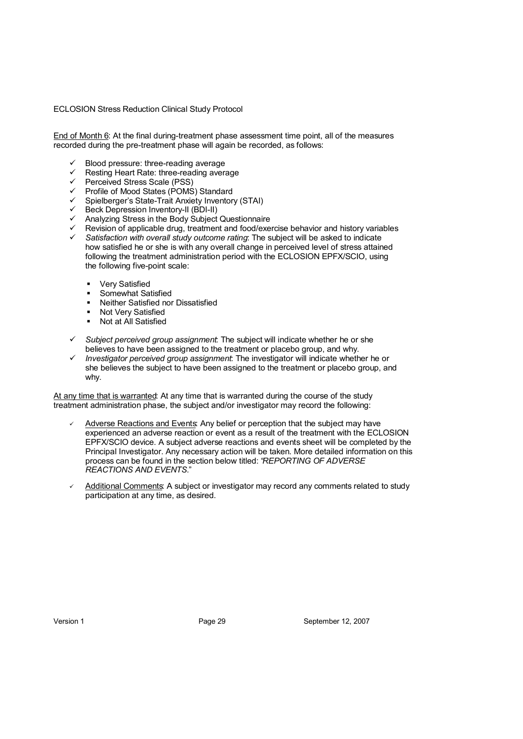End of Month 6: At the final during-treatment phase assessment time point, all of the measures recorded during the pre-treatment phase will again be recorded, as follows:

- $\checkmark$  Blood pressure: three-reading average
- Resting Heart Rate: three-reading average
- Perceived Stress Scale (PSS)<br>
Perceived Stress Scale (PSS)
- Profile of Mood States (POMS) Standard
- $\checkmark$  Spielberger's State-Trait Anxiety Inventory (STAI)
- $\checkmark$  Beck Depression Inventory-II (BDI-II)
- $\checkmark$  Analyzing Stress in the Body Subject Questionnaire
- Revision of applicable drug, treatment and food/exercise behavior and history variables
- *Satisfaction with overall study outcome rating*: The subject will be asked to indicate how satisfied he or she is with any overall change in perceived level of stress attained following the treatment administration period with the ECLOSION EPFX/SCIO, using the following five-point scale:
	- Very Satisfied
	- **Somewhat Satisfied**
	- Neither Satisfied nor Dissatisfied
	- Not Very Satisfied
	- Not at All Satisfied
- *Subject perceived group assignment*: The subject will indicate whether he or she believes to have been assigned to the treatment or placebo group, and why.
- *Investigator perceived group assignment*: The investigator will indicate whether he or she believes the subject to have been assigned to the treatment or placebo group, and why.

At any time that is warranted: At any time that is warranted during the course of the study treatment administration phase, the subject and/or investigator may record the following:

- Adverse Reactions and Events: Any belief or perception that the subject may have experienced an adverse reaction or event as a result of the treatment with the ECLOSION EPFX/SCIO device. A subject adverse reactions and events sheet will be completed by the Principal Investigator. Any necessary action will be taken. More detailed information on this process can be found in the section below titled: "*REPORTING OF ADVERSE REACTIONS AND EVENTS.*"
- Additional Comments: A subject or investigator may record any comments related to study participation at any time, as desired.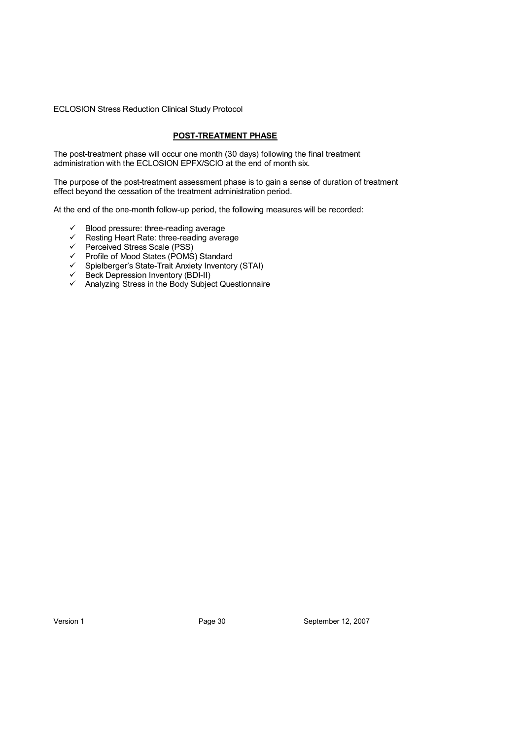#### **POST-TREATMENT PHASE**

The post-treatment phase will occur one month (30 days) following the final treatment administration with the ECLOSION EPFX/SCIO at the end of month six.

The purpose of the post-treatment assessment phase is to gain a sense of duration of treatment effect beyond the cessation of the treatment administration period.

At the end of the one-month follow-up period, the following measures will be recorded:

- $\checkmark$  Blood pressure: three-reading average
- $\checkmark$  Resting Heart Rate: three-reading average
- $\checkmark$  Perceived Stress Scale (PSS)
- $\checkmark$  Profile of Mood States (POMS) Standard
- $\checkmark$  Spielberger's State-Trait Anxiety Inventory (STAI)
- $\checkmark$  Beck Depression Inventory (BDI-II)
- $\checkmark$  Analyzing Stress in the Body Subject Questionnaire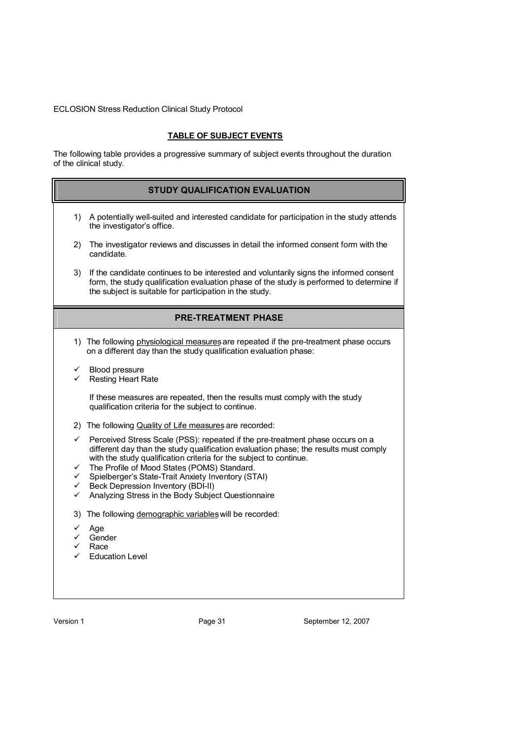# **TABLE OF SUBJECT EVENTS**

The following table provides a progressive summary of subject events throughout the duration of the clinical study.

|        | <b>STUDY QUALIFICATION EVALUATION</b>                                                                                                                                                                                                         |
|--------|-----------------------------------------------------------------------------------------------------------------------------------------------------------------------------------------------------------------------------------------------|
| 1)     | A potentially well-suited and interested candidate for participation in the study attends<br>the investigator's office.                                                                                                                       |
| 2)     | The investigator reviews and discusses in detail the informed consent form with the<br>candidate.                                                                                                                                             |
| 3)     | If the candidate continues to be interested and voluntarily signs the informed consent<br>form, the study qualification evaluation phase of the study is performed to determine if<br>the subject is suitable for participation in the study. |
|        | <b>PRE-TREATMENT PHASE</b>                                                                                                                                                                                                                    |
|        | 1) The following physiological measures are repeated if the pre-treatment phase occurs<br>on a different day than the study qualification evaluation phase:                                                                                   |
| ✓<br>✓ | Blood pressure<br><b>Resting Heart Rate</b>                                                                                                                                                                                                   |
|        | If these measures are repeated, then the results must comply with the study<br>qualification criteria for the subject to continue.                                                                                                            |
|        | 2) The following Quality of Life measures are recorded:                                                                                                                                                                                       |
| ✓      | Perceived Stress Scale (PSS): repeated if the pre-treatment phase occurs on a<br>different day than the study qualification evaluation phase; the results must comply<br>with the study qualification criteria for the subject to continue.   |
| ✓<br>✓ | The Profile of Mood States (POMS) Standard.<br>Spielberger's State-Trait Anxiety Inventory (STAI)                                                                                                                                             |
| ✓      | Beck Depression Inventory (BDI-II)                                                                                                                                                                                                            |
| ✓      | Analyzing Stress in the Body Subject Questionnaire                                                                                                                                                                                            |
| 3)     | The following demographic variables will be recorded:                                                                                                                                                                                         |
| ✓      | Age                                                                                                                                                                                                                                           |
|        | Gender<br>Race                                                                                                                                                                                                                                |
|        | <b>Education Level</b>                                                                                                                                                                                                                        |
|        |                                                                                                                                                                                                                                               |
|        |                                                                                                                                                                                                                                               |

Version 1 **Version 1** Page 31 September 12, 2007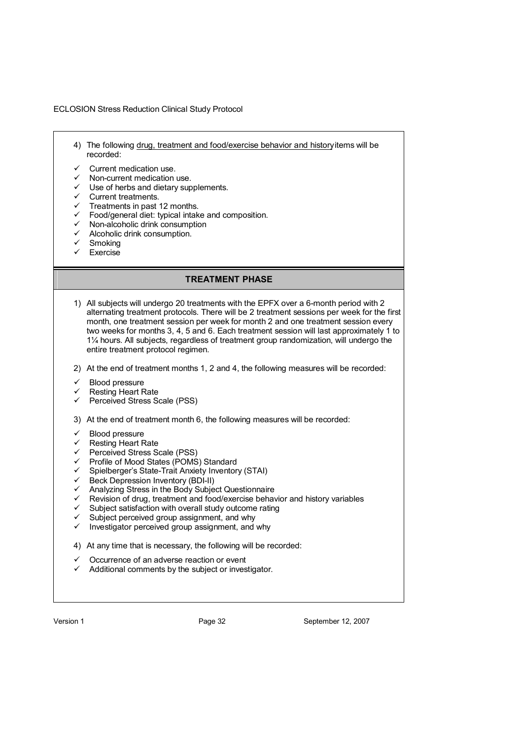- 4) The following drug, treatment and food/exercise behavior and history items will be recorded:
- Current medication use.
- Non-current medication use.
- $\checkmark$  Use of herbs and dietary supplements.
- $\checkmark$  Current treatments.
- $\checkmark$  Treatments in past 12 months.
- $\checkmark$  Food/general diet: typical intake and composition.
- Non-alcoholic drink consumption
- Alcoholic drink consumption.
- $\checkmark$  Smoking
- Exercise

# **TREATMENT PHASE**

- 1) All subjects will undergo 20 treatments with the EPFX over a 6-month period with 2 alternating treatment protocols. There will be 2 treatment sessions per week for the first month, one treatment session per week for month 2 and one treatment session every two weeks for months 3, 4, 5 and 6. Each treatment session will last approximately 1 to 1¼ hours. All subjects, regardless of treatment group randomization, will undergo the entire treatment protocol regimen.
- 2) At the end of treatment months 1, 2 and 4, the following measures will be recorded:
- Blood pressure
- Resting Heart Rate
- $\checkmark$  Perceived Stress Scale (PSS)
- 3) At the end of treatment month 6, the following measures will be recorded:
- Blood pressure
- $\checkmark$  Resting Heart Rate
- $\checkmark$  Perceived Stress Scale (PSS)
- Profile of Mood States (POMS) Standard
- Spielberger's State-Trait Anxiety Inventory (STAI)
- Beck Depression Inventory (BDI-II)
- Analyzing Stress in the Body Subject Questionnaire
- Revision of drug, treatment and food/exercise behavior and history variables
- $\checkmark$  Subject satisfaction with overall study outcome rating  $\checkmark$  Subject perceived group assignment and why
- $\checkmark$  Subject perceived group assignment, and why  $\checkmark$  Investigator perceived group assignment and
- Investigator perceived group assignment, and why
- 4) At any time that is necessary, the following will be recorded:
- Occurrence of an adverse reaction or event
- Additional comments by the subject or investigator.

Version 1 **Page 32** September 12, 2007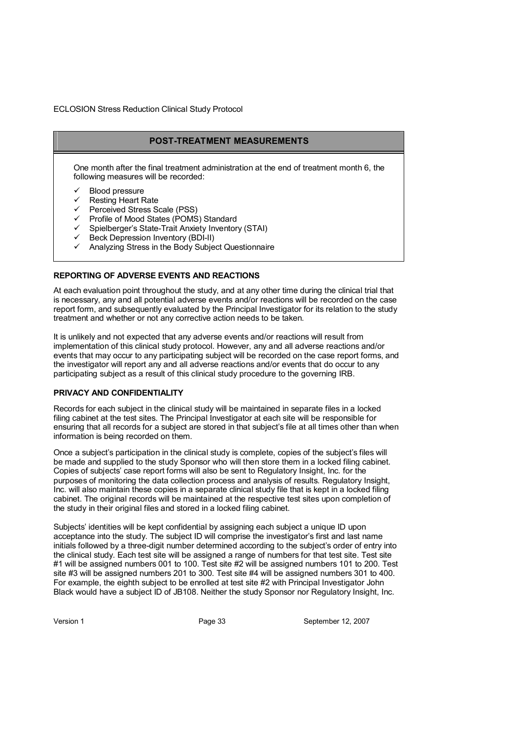# **POST-TREATMENT MEASUREMENTS**

One month after the final treatment administration at the end of treatment month 6, the following measures will be recorded:

- Blood pressure
- $\checkmark$  Resting Heart Rate
- Perceived Stress Scale (PSS)
- Profile of Mood States (POMS) Standard
- Spielberger's State-Trait Anxiety Inventory (STAI)
- $\checkmark$  Beck Depression Inventory (BDI-II)
- Analyzing Stress in the Body Subject Questionnaire

#### **REPORTING OF ADVERSE EVENTS AND REACTIONS**

At each evaluation point throughout the study, and at any other time during the clinical trial that is necessary, any and all potential adverse events and/or reactions will be recorded on the case report form, and subsequently evaluated by the Principal Investigator for its relation to the study treatment and whether or not any corrective action needs to be taken.

It is unlikely and not expected that any adverse events and/or reactions will result from implementation of this clinical study protocol. However, any and all adverse reactions and/or events that may occur to any participating subject will be recorded on the case report forms, and the investigator will report any and all adverse reactions and/or events that do occur to any participating subject as a result of this clinical study procedure to the governing IRB.

#### **PRIVACY AND CONFIDENTIALITY**

Records for each subject in the clinical study will be maintained in separate files in a locked filing cabinet at the test sites. The Principal Investigator at each site will be responsible for ensuring that all records for a subject are stored in that subject's file at all times other than when information is being recorded on them.

Once a subject's participation in the clinical study is complete, copies of the subject's files will be made and supplied to the study Sponsor who will then store them in a locked filing cabinet. Copies of subjects' case report forms will also be sent to Regulatory Insight, Inc. for the purposes of monitoring the data collection process and analysis of results. Regulatory Insight, Inc. will also maintain these copies in a separate clinical study file that is kept in a locked filing cabinet. The original records will be maintained at the respective test sites upon completion of the study in their original files and stored in a locked filing cabinet.

Subjects' identities will be kept confidential by assigning each subject a unique ID upon acceptance into the study. The subject ID will comprise the investigator's first and last name initials followed by a three-digit number determined according to the subject's order of entry into the clinical study. Each test site will be assigned a range of numbers for that test site. Test site #1 will be assigned numbers 001 to 100. Test site #2 will be assigned numbers 101 to 200. Test site #3 will be assigned numbers 201 to 300. Test site #4 will be assigned numbers 301 to 400. For example, the eighth subject to be enrolled at test site #2 with Principal Investigator John Black would have a subject ID of JB108. Neither the study Sponsor nor Regulatory Insight, Inc.

Version 1 **Page 33** September 12, 2007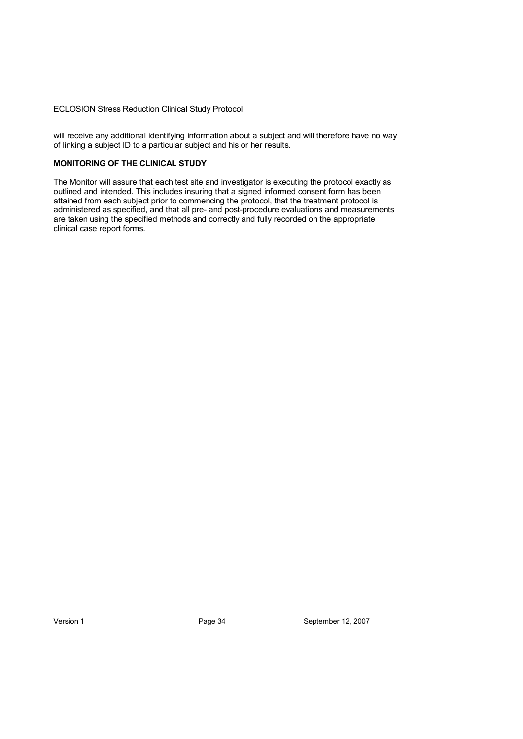will receive any additional identifying information about a subject and will therefore have no way of linking a subject ID to a particular subject and his or her results.

#### **MONITORING OF THE CLINICAL STUDY**

The Monitor will assure that each test site and investigator is executing the protocol exactly as outlined and intended. This includes insuring that a signed informed consent form has been attained from each subject prior to commencing the protocol, that the treatment protocol is administered as specified, and that all pre- and post-procedure evaluations and measurements are taken using the specified methods and correctly and fully recorded on the appropriate clinical case report forms.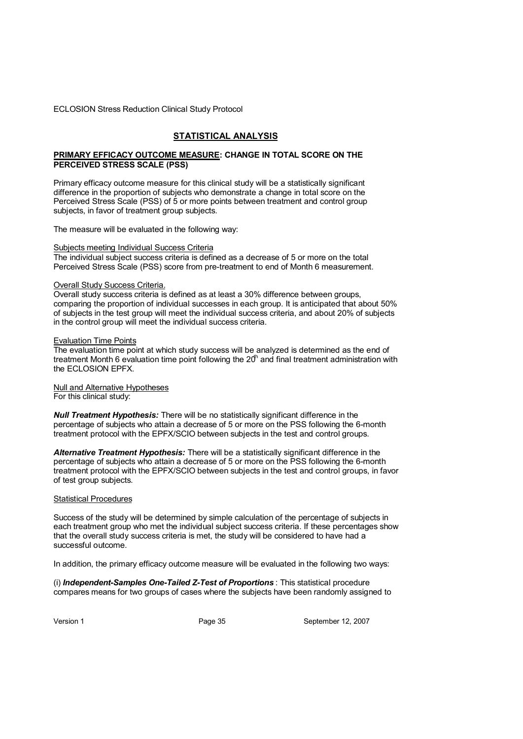#### ECLOSION Stress Reduction Clinical Study Protocol

#### **STATISTICAL ANALYSIS**

#### **PRIMARY EFFICACY OUTCOME MEASURE: CHANGE IN TOTAL SCORE ON THE PERCEIVED STRESS SCALE (PSS)**

Primary efficacy outcome measure for this clinical study will be a statistically significant difference in the proportion of subjects who demonstrate a change in total score on the Perceived Stress Scale (PSS) of 5 or more points between treatment and control group subjects, in favor of treatment group subjects.

The measure will be evaluated in the following way:

#### Subjects meeting Individual Success Criteria

The individual subject success criteria is defined as a decrease of 5 or more on the total Perceived Stress Scale (PSS) score from pre-treatment to end of Month 6 measurement.

#### Overall Study Success Criteria.

Overall study success criteria is defined as at least a 30% difference between groups, comparing the proportion of individual successes in each group. It is anticipated that about 50% of subjects in the test group will meet the individual success criteria, and about 20% of subjects in the control group will meet the individual success criteria.

#### Evaluation Time Points

The evaluation time point at which study success will be analyzed is determined as the end of treatment Month 6 evaluation time point following the  $20<sup>h</sup>$  and final treatment administration with the ECLOSION EPFX.

Null and Alternative Hypotheses For this clinical study:

*Null Treatment Hypothesis:* There will be no statistically significant difference in the percentage of subjects who attain a decrease of 5 or more on the PSS following the 6-month treatment protocol with the EPFX/SCIO between subjects in the test and control groups.

*Alternative Treatment Hypothesis:* There will be a statistically significant difference in the percentage of subjects who attain a decrease of 5 or more on the PSS following the 6-month treatment protocol with the EPFX/SCIO between subjects in the test and control groups, in favor of test group subjects.

#### Statistical Procedures

Success of the study will be determined by simple calculation of the percentage of subjects in each treatment group who met the individual subject success criteria. If these percentages show that the overall study success criteria is met, the study will be considered to have had a successful outcome.

In addition, the primary efficacy outcome measure will be evaluated in the following two ways:

(i) *Independent-Samples One-Tailed Z-Test of Proportions* : This statistical procedure compares means for two groups of cases where the subjects have been randomly assigned to

Version 1 **Page 35** Page 35 September 12, 2007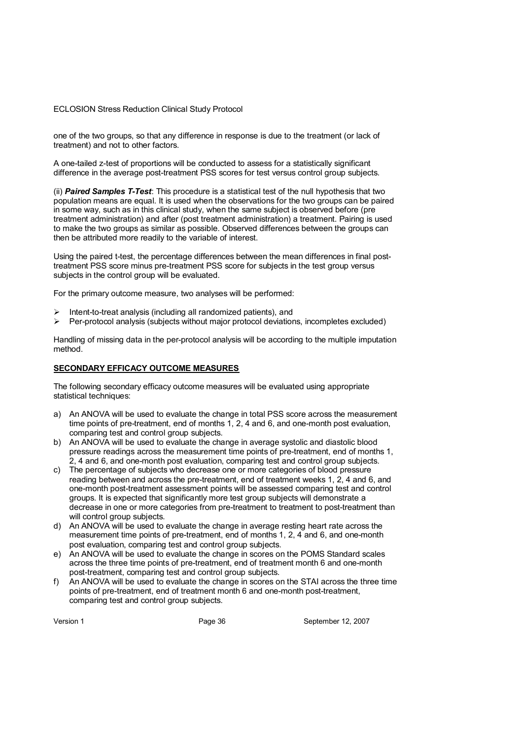#### ECLOSION Stress Reduction Clinical Study Protocol

one of the two groups, so that any difference in response is due to the treatment (or lack of treatment) and not to other factors.

A one-tailed z-test of proportions will be conducted to assess for a statistically significant difference in the average post-treatment PSS scores for test versus control group subjects.

(ii) *Paired Samples T-Test*: This procedure is a statistical test of the null hypothesis that two population means are equal. It is used when the observations for the two groups can be paired in some way, such as in this clinical study, when the same subject is observed before (pre treatment administration) and after (post treatment administration) a treatment. Pairing is used to make the two groups as similar as possible. Observed differences between the groups can then be attributed more readily to the variable of interest.

Using the paired t-test, the percentage differences between the mean differences in final posttreatment PSS score minus pre-treatment PSS score for subjects in the test group versus subjects in the control group will be evaluated.

For the primary outcome measure, two analyses will be performed:

- $\triangleright$  Intent-to-treat analysis (including all randomized patients), and
- $\triangleright$  Per-protocol analysis (subjects without major protocol deviations, incompletes excluded)

Handling of missing data in the per-protocol analysis will be according to the multiple imputation method.

#### **SECONDARY EFFICACY OUTCOME MEASURES**

The following secondary efficacy outcome measures will be evaluated using appropriate statistical techniques:

- a) An ANOVA will be used to evaluate the change in total PSS score across the measurement time points of pre-treatment, end of months 1, 2, 4 and 6, and one-month post evaluation, comparing test and control group subjects.
- b) An ANOVA will be used to evaluate the change in average systolic and diastolic blood pressure readings across the measurement time points of pre-treatment, end of months 1, 2, 4 and 6, and one-month post evaluation, comparing test and control group subjects.
- c) The percentage of subjects who decrease one or more categories of blood pressure reading between and across the pre-treatment, end of treatment weeks 1, 2, 4 and 6, and one-month post-treatment assessment points will be assessed comparing test and control groups. It is expected that significantly more test group subjects will demonstrate a decrease in one or more categories from pre-treatment to treatment to post-treatment than will control group subjects.
- d) An ANOVA will be used to evaluate the change in average resting heart rate across the measurement time points of pre-treatment, end of months 1, 2, 4 and 6, and one-month post evaluation, comparing test and control group subjects.
- e) An ANOVA will be used to evaluate the change in scores on the POMS Standard scales across the three time points of pre-treatment, end of treatment month 6 and one-month post-treatment, comparing test and control group subjects.
- f) An ANOVA will be used to evaluate the change in scores on the STAI across the three time points of pre-treatment, end of treatment month 6 and one-month post-treatment, comparing test and control group subjects.

Version 1 **Page 36** September 12, 2007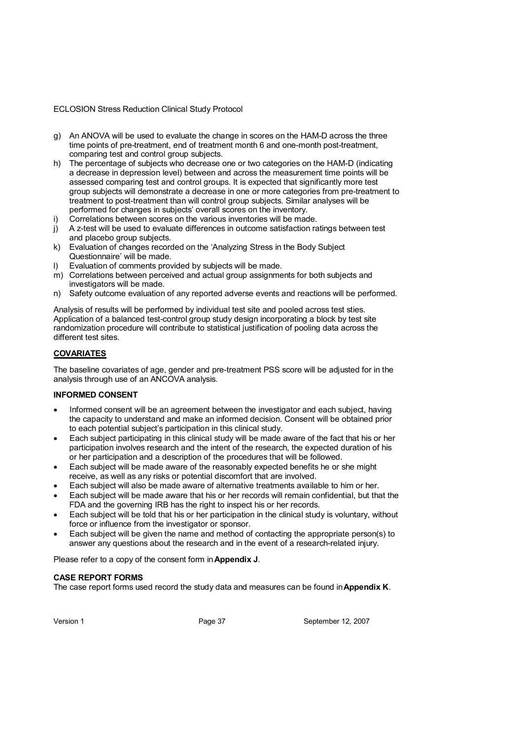#### ECLOSION Stress Reduction Clinical Study Protocol

- g) An ANOVA will be used to evaluate the change in scores on the HAM-D across the three time points of pre-treatment, end of treatment month 6 and one-month post-treatment, comparing test and control group subjects.
- h) The percentage of subjects who decrease one or two categories on the HAM-D (indicating a decrease in depression level) between and across the measurement time points will be assessed comparing test and control groups. It is expected that significantly more test group subjects will demonstrate a decrease in one or more categories from pre-treatment to treatment to post-treatment than will control group subjects. Similar analyses will be performed for changes in subjects' overall scores on the inventory.
- i) Correlations between scores on the various inventories will be made.
- j) A z-test will be used to evaluate differences in outcome satisfaction ratings between test and placebo group subjects.
- k) Evaluation of changes recorded on the 'Analyzing Stress in the Body Subject Questionnaire' will be made.
- Evaluation of comments provided by subjects will be made.
- m) Correlations between perceived and actual group assignments for both subjects and investigators will be made.
- n) Safety outcome evaluation of any reported adverse events and reactions will be performed.

Analysis of results will be performed by individual test site and pooled across test sties. Application of a balanced test-control group study design incorporating a block by test site randomization procedure will contribute to statistical justification of pooling data across the different test sites.

#### **COVARIATES**

The baseline covariates of age, gender and pre-treatment PSS score will be adjusted for in the analysis through use of an ANCOVA analysis.

#### **INFORMED CONSENT**

- Informed consent will be an agreement between the investigator and each subject, having the capacity to understand and make an informed decision. Consent will be obtained prior to each potential subject's participation in this clinical study.
- Each subject participating in this clinical study will be made aware of the fact that his or her participation involves research and the intent of the research, the expected duration of his or her participation and a description of the procedures that will be followed.
- Each subject will be made aware of the reasonably expected benefits he or she might receive, as well as any risks or potential discomfort that are involved.
- Each subject will also be made aware of alternative treatments available to him or her.
- Each subject will be made aware that his or her records will remain confidential, but that the FDA and the governing IRB has the right to inspect his or her records.
- Each subject will be told that his or her participation in the clinical study is voluntary, without force or influence from the investigator or sponsor.
- Each subject will be given the name and method of contacting the appropriate person(s) to answer any questions about the research and in the event of a research-related injury.

Please refer to a copy of the consent form in **Appendix J**.

#### **CASE REPORT FORMS**

The case report forms used record the study data and measures can be found in **Appendix K**.

Version 1 **Page 37** Page 37 September 12, 2007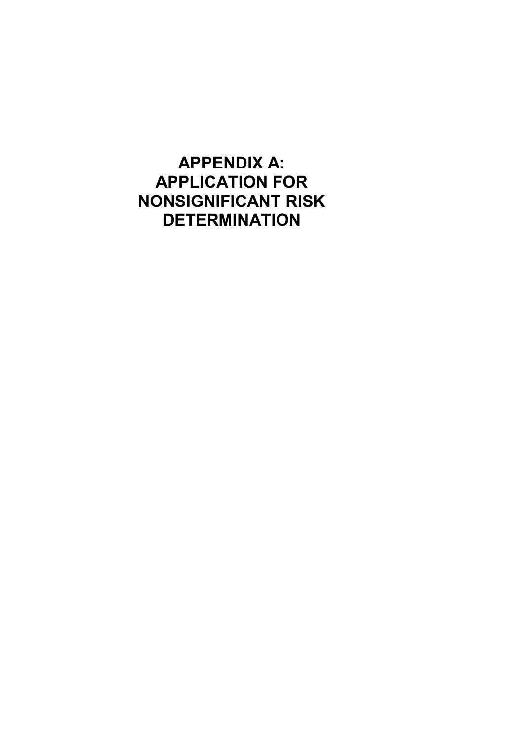**APPENDIX A: APPLICATION FOR NONSIGNIFICANT RISK DETERMINATION**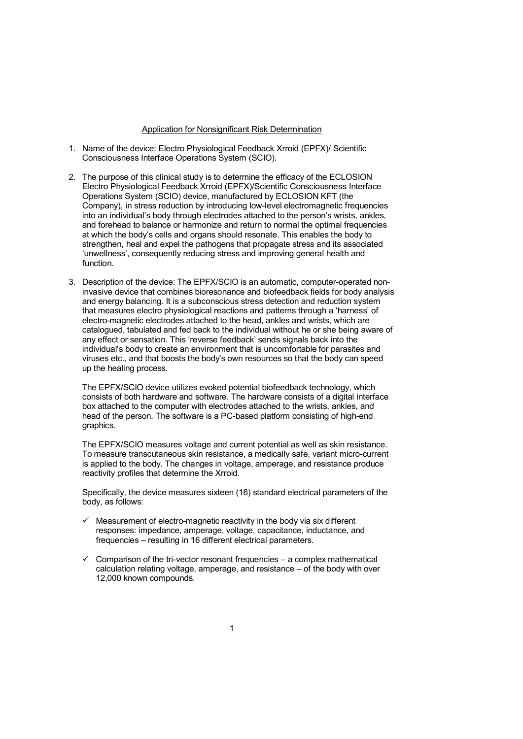#### Application for Nonsignificant Risk Determination

- 1. Name of the device: Electro Physiological Feedback Xrroid (EPFX)/ Scientific Consciousness Interface Operations System (SCIO).
- 2. The purpose of this clinical study is to determine the efficacy of the ECLOSION Electro Physiological Feedback Xrroid (EPFX)/Scientific Consciousness Interface Operations System (SCIO) device, manufactured by ECLOSION KFT (the Company), in stress reduction by introducing low-level electromagnetic frequencies into an individual's body through electrodes attached to the person's wrists, ankles, and forehead to balance or harmonize and return to normal the optimal frequencies at which the body's cells and organs should resonate. This enables the body to strengthen, heal and expel the pathogens that propagate stress and its associated 'unwellness', consequently reducing stress and improving general health and function.
- 3. Description of the device: The EPFX/SCIO is an automatic, computer-operated noninvasive device that combines bioresonance and biofeedback fields for body analysis and energy balancing. It is a subconscious stress detection and reduction system that measures electro physiological reactions and patterns through a 'harness' of electro-magnetic electrodes attached to the head, ankles and wrists, which are catalogued, tabulated and fed back to the individual without he or she being aware of any effect or sensation. This 'reverse feedback' sends signals back into the individual's body to create an environment that is uncomfortable for parasites and viruses etc., and that boosts the body's own resources so that the body can speed up the healing process.

The EPFX/SCIO device utilizes evoked potential biofeedback technology, which consists of both hardware and software. The hardware consists of a digital interface box attached to the computer with electrodes attached to the wrists, ankles, and head of the person. The software is a PC-based platform consisting of high-end graphics.

The EPFX/SCIO measures voltage and current potential as well as skin resistance. To measure transcutaneous skin resistance, a medically safe, variant micro-current is applied to the body. The changes in voltage, amperage, and resistance produce reactivity profiles that determine the Xrroid.

Specifically, the device measures sixteen (16) standard electrical parameters of the body, as follows:

- $\checkmark$  Measurement of electro-magnetic reactivity in the body via six different responses: impedance, amperage, voltage, capacitance, inductance, and frequencies – resulting in 16 different electrical parameters.
- $\checkmark$  Comparison of the tri-vector resonant frequencies a complex mathematical calculation relating voltage, amperage, and resistance – of the body with over 12,000 known compounds.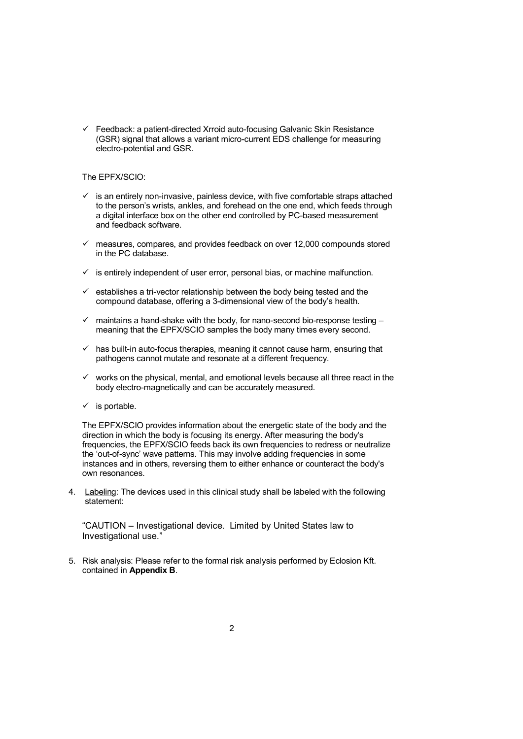$\checkmark$  Feedback: a patient-directed Xrroid auto-focusing Galvanic Skin Resistance (GSR) signal that allows a variant micro-current EDS challenge for measuring electro-potential and GSR.

#### The EPFX/SCIO:

- $\checkmark$  is an entirely non-invasive, painless device, with five comfortable straps attached to the person's wrists, ankles, and forehead on the one end, which feeds through a digital interface box on the other end controlled by PC-based measurement and feedback software.
- $\checkmark$  measures, compares, and provides feedback on over 12,000 compounds stored in the PC database.
- $\checkmark$  is entirely independent of user error, personal bias, or machine malfunction.
- $\checkmark$  establishes a tri-vector relationship between the body being tested and the compound database, offering a 3-dimensional view of the body's health.
- $\checkmark$  maintains a hand-shake with the body, for nano-second bio-response testing meaning that the EPFX/SCIO samples the body many times every second.
- $\checkmark$  has built-in auto-focus therapies, meaning it cannot cause harm, ensuring that pathogens cannot mutate and resonate at a different frequency.
- $\checkmark$  works on the physical, mental, and emotional levels because all three react in the body electro-magnetically and can be accurately measured.
- $\checkmark$  is portable.

The EPFX/SCIO provides information about the energetic state of the body and the direction in which the body is focusing its energy. After measuring the body's frequencies, the EPFX/SCIO feeds back its own frequencies to redress or neutralize the 'out-of-sync' wave patterns. This may involve adding frequencies in some instances and in others, reversing them to either enhance or counteract the body's own resonances.

4. Labeling: The devices used in this clinical study shall be labeled with the following statement:

"CAUTION – Investigational device. Limited by United States law to Investigational use."

5. Risk analysis: Please refer to the formal risk analysis performed by Eclosion Kft. contained in **Appendix B**.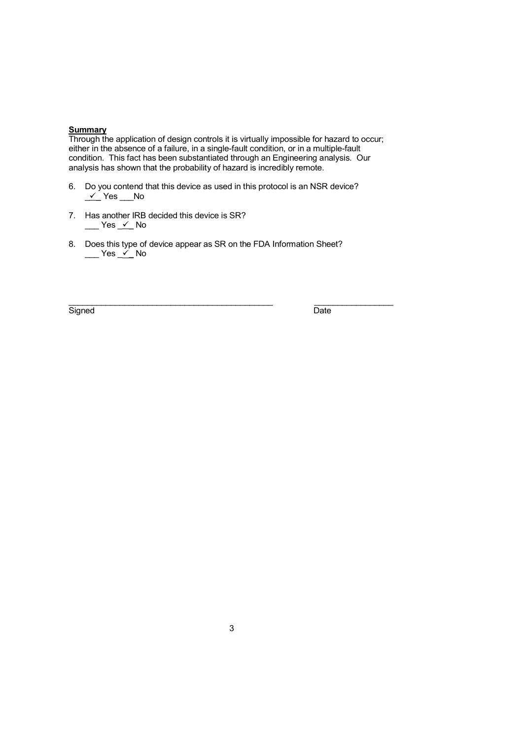#### **Summary**

Through the application of design controls it is virtually impossible for hazard to occur; either in the absence of a failure, in a single-fault condition, or in a multiple-fault condition. This fact has been substantiated through an Engineering analysis. Our analysis has shown that the probability of hazard is incredibly remote.

 $\_$  , and the set of the set of the set of the set of the set of the set of the set of the set of the set of the set of the set of the set of the set of the set of the set of the set of the set of the set of the set of th

- 6. Do you contend that this device as used in this protocol is an NSR device?  $\underline{\smash{\checkmark}}$  Yes  $\underline{\hspace{1cm}}$  No
- 7. Has another IRB decided this device is SR?  $\_\_\_\$  Yes  $\_\checkmark$  No
- 8. Does this type of device appear as SR on the FDA Information Sheet?  $\rule{1em}{0.15mm}$  Yes  $\rule{1em}{0.15mm}$  No

Signed Date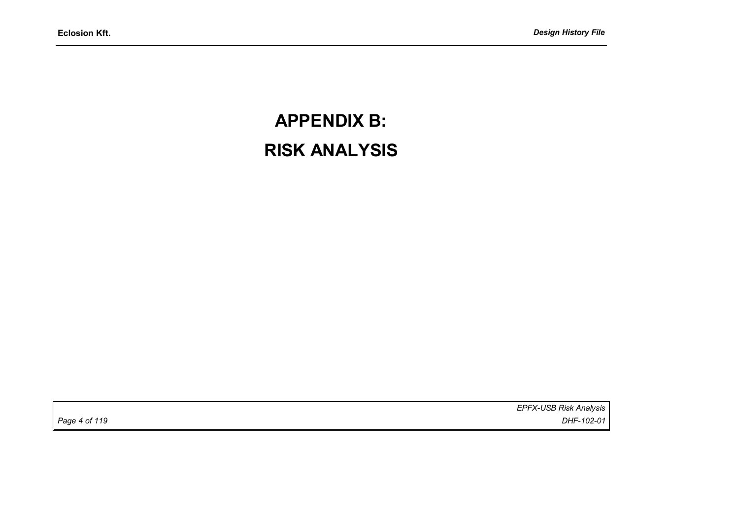# **APPENDIX B: RISK ANALYSIS**

*EPFX-USB Risk Analysis Page 4 of 119 DHF-102-01*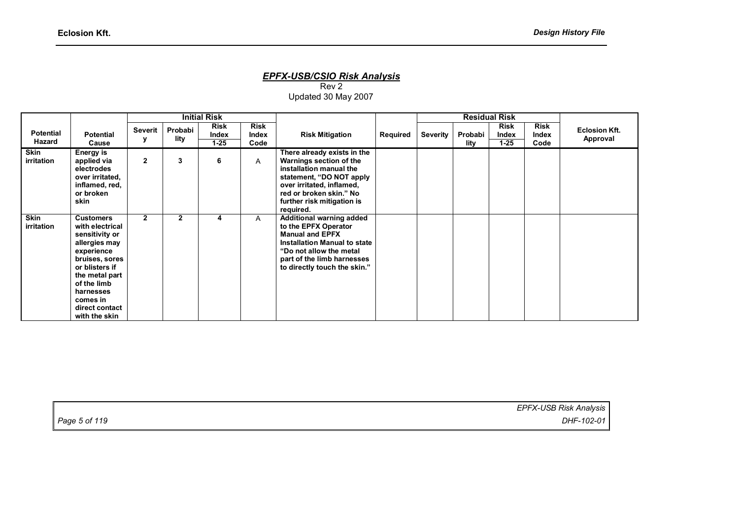#### *EPFX-USB/CSIO Risk Analysis*

Rev 2 Updated 30 May 2007

|                            |                                                                                                                                                                                                                       |              |                 | <b>Initial Risk</b>              |                              |                                                                                                                                                                                                                  |          |          | <b>Residual Risk</b> |                                  |                              |                                  |
|----------------------------|-----------------------------------------------------------------------------------------------------------------------------------------------------------------------------------------------------------------------|--------------|-----------------|----------------------------------|------------------------------|------------------------------------------------------------------------------------------------------------------------------------------------------------------------------------------------------------------|----------|----------|----------------------|----------------------------------|------------------------------|----------------------------------|
| <b>Potential</b><br>Hazard | <b>Potential</b><br>Cause                                                                                                                                                                                             | Severit      | Probabi<br>lity | <b>Risk</b><br>Index<br>$1 - 25$ | <b>Risk</b><br>Index<br>Code | <b>Risk Mitigation</b>                                                                                                                                                                                           | Required | Severity | Probabi<br>lity      | <b>Risk</b><br>Index<br>$1 - 25$ | <b>Risk</b><br>Index<br>Code | <b>Eclosion Kft.</b><br>Approval |
| Skin<br>irritation         | Energy is<br>applied via<br>electrodes<br>over irritated,<br>inflamed, red,<br>or broken<br>skin                                                                                                                      | $\mathbf{2}$ | 3               | 6                                | A                            | There already exists in the<br>Warnings section of the<br>installation manual the<br>statement, "DO NOT apply<br>over irritated, inflamed,<br>red or broken skin." No<br>further risk mitigation is<br>required. |          |          |                      |                                  |                              |                                  |
| <b>Skin</b><br>irritation  | <b>Customers</b><br>with electrical<br>sensitivity or<br>allergies may<br>experience<br>bruises, sores<br>or blisters if<br>the metal part<br>of the limb<br>harnesses<br>comes in<br>direct contact<br>with the skin | $\mathbf{2}$ | $\mathbf{2}$    |                                  | $\mathsf{A}$                 | Additional warning added<br>to the EPFX Operator<br><b>Manual and EPFX</b><br>Installation Manual to state<br>"Do not allow the metal"<br>part of the limb harnesses<br>to directly touch the skin."             |          |          |                      |                                  |                              |                                  |

| Page 5 of 119 | EPFX-USB Risk Analysis |
|---------------|------------------------|
|               | DHF-102-01             |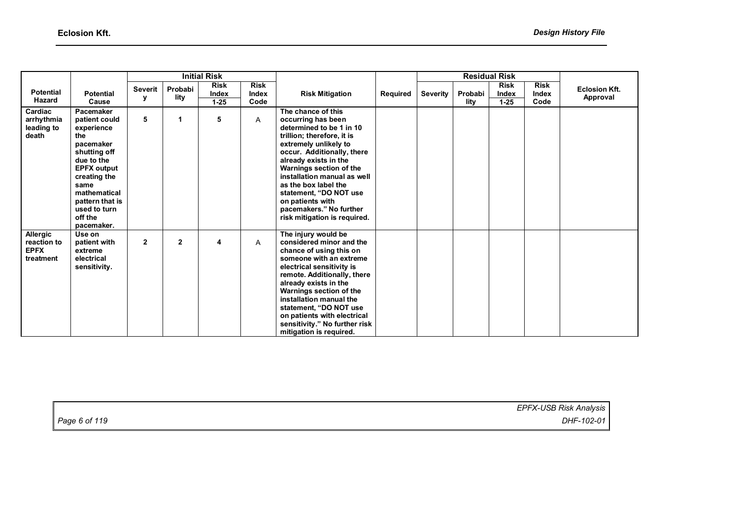|                                                            |                                                                                                                                                                                                                      |                     | <b>Initial Risk</b> |                                  |                              |                                                                                                                                                                                                                                                                                                                                                                               |          | <b>Residual Risk</b> |                 |                                  |                              |                                  |
|------------------------------------------------------------|----------------------------------------------------------------------------------------------------------------------------------------------------------------------------------------------------------------------|---------------------|---------------------|----------------------------------|------------------------------|-------------------------------------------------------------------------------------------------------------------------------------------------------------------------------------------------------------------------------------------------------------------------------------------------------------------------------------------------------------------------------|----------|----------------------|-----------------|----------------------------------|------------------------------|----------------------------------|
| <b>Potential</b><br>Hazard                                 | <b>Potential</b><br>Cause                                                                                                                                                                                            | <b>Severit</b><br>у | Probabi<br>lity     | <b>Risk</b><br>Index<br>$1 - 25$ | <b>Risk</b><br>Index<br>Code | <b>Risk Mitigation</b>                                                                                                                                                                                                                                                                                                                                                        | Required | Severity             | Probabi<br>lity | <b>Risk</b><br>Index<br>$1 - 25$ | <b>Risk</b><br>Index<br>Code | <b>Eclosion Kft.</b><br>Approval |
| Cardiac<br>arrhythmia<br>leading to<br>death               | Pacemaker<br>patient could<br>experience<br>the<br>pacemaker<br>shutting off<br>due to the<br><b>EPFX output</b><br>creating the<br>same<br>mathematical<br>pattern that is<br>used to turn<br>off the<br>pacemaker. | 5                   |                     | 5                                | A                            | The chance of this<br>occurring has been<br>determined to be 1 in 10<br>trillion; therefore, it is<br>extremely unlikely to<br>occur. Additionally, there<br>already exists in the<br>Warnings section of the<br>installation manual as well<br>as the box label the<br>statement, "DO NOT use<br>on patients with<br>pacemakers." No further<br>risk mitigation is required. |          |                      |                 |                                  |                              |                                  |
| <b>Allergic</b><br>reaction to<br><b>EPFX</b><br>treatment | Use on<br>patient with<br>extreme<br>electrical<br>sensitivity.                                                                                                                                                      | $\overline{2}$      | $\mathbf{2}$        | 4                                | A                            | The injury would be<br>considered minor and the<br>chance of using this on<br>someone with an extreme<br>electrical sensitivity is<br>remote. Additionally, there<br>already exists in the<br>Warnings section of the<br>installation manual the<br>statement, "DO NOT use<br>on patients with electrical<br>sensitivity." No further risk<br>mitigation is required.         |          |                      |                 |                                  |                              |                                  |

|               | EPFX-USB Risk Analysis |
|---------------|------------------------|
| Page 6 of 119 | DHF-102-01             |
|               |                        |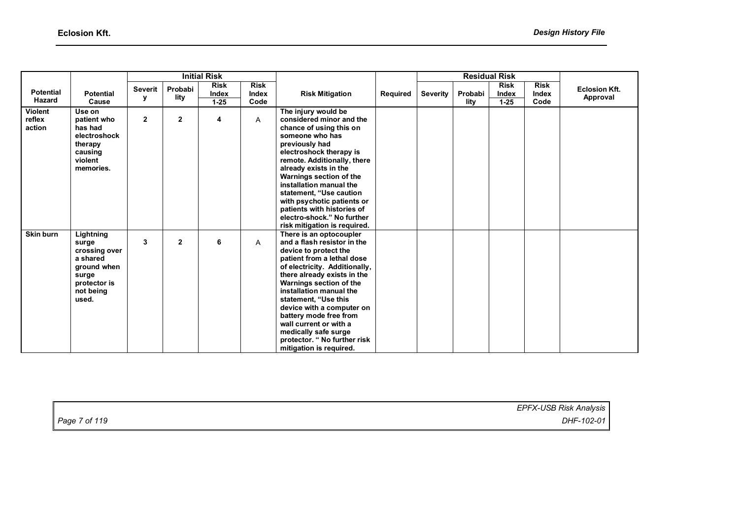|                                    |                                                                                                               |                     | <b>Initial Risk</b> |                                  |                              |                                                                                                                                                                                                                                                                                                                                                                                                                                | <b>Residual Risk</b> |                 |                 |                                  |                              |                                  |  |
|------------------------------------|---------------------------------------------------------------------------------------------------------------|---------------------|---------------------|----------------------------------|------------------------------|--------------------------------------------------------------------------------------------------------------------------------------------------------------------------------------------------------------------------------------------------------------------------------------------------------------------------------------------------------------------------------------------------------------------------------|----------------------|-----------------|-----------------|----------------------------------|------------------------------|----------------------------------|--|
| <b>Potential</b><br>Hazard         | <b>Potential</b><br>Cause                                                                                     | <b>Severit</b><br>У | Probabi<br>lity     | <b>Risk</b><br>Index<br>$1 - 25$ | <b>Risk</b><br>Index<br>Code | <b>Risk Mitigation</b>                                                                                                                                                                                                                                                                                                                                                                                                         | Required             | <b>Severity</b> | Probabi<br>lity | <b>Risk</b><br>Index<br>$1 - 25$ | <b>Risk</b><br>Index<br>Code | <b>Eclosion Kft.</b><br>Approval |  |
| <b>Violent</b><br>reflex<br>action | Use on<br>patient who<br>has had<br>electroshock<br>therapy<br>causing<br>violent<br>memories.                | $\overline{2}$      | $\overline{2}$      | 4                                | A                            | The injury would be<br>considered minor and the<br>chance of using this on<br>someone who has<br>previously had<br>electroshock therapy is<br>remote. Additionally, there<br>already exists in the<br>Warnings section of the<br>installation manual the<br>statement, "Use caution<br>with psychotic patients or<br>patients with histories of<br>electro-shock." No further<br>risk mitigation is required.                  |                      |                 |                 |                                  |                              |                                  |  |
| <b>Skin burn</b>                   | Lightning<br>surge<br>crossing over<br>a shared<br>ground when<br>surge<br>protector is<br>not being<br>used. | 3                   | $\overline{2}$      | 6                                | A                            | There is an optocoupler<br>and a flash resistor in the<br>device to protect the<br>patient from a lethal dose<br>of electricity. Additionally,<br>there already exists in the<br>Warnings section of the<br>installation manual the<br>statement, "Use this<br>device with a computer on<br>battery mode free from<br>wall current or with a<br>medically safe surge<br>protector. "No further risk<br>mitigation is required. |                      |                 |                 |                                  |                              |                                  |  |

|               | EPFX-USB Risk Analysis |
|---------------|------------------------|
| Page 7 of 119 | DHF-102-01             |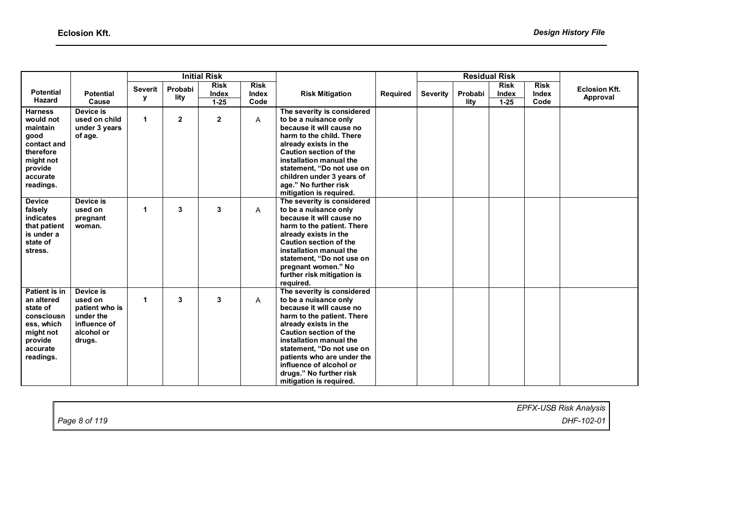|                                                                                                                              |                                                                                             |                     |                 | <b>Initial Risk</b>              |                              |                                                                                                                                                                                                                                                                                                                                                |          |                 |                 | <b>Residual Risk</b>             |                              |                                  |
|------------------------------------------------------------------------------------------------------------------------------|---------------------------------------------------------------------------------------------|---------------------|-----------------|----------------------------------|------------------------------|------------------------------------------------------------------------------------------------------------------------------------------------------------------------------------------------------------------------------------------------------------------------------------------------------------------------------------------------|----------|-----------------|-----------------|----------------------------------|------------------------------|----------------------------------|
| <b>Potential</b><br>Hazard                                                                                                   | <b>Potential</b><br>Cause                                                                   | <b>Severit</b><br>у | Probabi<br>lity | <b>Risk</b><br>Index<br>$1 - 25$ | <b>Risk</b><br>Index<br>Code | <b>Risk Mitigation</b>                                                                                                                                                                                                                                                                                                                         | Required | <b>Severity</b> | Probabi<br>lity | <b>Risk</b><br>Index<br>$1 - 25$ | <b>Risk</b><br>Index<br>Code | <b>Eclosion Kft.</b><br>Approval |
| <b>Harness</b><br>would not<br>maintain<br>good<br>contact and<br>therefore<br>might not<br>provide<br>accurate<br>readings. | Device is<br>used on child<br>under 3 years<br>of age.                                      | 1                   | $\mathbf{2}$    | $\overline{2}$                   | A                            | The severity is considered<br>to be a nuisance only<br>because it will cause no<br>harm to the child. There<br>already exists in the<br><b>Caution section of the</b><br>installation manual the<br>statement, "Do not use on<br>children under 3 years of<br>age." No further risk<br>mitigation is required.                                 |          |                 |                 |                                  |                              |                                  |
| <b>Device</b><br>falsely<br><b>indicates</b><br>that patient<br>is under a<br>state of<br>stress.                            | Device is<br>used on<br>pregnant<br>woman.                                                  | 1                   | 3               | 3                                | A                            | The severity is considered<br>to be a nuisance only<br>because it will cause no<br>harm to the patient. There<br>already exists in the<br><b>Caution section of the</b><br>installation manual the<br>statement, "Do not use on<br>pregnant women." No<br>further risk mitigation is<br>required.                                              |          |                 |                 |                                  |                              |                                  |
| Patient is in<br>an altered<br>state of<br>consciousn<br>ess, which<br>might not<br>provide<br>accurate<br>readings.         | Device is<br>used on<br>patient who is<br>under the<br>influence of<br>alcohol or<br>drugs. | 1                   | 3               | 3                                | A                            | The severity is considered<br>to be a nuisance only<br>because it will cause no<br>harm to the patient. There<br>already exists in the<br><b>Caution section of the</b><br>installation manual the<br>statement, "Do not use on<br>patients who are under the<br>influence of alcohol or<br>drugs." No further risk<br>mitigation is required. |          |                 |                 |                                  |                              |                                  |

|               | EPFX-USB Risk Analysis |
|---------------|------------------------|
| Page 8 of 119 | DHF-102-01             |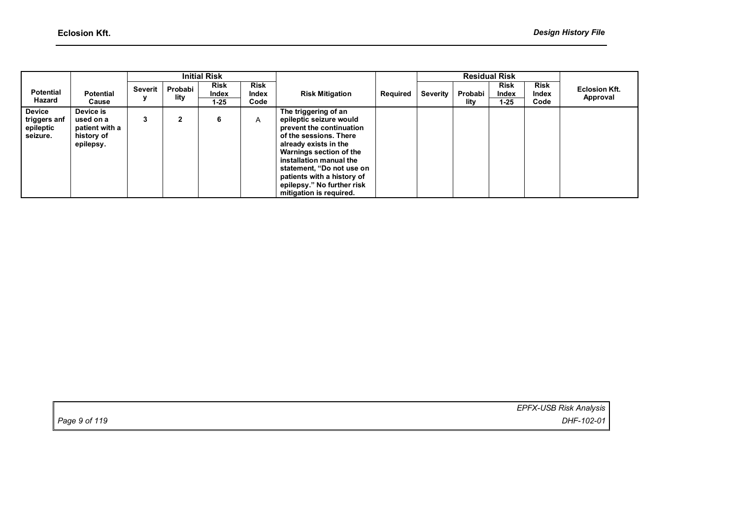|                                                        |                                                                     |         |                 | <b>Initial Risk</b>              |                              |                                                                                                                                                                                                                                                                                                          |          |                 |                 | <b>Residual Risk</b>         |                              |                                  |
|--------------------------------------------------------|---------------------------------------------------------------------|---------|-----------------|----------------------------------|------------------------------|----------------------------------------------------------------------------------------------------------------------------------------------------------------------------------------------------------------------------------------------------------------------------------------------------------|----------|-----------------|-----------------|------------------------------|------------------------------|----------------------------------|
| <b>Potential</b><br>Hazard                             | <b>Potential</b><br>Cause                                           | Severit | Probabi<br>lity | <b>Risk</b><br>Index<br>$1 - 25$ | <b>Risk</b><br>Index<br>Code | <b>Risk Mitigation</b>                                                                                                                                                                                                                                                                                   | Required | <b>Severity</b> | Probabi<br>lity | <b>Risk</b><br>Index<br>1-25 | <b>Risk</b><br>Index<br>Code | <b>Eclosion Kft.</b><br>Approval |
| <b>Device</b><br>triggers anf<br>epileptic<br>seizure. | Device is<br>used on a<br>patient with a<br>history of<br>epilepsy. | 3       |                 | 6                                | A                            | The triggering of an<br>epileptic seizure would<br>prevent the continuation<br>of the sessions. There<br>already exists in the<br>Warnings section of the<br>installation manual the<br>statement, "Do not use on<br>patients with a history of<br>epilepsy." No further risk<br>mitigation is required. |          |                 |                 |                              |                              |                                  |

*EPFX-USB Risk Analysis Page 9 of 119 DHF-102-01*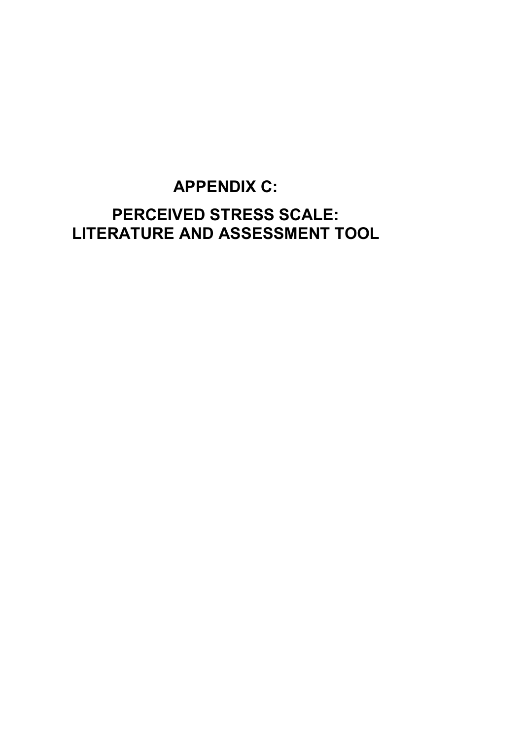# **APPENDIX C: PERCEIVED STRESS SCALE: LITERATURE AND ASSESSMENT TOOL**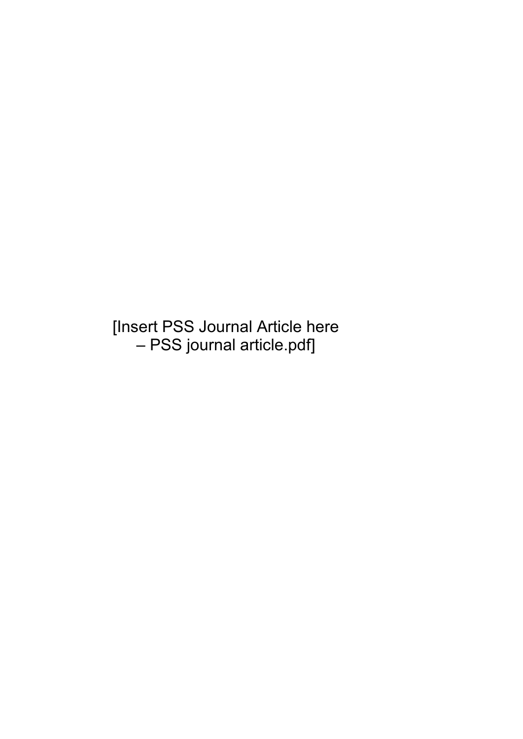[Insert PSS Journal Article here – PSS journal article.pdf]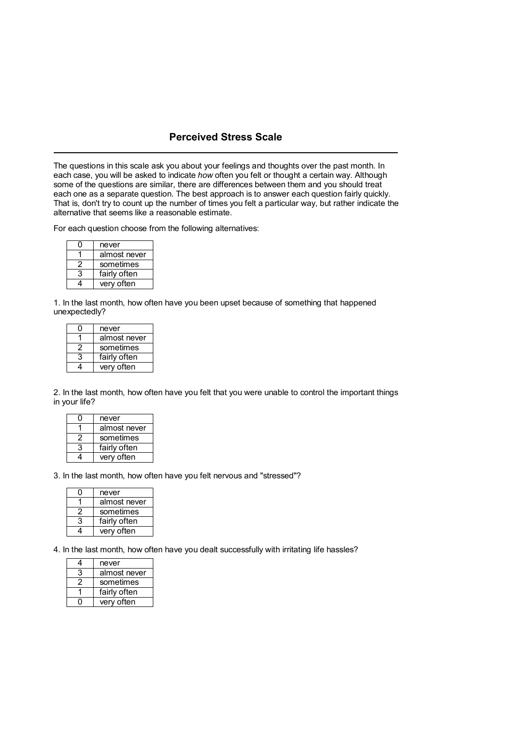#### **Perceived Stress Scale**

The questions in this scale ask you about your feelings and thoughts over the past month. In each case, you will be asked to indicate *how* often you felt or thought a certain way. Although some of the questions are similar, there are differences between them and you should treat each one as a separate question. The best approach is to answer each question fairly quickly. That is, don't try to count up the number of times you felt a particular way, but rather indicate the alternative that seems like a reasonable estimate.

For each question choose from the following alternatives:

|   | never        |
|---|--------------|
|   | almost never |
| 2 | sometimes    |
| 3 | fairly often |
|   | very often   |

1. In the last month, how often have you been upset because of something that happened unexpectedly?

|   | never        |
|---|--------------|
|   | almost never |
| 2 | sometimes    |
| 3 | fairly often |
|   | very often   |

2. In the last month, how often have you felt that you were unable to control the important things in your life?

| 0 | never        |
|---|--------------|
|   | almost never |
| 2 | sometimes    |
| 3 | fairly often |
|   | very often   |

#### 3. In the last month, how often have you felt nervous and "stressed"?

|    | never        |
|----|--------------|
|    | almost never |
| -2 | sometimes    |
| 3  | fairly often |
|    | very often   |

4. In the last month, how often have you dealt successfully with irritating life hassles?

|   | never        |
|---|--------------|
| 3 | almost never |
| 2 | sometimes    |
|   | fairly often |
|   | very often   |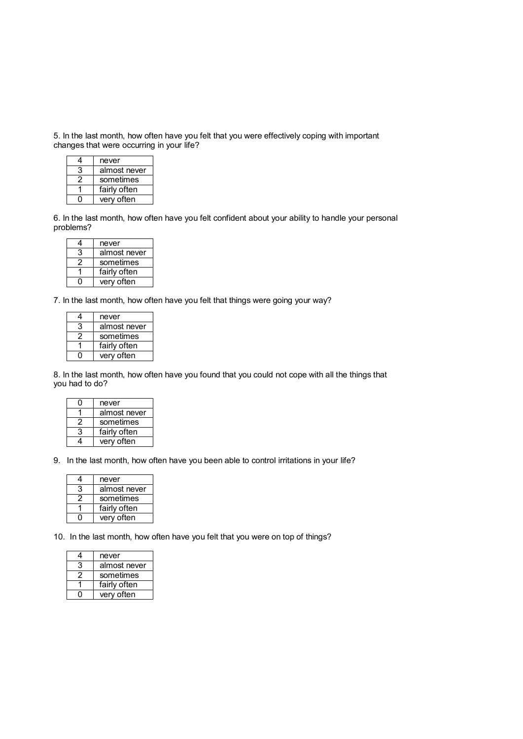5. In the last month, how often have you felt that you were effectively coping with important changes that were occurring in your life?

|     | never        |
|-----|--------------|
| 3   | almost never |
| 2   | sometimes    |
|     | fairly often |
| . . | very often   |

6. In the last month, how often have you felt confident about your ability to handle your personal problems?

|   | never        |
|---|--------------|
| 3 | almost never |
| 2 | sometimes    |
|   | fairly often |
|   | verv often   |

7. In the last month, how often have you felt that things were going your way?

| 4 | never        |
|---|--------------|
| 3 | almost never |
| 2 | sometimes    |
|   | fairly often |
|   | very often   |

8. In the last month, how often have you found that you could not cope with all the things that you had to do?

|   | never        |
|---|--------------|
|   | almost never |
| 2 | sometimes    |
| 3 | fairly often |
|   | very often   |

9. In the last month, how often have you been able to control irritations in your life?

|   | never        |
|---|--------------|
| 3 | almost never |
|   | sometimes    |
|   | fairly often |
|   | very often   |

10. In the last month, how often have you felt that you were on top of things?

| 4 | never        |
|---|--------------|
| 3 | almost never |
| 2 | sometimes    |
|   | fairly often |
|   | very often   |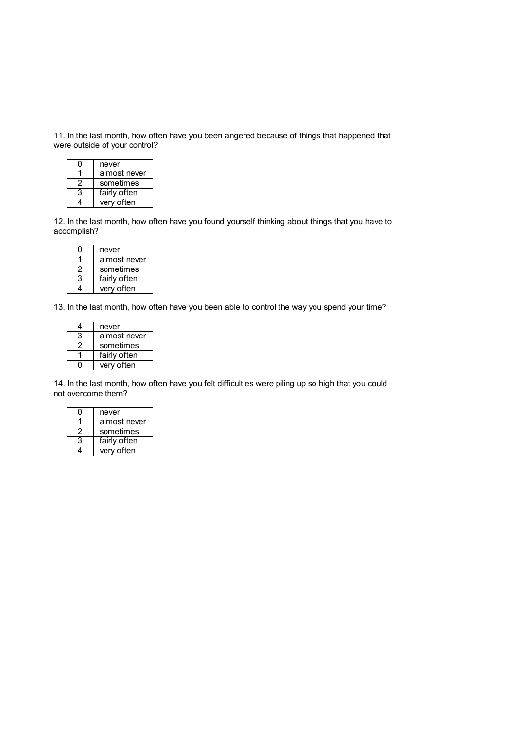11. In the last month, how often have you been angered because of things that happened that were outside of your control?

|   | never        |
|---|--------------|
|   | almost never |
| 2 | sometimes    |
| 3 | fairly often |
|   | very often   |

12. In the last month, how often have you found yourself thinking about things that you have to accomplish?

| Ω | never        |
|---|--------------|
|   | almost never |
| 2 | sometimes    |
| 3 | fairly often |
|   | very often   |

13. In the last month, how often have you been able to control the way you spend your time?

| 4 | never        |
|---|--------------|
| 3 | almost never |
| 2 | sometimes    |
|   | fairly often |
|   | very often   |

14. In the last month, how often have you felt difficulties were piling up so high that you could not overcome them?

|   | never        |
|---|--------------|
|   | almost never |
|   | sometimes    |
| 3 | fairly often |
|   | very often   |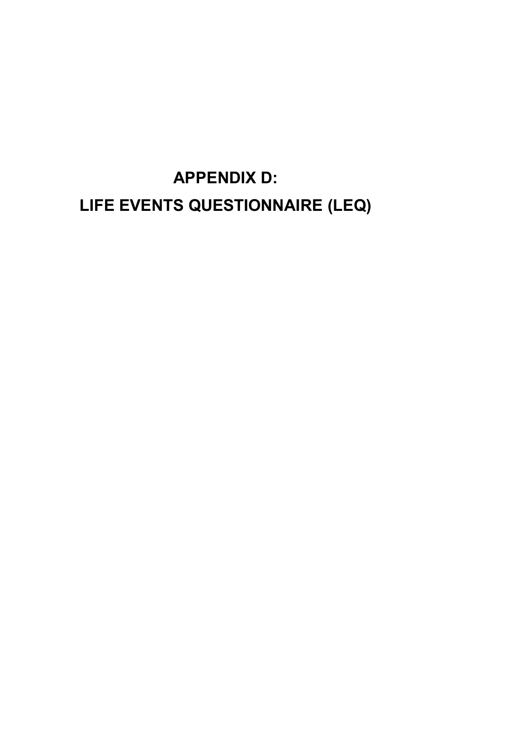**APPENDIX D: LIFE EVENTS QUESTIONNAIRE (LEQ)**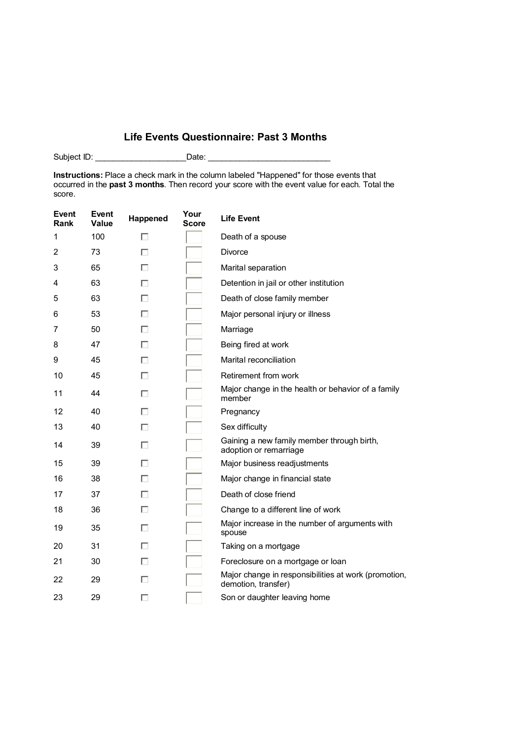## **Life Events Questionnaire: Past 3 Months**

Subject ID: \_\_\_\_\_\_\_\_\_\_\_\_\_\_\_\_\_\_\_\_\_\_\_\_\_\_\_\_\_Date: \_\_\_\_\_\_\_\_\_\_\_\_\_\_\_\_\_\_\_\_\_\_\_\_\_\_\_\_\_\_\_\_\_

**Instructions:** Place a check mark in the column labeled "Happened" for those events that occurred in the **past 3 months**. Then record your score with the event value for each. Total the score.

| Event<br>Rank | <b>Event</b><br><b>Value</b> | Happened | Your<br><b>Score</b> | <b>Life Event</b>                                                           |
|---------------|------------------------------|----------|----------------------|-----------------------------------------------------------------------------|
| 1             | 100                          | П        |                      | Death of a spouse                                                           |
| 2             | 73                           | п        |                      | <b>Divorce</b>                                                              |
| 3             | 65                           | п        |                      | Marital separation                                                          |
| 4             | 63                           | п        |                      | Detention in jail or other institution                                      |
| 5             | 63                           | п        |                      | Death of close family member                                                |
| 6             | 53                           | П        |                      | Major personal injury or illness                                            |
| 7             | 50                           | П        |                      | Marriage                                                                    |
| 8             | 47                           | П        |                      | Being fired at work                                                         |
| 9             | 45                           | п        |                      | Marital reconciliation                                                      |
| 10            | 45                           | п        |                      | Retirement from work                                                        |
| 11            | 44                           | п        |                      | Major change in the health or behavior of a family<br>member                |
| 12            | 40                           | п        |                      | Pregnancy                                                                   |
| 13            | 40                           | ш        |                      | Sex difficulty                                                              |
| 14            | 39                           | ш        |                      | Gaining a new family member through birth,<br>adoption or remarriage        |
| 15            | 39                           | п        |                      | Major business readjustments                                                |
| 16            | 38                           | п        |                      | Major change in financial state                                             |
| 17            | 37                           | п        |                      | Death of close friend                                                       |
| 18            | 36                           | П        |                      | Change to a different line of work                                          |
| 19            | 35                           | п        |                      | Major increase in the number of arguments with<br>spouse                    |
| 20            | 31                           | п        |                      | Taking on a mortgage                                                        |
| 21            | 30                           | П        |                      | Foreclosure on a mortgage or loan                                           |
| 22            | 29                           |          |                      | Major change in responsibilities at work (promotion,<br>demotion, transfer) |
| 23            | 29                           |          |                      | Son or daughter leaving home                                                |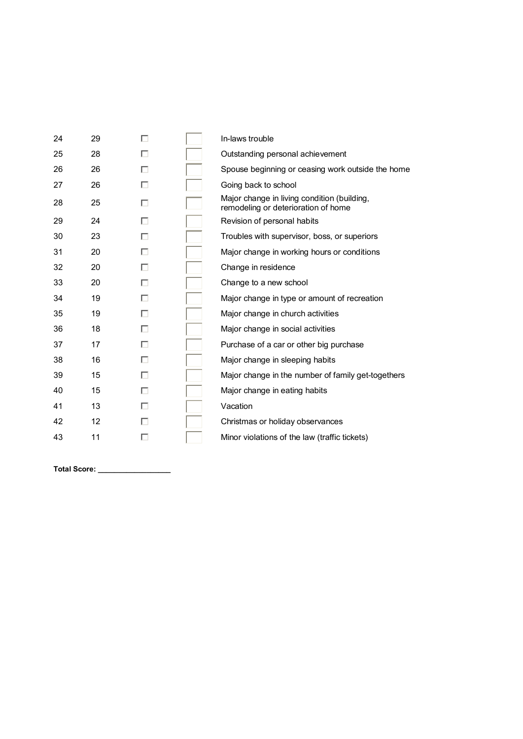| 24 | 29 | П | In-laws trouble                                                                    |
|----|----|---|------------------------------------------------------------------------------------|
| 25 | 28 | п | Outstanding personal achievement                                                   |
| 26 | 26 | п | Spouse beginning or ceasing work outside the home                                  |
| 27 | 26 | п | Going back to school                                                               |
| 28 | 25 | п | Major change in living condition (building,<br>remodeling or deterioration of home |
| 29 | 24 | п | Revision of personal habits                                                        |
| 30 | 23 | п | Troubles with supervisor, boss, or superiors                                       |
| 31 | 20 | п | Major change in working hours or conditions                                        |
| 32 | 20 | п | Change in residence                                                                |
| 33 | 20 | п | Change to a new school                                                             |
| 34 | 19 | п | Major change in type or amount of recreation                                       |
| 35 | 19 | п | Major change in church activities                                                  |
| 36 | 18 | п | Major change in social activities                                                  |
| 37 | 17 | п | Purchase of a car or other big purchase                                            |
| 38 | 16 | п | Major change in sleeping habits                                                    |
| 39 | 15 | п | Major change in the number of family get-togethers                                 |
| 40 | 15 | п | Major change in eating habits                                                      |
| 41 | 13 | п | Vacation                                                                           |
| 42 | 12 | П | Christmas or holiday observances                                                   |
| 43 | 11 | п | Minor violations of the law (traffic tickets)                                      |
|    |    |   |                                                                                    |
|    |    |   |                                                                                    |

**Total Score: \_\_\_\_\_\_\_\_\_\_\_\_\_\_\_\_\_\_**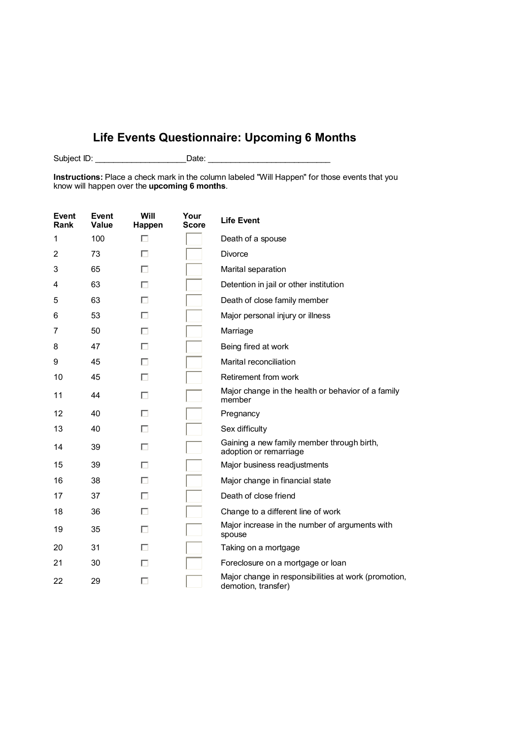## **Life Events Questionnaire: Upcoming 6 Months**

Subject ID: \_\_\_\_\_\_\_\_\_\_\_\_\_\_\_\_\_\_\_\_ Date: \_\_\_\_\_\_\_\_\_\_\_\_\_\_\_\_\_\_\_\_\_\_\_\_\_\_\_

**Instructions:** Place a check mark in the column labeled "Will Happen" for those events that you know will happen over the **upcoming 6 months**.

| <b>Event</b><br>Rank | Event<br>Value | Will<br>Happen | Your<br>Score | <b>Life Event</b>                                                           |
|----------------------|----------------|----------------|---------------|-----------------------------------------------------------------------------|
| 1                    | 100            | п              |               | Death of a spouse                                                           |
| 2                    | 73             | п              |               | <b>Divorce</b>                                                              |
| 3                    | 65             | П              |               | Marital separation                                                          |
| 4                    | 63             | п              |               | Detention in jail or other institution                                      |
| 5                    | 63             | п              |               | Death of close family member                                                |
| 6                    | 53             | п              |               | Major personal injury or illness                                            |
| 7                    | 50             | п              |               | Marriage                                                                    |
| 8                    | 47             | П              |               | Being fired at work                                                         |
| 9                    | 45             | п              |               | Marital reconciliation                                                      |
| 10                   | 45             | П              |               | Retirement from work                                                        |
| 11                   | 44             | п              |               | Major change in the health or behavior of a family<br>member                |
| 12                   | 40             | п              |               | Pregnancy                                                                   |
| 13                   | 40             | п              |               | Sex difficulty                                                              |
| 14                   | 39             | п              |               | Gaining a new family member through birth,<br>adoption or remarriage        |
| 15                   | 39             | п              |               | Major business readjustments                                                |
| 16                   | 38             |                |               | Major change in financial state                                             |
| 17                   | 37             | п              |               | Death of close friend                                                       |
| 18                   | 36             | п              |               | Change to a different line of work                                          |
| 19                   | 35             | П              |               | Major increase in the number of arguments with<br>spouse                    |
| 20                   | 31             | п              |               | Taking on a mortgage                                                        |
| 21                   | 30             | H              |               | Foreclosure on a mortgage or loan                                           |
| 22                   | 29             | п              |               | Major change in responsibilities at work (promotion,<br>demotion, transfer) |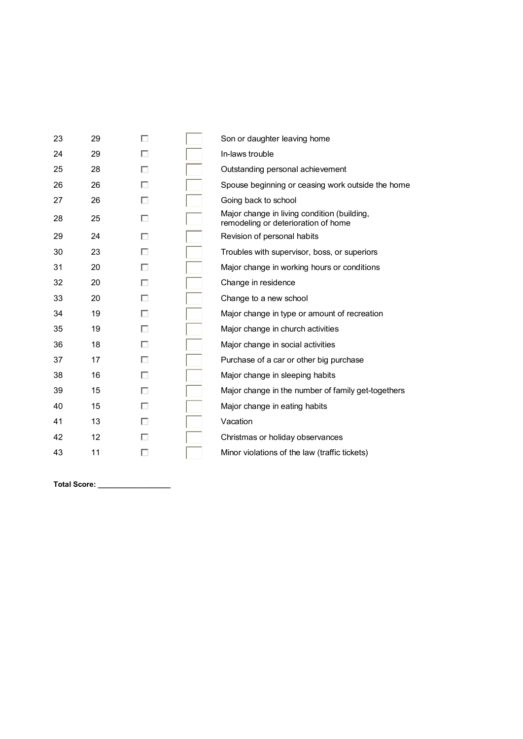| 23 | 29 | п | Son or daughter leaving home                                                       |
|----|----|---|------------------------------------------------------------------------------------|
| 24 | 29 | п | In-laws trouble                                                                    |
| 25 | 28 | П | Outstanding personal achievement                                                   |
| 26 | 26 | п | Spouse beginning or ceasing work outside the home                                  |
| 27 | 26 | п | Going back to school                                                               |
| 28 | 25 | п | Major change in living condition (building,<br>remodeling or deterioration of home |
| 29 | 24 | п | Revision of personal habits                                                        |
| 30 | 23 | п | Troubles with supervisor, boss, or superiors                                       |
| 31 | 20 | п | Major change in working hours or conditions                                        |
| 32 | 20 | п | Change in residence                                                                |
| 33 | 20 | п | Change to a new school                                                             |
| 34 | 19 | п | Major change in type or amount of recreation                                       |
| 35 | 19 | п | Major change in church activities                                                  |
| 36 | 18 | п | Major change in social activities                                                  |
| 37 | 17 | п | Purchase of a car or other big purchase                                            |
| 38 | 16 | п | Major change in sleeping habits                                                    |
| 39 | 15 | п | Major change in the number of family get-togethers                                 |
| 40 | 15 | п | Major change in eating habits                                                      |
| 41 | 13 | п | Vacation                                                                           |
| 42 | 12 | п | Christmas or holiday observances                                                   |
| 43 | 11 | п | Minor violations of the law (traffic tickets)                                      |
|    |    |   |                                                                                    |
|    |    |   |                                                                                    |

**Total Score: \_\_\_\_\_\_\_\_\_\_\_\_\_\_\_\_\_\_**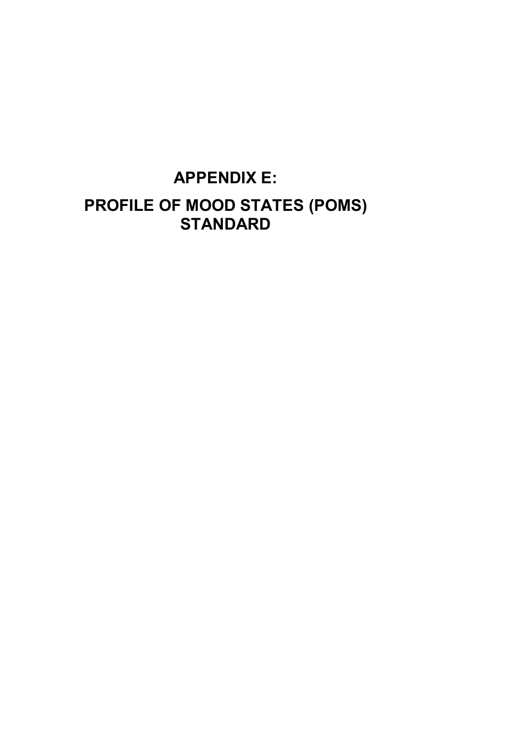# **APPENDIX E: PROFILE OF MOOD STATES (POMS) STANDARD**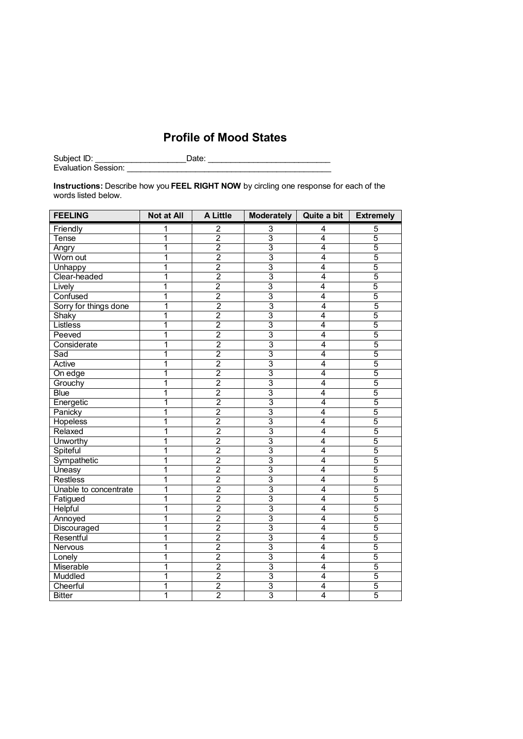## **Profile of Mood States**

Subject ID: \_\_\_\_\_\_\_\_\_\_\_\_\_\_\_\_\_\_\_\_ Date: \_\_\_\_\_\_\_\_\_\_\_\_\_\_\_\_\_\_\_\_\_\_\_\_\_\_\_ Evaluation Session: \_\_\_\_\_\_\_\_\_\_\_\_\_\_\_\_\_\_\_\_\_\_\_\_\_\_\_\_\_\_\_\_\_\_\_\_\_\_\_\_\_\_\_\_\_

**Instructions:** Describe how you **FEEL RIGHT NOW** by circling one response for each of the words listed below.

| <b>FEELING</b>        | <b>Not at All</b>       | A Little                | Moderately     | Quite a bit    | <b>Extremely</b> |
|-----------------------|-------------------------|-------------------------|----------------|----------------|------------------|
| Friendly              | 1                       | $\overline{\mathbf{c}}$ | 3              | 4              | 5                |
| Tense                 | 1                       | $\overline{2}$          | 3              | 4              | 5                |
| Angry                 | 1                       | $\overline{2}$          | $\overline{3}$ | $\overline{4}$ | $\overline{5}$   |
| Worn out              | $\overline{1}$          | $\overline{2}$          | $\overline{3}$ | $\overline{4}$ | 5                |
| Unhappy               | 1                       | $\overline{2}$          | $\overline{3}$ | 4              | $\overline{5}$   |
| Clear-headed          | $\overline{1}$          | $\overline{2}$          | $\overline{3}$ | $\overline{4}$ | $\overline{5}$   |
| Lively                | 1                       | $\overline{2}$          | $\overline{3}$ | 4              | 5                |
| Confused              | 1                       | $\overline{2}$          | $\overline{3}$ | 4              | $\overline{5}$   |
| Sorry for things done | 1                       | $\overline{2}$          | $\overline{3}$ | 4              | $\overline{5}$   |
| Shaky                 | 1                       | $\overline{2}$          | $\overline{3}$ | 4              | 5                |
| Listless              | $\overline{\mathbf{1}}$ | $\overline{2}$          | $\overline{3}$ | $\overline{4}$ | $\overline{5}$   |
| Peeved                | 1                       | $\overline{2}$          | $\overline{3}$ | 4              | $\overline{5}$   |
| Considerate           | 1                       | $\overline{2}$          | $\overline{3}$ | $\overline{4}$ | $\overline{5}$   |
| Sad                   | 1                       | $\overline{2}$          | $\overline{3}$ | 4              | $\overline{5}$   |
| Active                | 1                       | $\overline{2}$          | $\overline{3}$ | 4              | 5                |
| On edge               | 1                       | $\overline{2}$          | $\overline{3}$ | 4              | 5                |
| Grouchy               | 1                       | $\overline{2}$          | $\overline{3}$ | $\overline{4}$ | $\overline{5}$   |
| <b>Blue</b>           | $\overline{1}$          | $\overline{2}$          | $\overline{3}$ | $\overline{4}$ | $\overline{5}$   |
| Energetic             | $\overline{1}$          | $\overline{2}$          | $\overline{3}$ | $\overline{4}$ | 5                |
| Panicky               | 1                       | $\overline{2}$          | $\overline{3}$ | 4              | 5                |
| <b>Hopeless</b>       | 1                       | $\overline{2}$          | $\overline{3}$ | 4              | 5                |
| Relaxed               | 1                       | $\overline{2}$          | $\overline{3}$ | 4              | 5                |
| Unworthy              | 1                       | $\overline{2}$          | 3              | 4              | 5                |
| Spiteful              | 1                       | $\overline{2}$          | $\overline{3}$ | $\overline{4}$ | $\overline{5}$   |
| Sympathetic           | 1                       | $\overline{2}$          | $\overline{3}$ | $\overline{4}$ | $\overline{5}$   |
| Uneasy                | 1                       | $\overline{2}$          | $\overline{3}$ | 4              | 5                |
| <b>Restless</b>       | 1                       | $\overline{2}$          | $\overline{3}$ | $\overline{4}$ | $\overline{5}$   |
| Unable to concentrate | 1                       | $\overline{2}$          | $\overline{3}$ | $\overline{4}$ | $\overline{5}$   |
| Fatigued              | 1                       | $\overline{2}$          | 3              | 4              | 5                |
| Helpful               | 1                       | $\overline{2}$          | 3              | 4              | 5                |
| Annoyed               | 1                       | $\overline{2}$          | $\overline{3}$ | $\overline{4}$ | $\overline{5}$   |
| Discouraged           | $\overline{1}$          | $\overline{2}$          | $\overline{3}$ | $\overline{4}$ | 5                |
| Resentful             | $\overline{\mathbf{1}}$ | $\overline{2}$          | $\overline{3}$ | $\overline{4}$ | $\overline{5}$   |
| Nervous               | 1                       | $\overline{2}$          | 3              | 4              | 5                |
| Lonely                | $\overline{\mathbf{1}}$ | $\overline{2}$          | 3              | $\overline{4}$ | 5                |
| Miserable             | 1                       | $\overline{2}$          | $\overline{3}$ | $\overline{4}$ | 5                |
| Muddled               | 1                       | $\overline{2}$          | $\overline{3}$ | $\overline{4}$ | $\overline{5}$   |
| Cheerful              | 1                       | $\overline{2}$          | $\overline{3}$ | $\overline{4}$ | $\overline{5}$   |
| <b>Bitter</b>         | 1                       | $\overline{2}$          | $\overline{3}$ | $\overline{4}$ | $\overline{5}$   |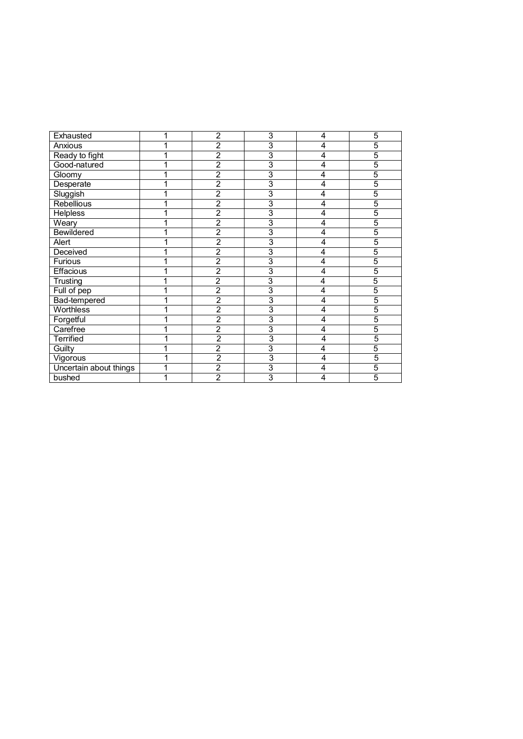| Exhausted              | $\overline{2}$ | 3              | 4              | 5              |
|------------------------|----------------|----------------|----------------|----------------|
| Anxious                | $\overline{2}$ | 3              | 4              | 5              |
| Ready to fight         | $\overline{2}$ | 3              | 4              | 5              |
| Good-natured           | $\overline{2}$ | $\overline{3}$ | 4              | 5              |
| Gloomy                 | $\overline{2}$ | 3              | 4              | 5              |
| Desperate              | $\overline{2}$ | 3              | 4              | $\overline{5}$ |
| Sluggish               | $\overline{2}$ | 3              | 4              | 5              |
| <b>Rebellious</b>      | $\overline{2}$ | 3              | 4              | 5              |
| <b>Helpless</b>        | $\overline{2}$ | $\overline{3}$ | 4              | 5              |
| Weary                  | $\overline{2}$ | 3              | 4              | 5              |
| Bewildered             | $\overline{2}$ | 3              | 4              | 5              |
| Alert                  | $\overline{2}$ | $\overline{3}$ | 4              | 5              |
| Deceived               | $\overline{2}$ | 3              | 4              | $\overline{5}$ |
| Furious                | $\overline{2}$ | $\overline{3}$ | 4              | $\overline{5}$ |
| Effacious              | $\overline{2}$ | $\overline{3}$ | 4              | $\overline{5}$ |
| Trusting               | $\overline{c}$ | 3              | 4              | 5              |
| Full of pep            | $\overline{2}$ | $\overline{3}$ | 4              | $\overline{5}$ |
| Bad-tempered           | $\overline{2}$ | 3              | 4              | 5              |
| <b>Worthless</b>       | $\overline{2}$ | 3              | 4              | 5              |
| Forgetful              | $\overline{2}$ | 3              | 4              | 5              |
| Carefree               | $\overline{2}$ | 3              | $\overline{4}$ | 5              |
| <b>Terrified</b>       | $\overline{2}$ | 3              | 4              | 5              |
| Guilty                 | $\overline{2}$ | $\overline{3}$ | 4              | 5              |
| Vigorous               | $\overline{2}$ | 3              | 4              | 5              |
| Uncertain about things | $\overline{2}$ | 3              | 4              | 5              |
| bushed                 | $\overline{2}$ | 3              | 4              | 5              |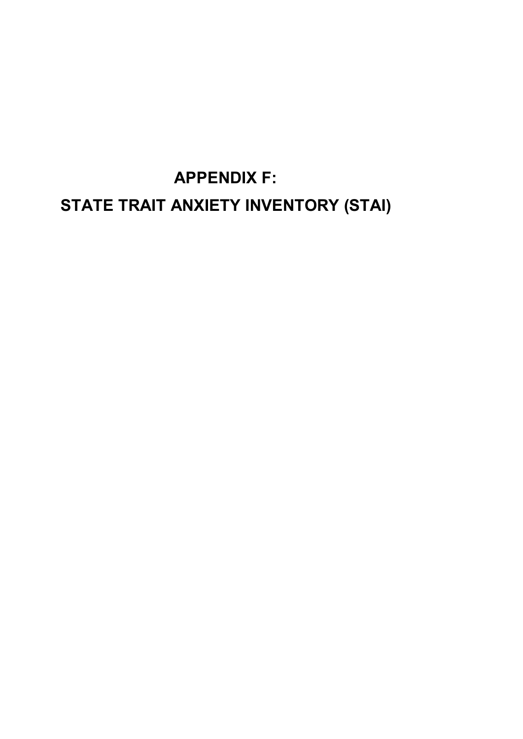# **APPENDIX F: STATE TRAIT ANXIETY INVENTORY (STAI)**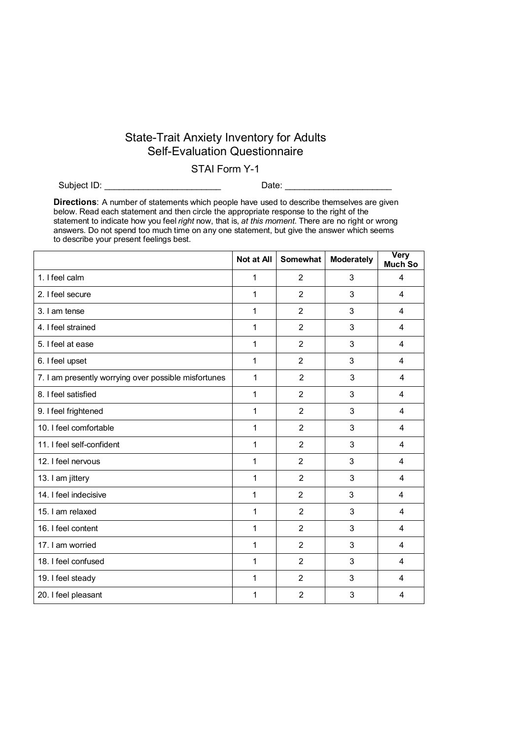## State-Trait Anxiety Inventory for Adults Self-Evaluation Questionnaire

### STAI Form Y-1

Subject ID: \_\_\_\_\_\_\_\_\_\_\_\_\_\_\_\_\_\_\_\_\_\_\_\_ Date: \_\_\_\_\_\_\_\_\_\_\_\_\_\_\_\_\_\_\_\_\_\_

**Directions**: A number of statements which people have used to describe themselves are given below. Read each statement and then circle the appropriate response to the right of the statement to indicate how you feel *right* now, that is, *at this moment*. There are no right or wrong answers. Do not spend too much time on any one statement, but give the answer which seems to describe your present feelings best.

|                                                      | Not at All   | <b>Somewhat</b> | Moderately | <b>Very</b><br>Much So  |
|------------------------------------------------------|--------------|-----------------|------------|-------------------------|
| 1. I feel calm                                       | 1            | 2               | 3          | $\overline{4}$          |
| 2. I feel secure                                     | 1            | $\overline{2}$  | 3          | $\overline{4}$          |
| 3. I am tense                                        | 1            | 2               | 3          | $\overline{\mathbf{4}}$ |
| 4. I feel strained                                   | 1            | 2               | 3          | 4                       |
| 5. I feel at ease                                    | 1            | $\overline{2}$  | 3          | 4                       |
| 6. I feel upset                                      | 1            | $\overline{2}$  | 3          | 4                       |
| 7. I am presently worrying over possible misfortunes | 1            | $\overline{2}$  | 3          | 4                       |
| 8. I feel satisfied                                  | 1            | 2               | 3          | 4                       |
| 9. I feel frightened                                 | 1            | $\overline{2}$  | 3          | $\overline{4}$          |
| 10. I feel comfortable                               | $\mathbf{1}$ | 2               | 3          | $\overline{4}$          |
| 11. I feel self-confident                            | 1            | $\overline{2}$  | 3          | $\overline{4}$          |
| 12. I feel nervous                                   | 1            | $\overline{2}$  | 3          | 4                       |
| 13. I am jittery                                     | 1            | $\overline{2}$  | 3          | 4                       |
| 14. I feel indecisive                                | 1            | $\overline{2}$  | 3          | 4                       |
| 15. I am relaxed                                     | 1            | $\overline{2}$  | 3          | $\overline{4}$          |
| 16. I feel content                                   | 1            | $\overline{2}$  | 3          | $\overline{4}$          |
| 17. I am worried                                     | 1            | $\overline{2}$  | 3          | 4                       |
| 18. I feel confused                                  | 1            | $\overline{2}$  | 3          | $\overline{4}$          |
| 19. I feel steady                                    | 1            | $\overline{2}$  | 3          | 4                       |
| 20. I feel pleasant                                  | 1            | 2               | 3          | $\overline{4}$          |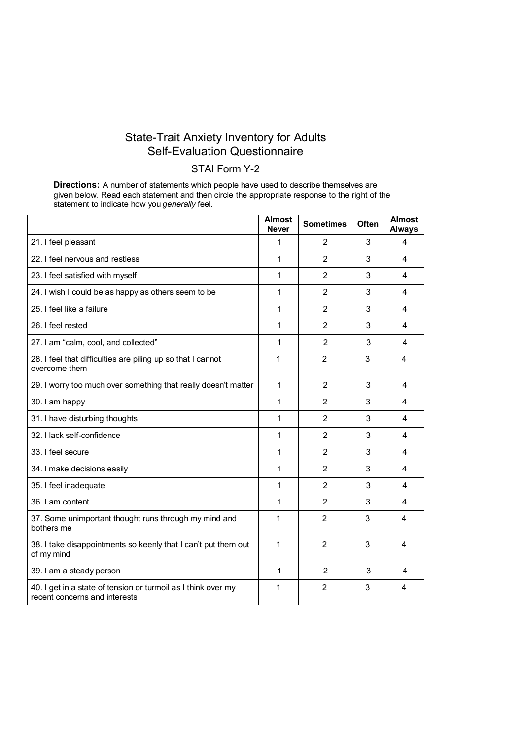### State-Trait Anxiety Inventory for Adults Self-Evaluation Questionnaire

## STAI Form Y-2

**Directions:** A number of statements which people have used to describe themselves are given below. Read each statement and then circle the appropriate response to the right of the statement to indicate how you *generally* feel.

|                                                                                                | <b>Almost</b><br><b>Never</b> | <b>Sometimes</b> | <b>Often</b> | <b>Almost</b><br><b>Always</b> |
|------------------------------------------------------------------------------------------------|-------------------------------|------------------|--------------|--------------------------------|
| 21. I feel pleasant                                                                            | 1                             | 2                | 3            | 4                              |
| 22. I feel nervous and restless                                                                | 1                             | $\overline{2}$   | 3            | 4                              |
| 23. I feel satisfied with myself                                                               | 1                             | $\overline{2}$   | 3            | 4                              |
| 24. I wish I could be as happy as others seem to be                                            | 1                             | $\overline{2}$   | 3            | 4                              |
| 25. I feel like a failure                                                                      | 1                             | $\overline{2}$   | 3            | 4                              |
| 26. I feel rested                                                                              | 1                             | $\overline{2}$   | 3            | 4                              |
| 27. I am "calm, cool, and collected"                                                           | 1                             | 2                | 3            | 4                              |
| 28. I feel that difficulties are piling up so that I cannot<br>overcome them                   | 1                             | $\overline{2}$   | 3            | 4                              |
| 29. I worry too much over something that really doesn't matter                                 | 1                             | $\overline{2}$   | 3            | $\overline{4}$                 |
| 30. I am happy                                                                                 | 1                             | $\overline{2}$   | 3            | 4                              |
| 31. I have disturbing thoughts                                                                 | 1                             | 2                | 3            | 4                              |
| 32. I lack self-confidence                                                                     | 1                             | $\overline{2}$   | 3            | 4                              |
| 33. I feel secure                                                                              | 1                             | $\overline{2}$   | 3            | 4                              |
| 34. I make decisions easily                                                                    | 1                             | $\overline{2}$   | 3            | 4                              |
| 35. I feel inadequate                                                                          | 1                             | $\overline{2}$   | 3            | 4                              |
| 36. I am content                                                                               | 1                             | $\overline{2}$   | 3            | 4                              |
| 37. Some unimportant thought runs through my mind and<br>bothers me                            | 1                             | $\overline{2}$   | 3            | 4                              |
| 38. I take disappointments so keenly that I can't put them out<br>of my mind                   | 1                             | $\overline{2}$   | 3            | 4                              |
| 39. I am a steady person                                                                       | 1                             | $\overline{2}$   | 3            | 4                              |
| 40. I get in a state of tension or turmoil as I think over my<br>recent concerns and interests | 1                             | $\overline{2}$   | 3            | 4                              |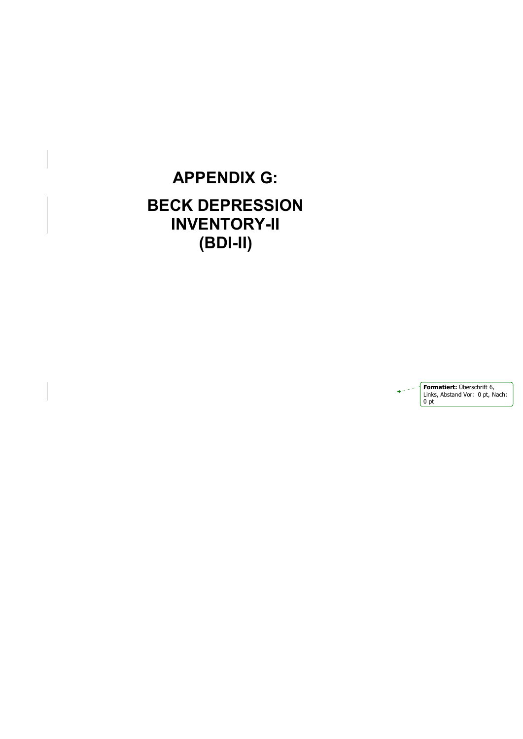## **APPENDIX G: BECK DEPRESSION INVENTORY-II (BDI-II)**

**Formatiert:** Überschrift 6, Links, Abstand Vor: 0 pt, Nach:  $\begin{array}{|c|c|} \hline 0 & \text{pt} \end{array}$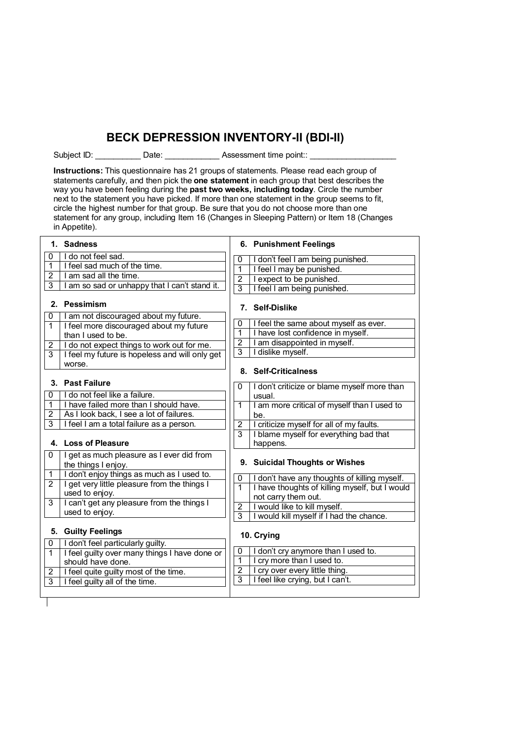## **BECK DEPRESSION INVENTORY-II (BDI-II)**

Subject ID: Cassessment time point::  $\blacksquare$ 

**Instructions:** This questionnaire has 21 groups of statements. Please read each group of statements carefully, and then pick the **one statement** in each group that best describes the way you have been feeling during the **past two weeks, including today**. Circle the number next to the statement you have picked. If more than one statement in the group seems to fit, circle the highest number for that group. Be sure that you do not choose more than one statement for any group, including Item 16 (Changes in Sleeping Pattern) or Item 18 (Changes in Appetite).

|                       | 1. Sadness                                                       |                | 6. Punishment Feelings                                |
|-----------------------|------------------------------------------------------------------|----------------|-------------------------------------------------------|
| 0                     | I do not feel sad.                                               | 0              | I don't feel I am being punished.                     |
| 1                     | I feel sad much of the time.                                     | 1              | I feel I may be punished.                             |
| 2                     | I am sad all the time.                                           | $\overline{2}$ | I expect to be punished.                              |
| 3                     | I am so sad or unhappy that I can't stand it.                    | $\overline{3}$ | I feel I am being punished.                           |
|                       | 2. Pessimism                                                     |                | 7. Self-Dislike                                       |
| 0                     | I am not discouraged about my future.                            | 0              | I feel the same about myself as ever.                 |
| 1                     | I feel more discouraged about my future                          | 1              | I have lost confidence in myself.                     |
|                       | than I used to be.                                               | $\overline{2}$ | I am disappointed in myself.                          |
| 2                     | I do not expect things to work out for me.                       | $\overline{3}$ | I dislike myself.                                     |
| 3                     | I feel my future is hopeless and will only get                   |                |                                                       |
|                       | worse.                                                           |                | 8. Self-Criticalness                                  |
|                       | 3. Past Failure                                                  |                |                                                       |
| 0                     | I do not feel like a failure.                                    | 0              | I don't criticize or blame myself more than<br>usual. |
| 1                     | I have failed more than I should have.                           | 1              | I am more critical of myself than I used to           |
| $\overline{2}$        | As I look back, I see a lot of failures.                         |                | be.                                                   |
| 3                     | I feel I am a total failure as a person.                         | $\overline{2}$ | I criticize myself for all of my faults.              |
|                       |                                                                  | $\overline{3}$ | I blame myself for everything bad that                |
|                       | 4. Loss of Pleasure                                              |                | happens.                                              |
| 0                     | I get as much pleasure as I ever did from<br>the things I enjoy. |                | 9. Suicidal Thoughts or Wishes                        |
| 1                     | I don't enjoy things as much as I used to.                       | $\mathbf{0}$   | I don't have any thoughts of killing myself.          |
| $\overline{2}$        | I get very little pleasure from the things I                     | $\overline{1}$ | I have thoughts of killing myself, but I would        |
|                       | used to enjoy.                                                   |                | not carry them out.                                   |
| 3                     | I can't get any pleasure from the things I                       | 2              | I would like to kill myself.                          |
|                       | used to enjoy.                                                   | $\overline{3}$ | I would kill myself if I had the chance.              |
|                       | 5. Guilty Feelings                                               |                |                                                       |
| 0                     | I don't feel particularly guilty.                                |                | 10. Crying                                            |
| $\mathbf{1}$          | I feel guilty over many things I have done or                    | 0              | don't cry anymore than I used to.                     |
|                       | should have done.                                                | 1              | I cry more than I used to.                            |
| $\mathbf{2}^{\prime}$ | I feel quite guilty most of the time.                            | $\overline{2}$ | I cry over every little thing.                        |
| 3                     | I feel guilty all of the time.                                   | $\overline{3}$ | I feel like crying, but I can't.                      |
|                       |                                                                  |                |                                                       |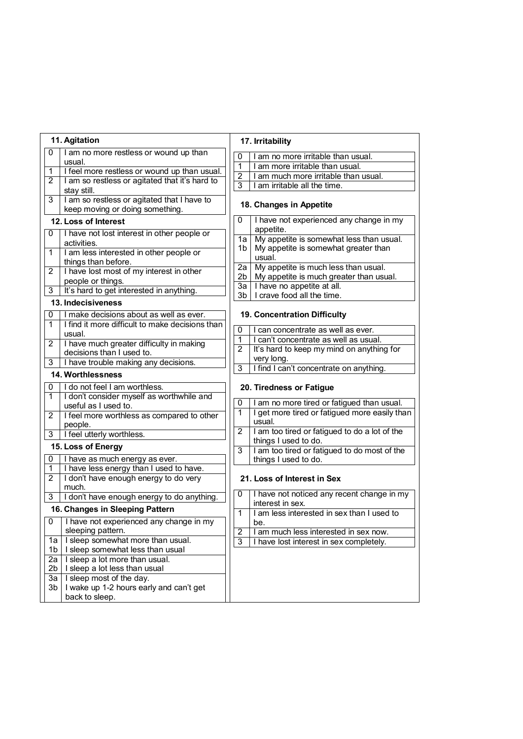|                | 11. Agitation                                                                  |                | 17. Irritability                                               |
|----------------|--------------------------------------------------------------------------------|----------------|----------------------------------------------------------------|
| 0              | I am no more restless or wound up than                                         | 0              | am no more irritable than usual.                               |
|                | usual.                                                                         | 1              | I am more irritable than usual.                                |
| 1              | I feel more restless or wound up than usual.                                   | $\overline{2}$ | I am much more irritable than usual.                           |
| 2              | I am so restless or agitated that it's hard to                                 | 3              | I am irritable all the time.                                   |
|                | stay still.                                                                    |                |                                                                |
| 3              | I am so restless or agitated that I have to<br>keep moving or doing something. |                | 18. Changes in Appetite                                        |
|                | 12. Loss of Interest                                                           | 0              | I have not experienced any change in my                        |
| 0              | I have not lost interest in other people or                                    | 1a             | appetite.<br>My appetite is somewhat less than usual.          |
|                | activities.                                                                    | 1b             | My appetite is somewhat greater than                           |
| 1              | I am less interested in other people or                                        |                | usual.                                                         |
|                | things than before.                                                            | 2a             | My appetite is much less than usual.                           |
| 2              | I have lost most of my interest in other                                       | 2b             | My appetite is much greater than usual.                        |
|                | people or things.                                                              | 3a             | I have no appetite at all.                                     |
| 3              | It's hard to get interested in anything.                                       | 3 <sub>b</sub> | I crave food all the time.                                     |
|                | 13. Indecisiveness                                                             |                |                                                                |
| 0              | I make decisions about as well as ever.                                        |                | 19. Concentration Difficulty                                   |
| 1              | I find it more difficult to make decisions than                                | 0              | I can concentrate as well as ever.                             |
| $\overline{2}$ | usual.                                                                         | 1              | I can't concentrate as well as usual.                          |
|                | I have much greater difficulty in making<br>decisions than I used to.          | 2              | It's hard to keep my mind on anything for                      |
| 3              | I have trouble making any decisions.                                           |                | very long.                                                     |
|                |                                                                                | 3              | I find I can't concentrate on anything.                        |
|                | 14. Worthlessness                                                              |                |                                                                |
| 0              | I do not feel I am worthless.                                                  |                | 20. Tiredness or Fatigue                                       |
| $\mathbf{1}$   | I don't consider myself as worthwhile and<br>useful as I used to.              | 0              | I am no more tired or fatigued than usual.                     |
| 2              | I feel more worthless as compared to other                                     | 1              | I get more tired or fatigued more easily than                  |
|                | people.                                                                        |                | usual.                                                         |
| 3              | I feel utterly worthless.                                                      | 2              | I am too tired or fatigued to do a lot of the                  |
|                |                                                                                |                | things I used to do.                                           |
|                | 15. Loss of Energy                                                             | 3              | I am too tired or fatigued to do most of the                   |
| 0              | I have as much energy as ever.                                                 |                | things I used to do.                                           |
| $\mathbf{1}$   | I have less energy than I used to have.                                        |                |                                                                |
| 2              | I don't have enough energy to do very                                          |                | 21. Loss of Interest in Sex                                    |
|                |                                                                                |                |                                                                |
|                | much.                                                                          | 0              |                                                                |
| 3              | I don't have enough energy to do anything.                                     |                | I have not noticed any recent change in my<br>interest in sex. |
|                | 16. Changes in Sleeping Pattern                                                | 1              | I am less interested in sex than I used to                     |
| 0              | I have not experienced any change in my                                        |                | be                                                             |
|                | sleeping pattern.                                                              | $\overline{2}$ | am much less interested in sex now.                            |
| 1a             | I sleep somewhat more than usual.                                              | 3              | have lost interest in sex completely.                          |
| 1 <sub>b</sub> | I sleep somewhat less than usual                                               |                |                                                                |
| 2a             | I sleep a lot more than usual.                                                 |                |                                                                |
| 2 <sub>b</sub> | I sleep a lot less than usual                                                  |                |                                                                |
| 3a             | I sleep most of the day.                                                       |                |                                                                |
| 3b             | I wake up 1-2 hours early and can't get<br>back to sleep.                      |                |                                                                |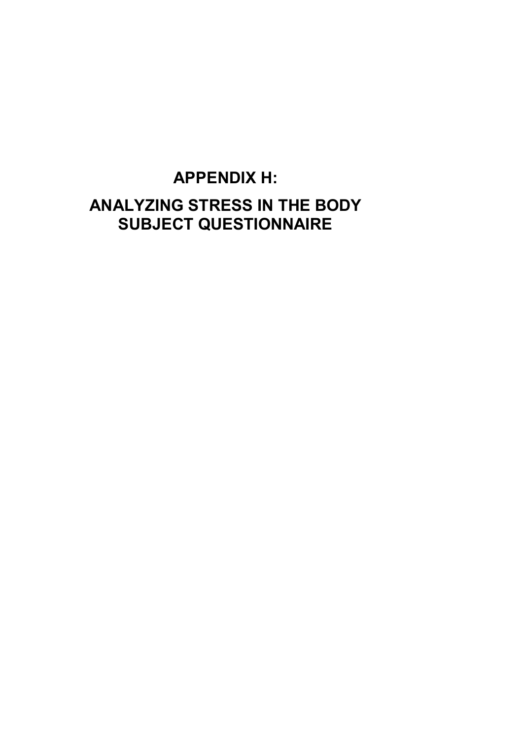# **APPENDIX H: ANALYZING STRESS IN THE BODY SUBJECT QUESTIONNAIRE**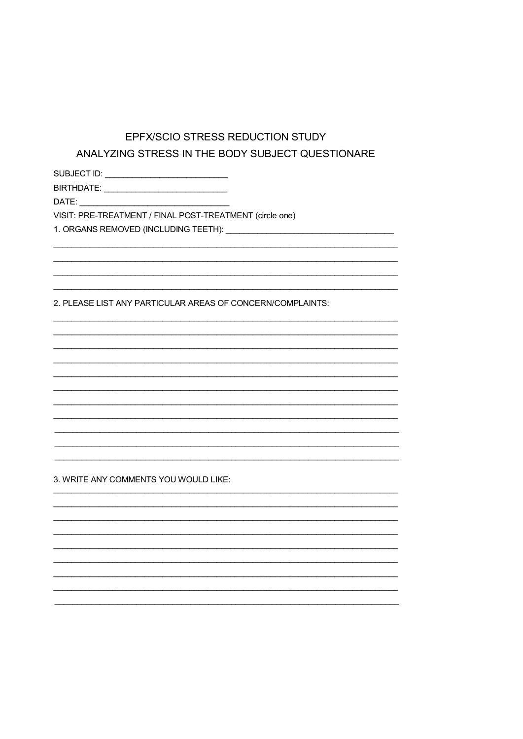## EPFX/SCIO STRESS REDUCTION STUDY ANALYZING STRESS IN THE BODY SUBJECT QUESTIONARE

BIRTHDATE: \_\_\_\_\_\_\_\_\_\_\_\_\_\_\_\_\_\_\_\_\_\_\_\_\_\_\_\_\_

VISIT: PRE-TREATMENT / FINAL POST-TREATMENT (circle one)

1. ORGANS REMOVED (INCLUDING TEETH): \[\]

2. PLEASE LIST ANY PARTICULAR AREAS OF CONCERN/COMPLAINTS:

3. WRITE ANY COMMENTS YOU WOULD LIKE: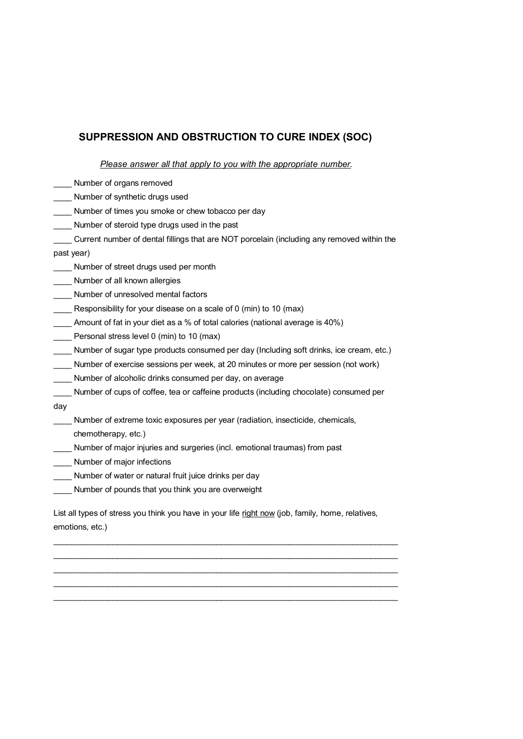## **SUPPRESSION AND OBSTRUCTION TO CURE INDEX (SOC)**

#### *Please answer all that apply to you with the appropriate number.*

| Number of organs removed                                                                          |  |
|---------------------------------------------------------------------------------------------------|--|
| Number of synthetic drugs used                                                                    |  |
| Number of times you smoke or chew tobacco per day                                                 |  |
| Number of steroid type drugs used in the past                                                     |  |
| Current number of dental fillings that are NOT porcelain (including any removed within the        |  |
| past year)                                                                                        |  |
| Number of street drugs used per month                                                             |  |
| Number of all known allergies                                                                     |  |
| Number of unresolved mental factors                                                               |  |
| Responsibility for your disease on a scale of 0 (min) to 10 (max)                                 |  |
| Amount of fat in your diet as a % of total calories (national average is 40%)                     |  |
| Personal stress level 0 (min) to 10 (max)                                                         |  |
| Number of sugar type products consumed per day (Including soft drinks, ice cream, etc.)           |  |
| Number of exercise sessions per week, at 20 minutes or more per session (not work)                |  |
| Number of alcoholic drinks consumed per day, on average                                           |  |
| Number of cups of coffee, tea or caffeine products (including chocolate) consumed per             |  |
| day                                                                                               |  |
| Number of extreme toxic exposures per year (radiation, insecticide, chemicals,                    |  |
| chemotherapy, etc.)                                                                               |  |
| Number of major injuries and surgeries (incl. emotional traumas) from past                        |  |
| Number of major infections                                                                        |  |
| Number of water or natural fruit juice drinks per day                                             |  |
| Number of pounds that you think you are overweight                                                |  |
| List all types of stress you think you have in your life right now (job, family, home, relatives, |  |
|                                                                                                   |  |

\_\_\_\_\_\_\_\_\_\_\_\_\_\_\_\_\_\_\_\_\_\_\_\_\_\_\_\_\_\_\_\_\_\_\_\_\_\_\_\_\_\_\_\_\_\_\_\_\_\_\_\_\_\_\_\_\_\_\_\_\_\_\_\_\_\_\_\_\_\_\_\_\_\_\_\_ \_\_\_\_\_\_\_\_\_\_\_\_\_\_\_\_\_\_\_\_\_\_\_\_\_\_\_\_\_\_\_\_\_\_\_\_\_\_\_\_\_\_\_\_\_\_\_\_\_\_\_\_\_\_\_\_\_\_\_\_\_\_\_\_\_\_\_\_\_\_\_\_\_\_\_\_ \_\_\_\_\_\_\_\_\_\_\_\_\_\_\_\_\_\_\_\_\_\_\_\_\_\_\_\_\_\_\_\_\_\_\_\_\_\_\_\_\_\_\_\_\_\_\_\_\_\_\_\_\_\_\_\_\_\_\_\_\_\_\_\_\_\_\_\_\_\_\_\_\_\_\_\_ \_\_\_\_\_\_\_\_\_\_\_\_\_\_\_\_\_\_\_\_\_\_\_\_\_\_\_\_\_\_\_\_\_\_\_\_\_\_\_\_\_\_\_\_\_\_\_\_\_\_\_\_\_\_\_\_\_\_\_\_\_\_\_\_\_\_\_\_\_\_\_\_\_\_\_\_ \_\_\_\_\_\_\_\_\_\_\_\_\_\_\_\_\_\_\_\_\_\_\_\_\_\_\_\_\_\_\_\_\_\_\_\_\_\_\_\_\_\_\_\_\_\_\_\_\_\_\_\_\_\_\_\_\_\_\_\_\_\_\_\_\_\_\_\_\_\_\_\_\_\_\_\_

emotions, etc.)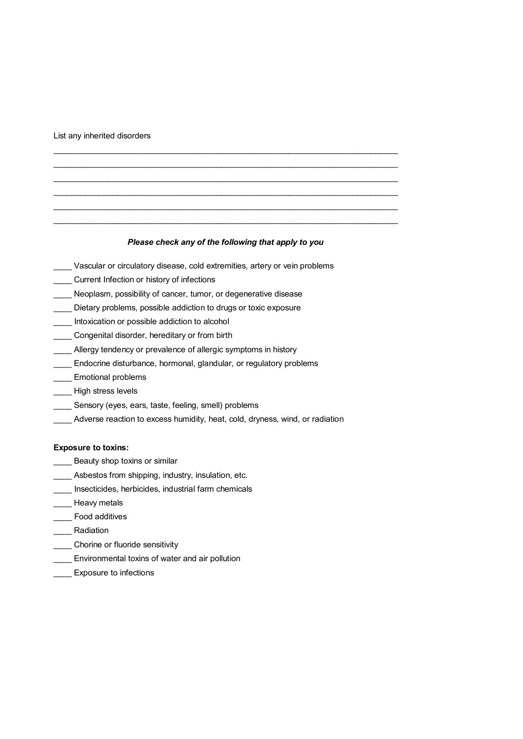List any inherited disorders

#### *Please check any of the following that apply to you*

\_\_\_\_\_\_\_\_\_\_\_\_\_\_\_\_\_\_\_\_\_\_\_\_\_\_\_\_\_\_\_\_\_\_\_\_\_\_\_\_\_\_\_\_\_\_\_\_\_\_\_\_\_\_\_\_\_\_\_\_\_\_\_\_\_\_\_\_\_\_\_\_\_\_\_\_ \_\_\_\_\_\_\_\_\_\_\_\_\_\_\_\_\_\_\_\_\_\_\_\_\_\_\_\_\_\_\_\_\_\_\_\_\_\_\_\_\_\_\_\_\_\_\_\_\_\_\_\_\_\_\_\_\_\_\_\_\_\_\_\_\_\_\_\_\_\_\_\_\_\_\_\_ \_\_\_\_\_\_\_\_\_\_\_\_\_\_\_\_\_\_\_\_\_\_\_\_\_\_\_\_\_\_\_\_\_\_\_\_\_\_\_\_\_\_\_\_\_\_\_\_\_\_\_\_\_\_\_\_\_\_\_\_\_\_\_\_\_\_\_\_\_\_\_\_\_\_\_\_ \_\_\_\_\_\_\_\_\_\_\_\_\_\_\_\_\_\_\_\_\_\_\_\_\_\_\_\_\_\_\_\_\_\_\_\_\_\_\_\_\_\_\_\_\_\_\_\_\_\_\_\_\_\_\_\_\_\_\_\_\_\_\_\_\_\_\_\_\_\_\_\_\_\_\_\_ \_\_\_\_\_\_\_\_\_\_\_\_\_\_\_\_\_\_\_\_\_\_\_\_\_\_\_\_\_\_\_\_\_\_\_\_\_\_\_\_\_\_\_\_\_\_\_\_\_\_\_\_\_\_\_\_\_\_\_\_\_\_\_\_\_\_\_\_\_\_\_\_\_\_\_\_ \_\_\_\_\_\_\_\_\_\_\_\_\_\_\_\_\_\_\_\_\_\_\_\_\_\_\_\_\_\_\_\_\_\_\_\_\_\_\_\_\_\_\_\_\_\_\_\_\_\_\_\_\_\_\_\_\_\_\_\_\_\_\_\_\_\_\_\_\_\_\_\_\_\_\_\_

- \_\_\_\_ Vascular or circulatory disease, cold extremities, artery or vein problems
- \_\_\_\_ Current Infection or history of infections
- Neoplasm, possibility of cancer, tumor, or degenerative disease
- Dietary problems, possible addiction to drugs or toxic exposure
- Intoxication or possible addiction to alcohol
- \_\_\_\_ Congenital disorder, hereditary or from birth
- \_\_\_\_ Allergy tendency or prevalence of allergic symptoms in history
- \_\_\_\_ Endocrine disturbance, hormonal, glandular, or regulatory problems
- \_\_\_\_ Emotional problems
- \_\_\_\_ High stress levels
- \_\_\_\_ Sensory (eyes, ears, taste, feeling, smell) problems
- \_\_\_\_ Adverse reaction to excess humidity, heat, cold, dryness, wind, or radiation

#### **Exposure to toxins:**

- **\_\_\_\_** Beauty shop toxins or similar
- \_\_\_\_ Asbestos from shipping, industry, insulation, etc.
- \_\_\_\_ Insecticides, herbicides, industrial farm chemicals
- \_\_\_\_ Heavy metals
- \_\_\_\_ Food additives
- \_\_\_\_ Radiation
- \_\_\_\_ Chorine or fluoride sensitivity
- **\_\_\_\_** Environmental toxins of water and air pollution
- **LEXPOSURE TO Infections**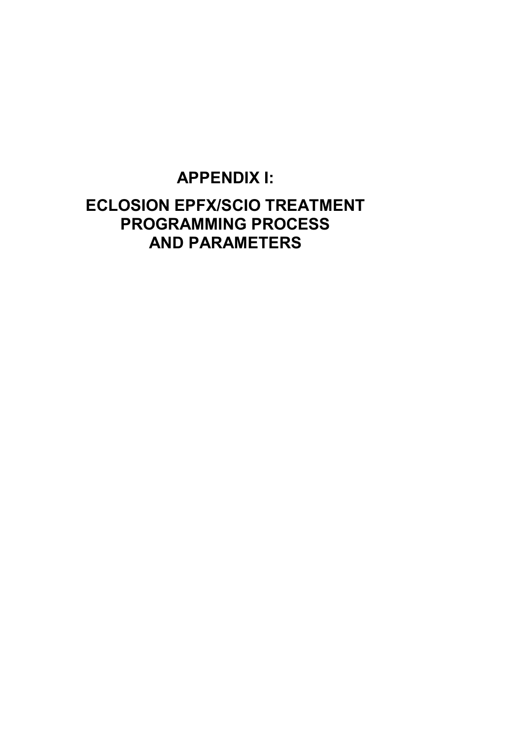## **APPENDIX I:**

## **ECLOSION EPFX/SCIO TREATMENT PROGRAMMING PROCESS AND PARAMETERS**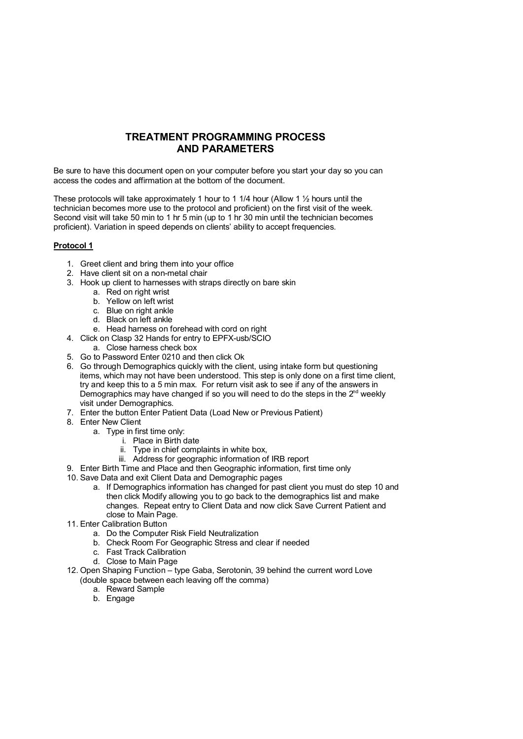## **TREATMENT PROGRAMMING PROCESS AND PARAMETERS**

Be sure to have this document open on your computer before you start your day so you can access the codes and affirmation at the bottom of the document.

These protocols will take approximately 1 hour to 1 1/4 hour (Allow 1  $\frac{1}{2}$  hours until the technician becomes more use to the protocol and proficient) on the first visit of the week. Second visit will take 50 min to 1 hr 5 min (up to 1 hr 30 min until the technician becomes proficient). Variation in speed depends on clients' ability to accept frequencies.

### **Protocol 1**

- 1. Greet client and bring them into your office
- 2. Have client sit on a non-metal chair
- 3. Hook up client to harnesses with straps directly on bare skin
	- a. Red on right wrist
	- b. Yellow on left wrist
	- c. Blue on right ankle
	- d. Black on left ankle
	- e. Head harness on forehead with cord on right
- 4. Click on Clasp 32 Hands for entry to EPFX-usb/SCIO
	- a. Close harness check box
- 5. Go to Password Enter 0210 and then click Ok
- 6. Go through Demographics quickly with the client, using intake form but questioning items, which may not have been understood. This step is only done on a first time client, try and keep this to a 5 min max. For return visit ask to see if any of the answers in Demographics may have changed if so you will need to do the steps in the  $2<sup>nd</sup>$  weekly visit under Demographics.
- 7. Enter the button Enter Patient Data (Load New or Previous Patient)
- 8. Enter New Client
	- a. Type in first time only:
		- i. Place in Birth date
		- ii. Type in chief complaints in white box,
		- iii. Address for geographic information of IRB report
- 9. Enter Birth Time and Place and then Geographic information, first time only
- 10. Save Data and exit Client Data and Demographic pages
	- a. If Demographics information has changed for past client you must do step 10 and then click Modify allowing you to go back to the demographics list and make changes. Repeat entry to Client Data and now click Save Current Patient and close to Main Page.
- 11. Enter Calibration Button
	- a. Do the Computer Risk Field Neutralization
	- b. Check Room For Geographic Stress and clear if needed
	- c. Fast Track Calibration
	- d. Close to Main Page
- 12. Open Shaping Function type Gaba, Serotonin, 39 behind the current word Love (double space between each leaving off the comma)
	- a. Reward Sample
	- b. Engage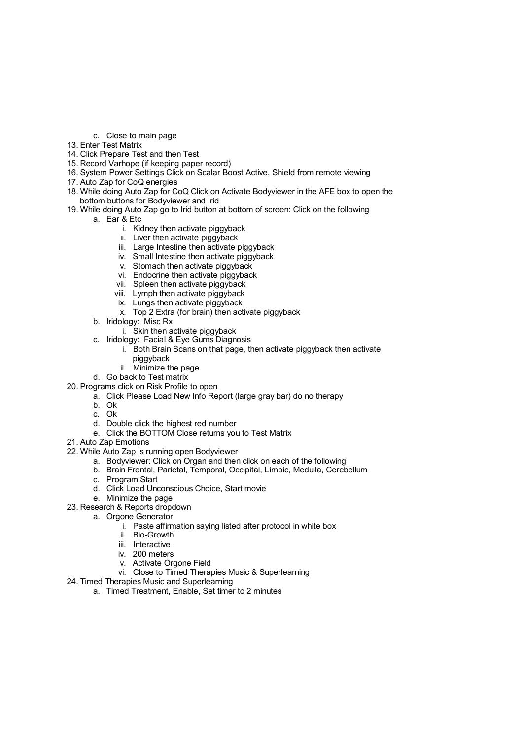- c. Close to main page
- 13. Enter Test Matrix
- 14. Click Prepare Test and then Test
- 15. Record Varhope (if keeping paper record)
- 16. System Power Settings Click on Scalar Boost Active, Shield from remote viewing
- 17. Auto Zap for CoQ energies
- 18. While doing Auto Zap for CoQ Click on Activate Bodyviewer in the AFE box to open the bottom buttons for Bodyviewer and Irid
- 19. While doing Auto Zap go to Irid button at bottom of screen: Click on the following
	- a. Ear & Etc
		- i. Kidney then activate piggyback
		- ii. Liver then activate piggyback
		- iii. Large Intestine then activate piggyback
		- iv. Small Intestine then activate piggyback
		- v. Stomach then activate piggyback
		- vi. Endocrine then activate piggyback
		- vii. Spleen then activate piggyback
		- viii. Lymph then activate piggyback
		- ix. Lungs then activate piggyback
		- x. Top 2 Extra (for brain) then activate piggyback
	- b. Iridology: Misc Rx
		- i. Skin then activate piggyback
	- c. Iridology: Facial & Eye Gums Diagnosis
		- i. Both Brain Scans on that page, then activate piggyback then activate piggyback
		- ii. Minimize the page
	- d. Go back to Test matrix
- 20. Programs click on Risk Profile to open
	- a. Click Please Load New Info Report (large gray bar) do no therapy
		- b. Ok
		- c. Ok
		- d. Double click the highest red number
		- e. Click the BOTTOM Close returns you to Test Matrix
- 21. Auto Zap Emotions
- 22. While Auto Zap is running open Bodyviewer
	- a. Bodyviewer: Click on Organ and then click on each of the following
	- b. Brain Frontal, Parietal, Temporal, Occipital, Limbic, Medulla, Cerebellum
	- c. Program Start
	- d. Click Load Unconscious Choice, Start movie
	- e. Minimize the page
- 23. Research & Reports dropdown
	- a. Orgone Generator
		- i. Paste affirmation saying listed after protocol in white box
		- ii. Bio-Growth
		- iii. Interactive
		- iv. 200 meters
		- v. Activate Orgone Field
		- vi. Close to Timed Therapies Music & Superlearning
- 24. Timed Therapies Music and Superlearning
	- a. Timed Treatment, Enable, Set timer to 2 minutes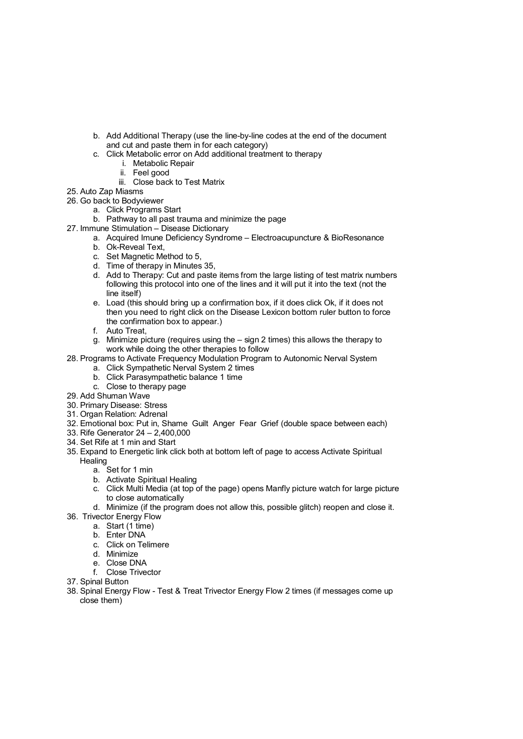- b. Add Additional Therapy (use the line-by-line codes at the end of the document and cut and paste them in for each category)
- c. Click Metabolic error on Add additional treatment to therapy
	- i. Metabolic Repair
		- ii. Feel good
	- iii. Close back to Test Matrix
- 25. Auto Zap Miasms
- 26. Go back to Bodyviewer
	- a. Click Programs Start
	- b. Pathway to all past trauma and minimize the page
- 27. Immune Stimulation Disease Dictionary
	- a. Acquired Imune Deficiency Syndrome Electroacupuncture & BioResonance
		- b. Ok-Reveal Text,
		- c. Set Magnetic Method to 5,
		- d. Time of therapy in Minutes 35,
		- d. Add to Therapy: Cut and paste items from the large listing of test matrix numbers following this protocol into one of the lines and it will put it into the text (not the line itself)
		- e. Load (this should bring up a confirmation box, if it does click Ok, if it does not then you need to right click on the Disease Lexicon bottom ruler button to force the confirmation box to appear.)
		- f. Auto Treat,
		- g. Minimize picture (requires using the sign 2 times) this allows the therapy to work while doing the other therapies to follow
- 28. Programs to Activate Frequency Modulation Program to Autonomic Nerval System
	- a. Click Sympathetic Nerval System 2 times
	- b. Click Parasympathetic balance 1 time
	- c. Close to therapy page
- 29. Add Shuman Wave
- 30. Primary Disease: Stress
- 31. Organ Relation: Adrenal
- 32. Emotional box: Put in, Shame Guilt Anger Fear Grief (double space between each)
- 33. Rife Generator 24 2,400,000
- 34. Set Rife at 1 min and Start
- 35. Expand to Energetic link click both at bottom left of page to access Activate Spiritual **Healing** 
	- a. Set for 1 min
	- b. Activate Spiritual Healing
	- c. Click Multi Media (at top of the page) opens Manfly picture watch for large picture to close automatically
	- d. Minimize (if the program does not allow this, possible glitch) reopen and close it.
- 36. Trivector Energy Flow
	- a. Start (1 time)
	- b. Enter DNA
	- c. Click on Telimere
	- d. Minimize
	- e. Close DNA
	- f. Close Trivector
- 37. Spinal Button
- 38. Spinal Energy Flow Test & Treat Trivector Energy Flow 2 times (if messages come up close them)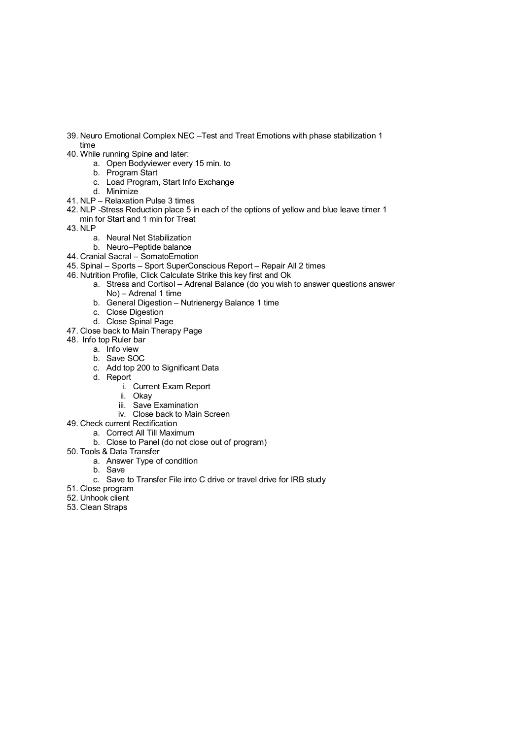- 39. Neuro Emotional Complex NEC –Test and Treat Emotions with phase stabilization 1 time
- 40. While running Spine and later:
	- a. Open Bodyviewer every 15 min. to
		- b. Program Start
		- c. Load Program, Start Info Exchange
		- d. Minimize
- 41. NLP Relaxation Pulse 3 times
- 42. NLP -Stress Reduction place 5 in each of the options of yellow and blue leave timer 1 min for Start and 1 min for Treat
- 43. NLP
	- a. Neural Net Stabilization
	- b. Neuro–Peptide balance
- 44. Cranial Sacral SomatoEmotion
- 45. Spinal Sports Sport SuperConscious Report Repair All 2 times
- 46. Nutrition Profile, Click Calculate Strike this key first and Ok
	- a. Stress and Cortisol Adrenal Balance (do you wish to answer questions answer No) – Adrenal 1 time
	- b. General Digestion Nutrienergy Balance 1 time
		- c. Close Digestion
		- d. Close Spinal Page
- 47. Close back to Main Therapy Page
- 48. Info top Ruler bar
	- a. Info view
		- b. Save SOC
		- c. Add top 200 to Significant Data
		- d. Report
			- i. Current Exam Report
			- ii. Okay
			- iii. Save Examination
			- iv. Close back to Main Screen
- 49. Check current Rectification
	- a. Correct All Till Maximum
	- b. Close to Panel (do not close out of program)
- 50. Tools & Data Transfer
	- a. Answer Type of condition
	- b. Save
	- c. Save to Transfer File into C drive or travel drive for IRB study
- 51. Close program
- 52. Unhook client
- 53. Clean Straps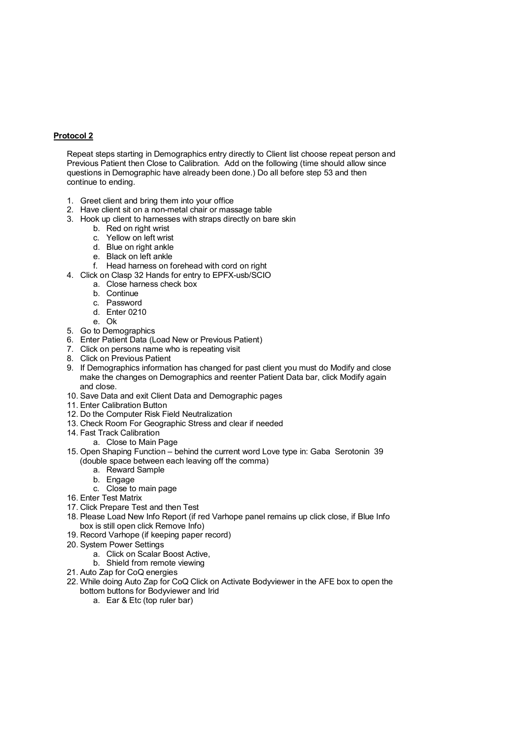#### **Protocol 2**

Repeat steps starting in Demographics entry directly to Client list choose repeat person and Previous Patient then Close to Calibration. Add on the following (time should allow since questions in Demographic have already been done.) Do all before step 53 and then continue to ending.

- 1. Greet client and bring them into your office
- 2. Have client sit on a non-metal chair or massage table
- 3. Hook up client to harnesses with straps directly on bare skin
	- b. Red on right wrist
	- c. Yellow on left wrist
	- d. Blue on right ankle
	- e. Black on left ankle
	- f. Head harness on forehead with cord on right
- 4. Click on Clasp 32 Hands for entry to EPFX-usb/SCIO
- a. Close harness check box
	- b. Continue
	- c. Password
	- d. Enter 0210
	- e. Ok
- 5. Go to Demographics
- 6. Enter Patient Data (Load New or Previous Patient)
- 7. Click on persons name who is repeating visit
- 8. Click on Previous Patient
- 9. If Demographics information has changed for past client you must do Modify and close make the changes on Demographics and reenter Patient Data bar, click Modify again and close.
- 10. Save Data and exit Client Data and Demographic pages
- 11. Enter Calibration Button
- 12. Do the Computer Risk Field Neutralization
- 13. Check Room For Geographic Stress and clear if needed
- 14. Fast Track Calibration
- a. Close to Main Page
- 15. Open Shaping Function behind the current word Love type in: Gaba Serotonin 39 (double space between each leaving off the comma)
	- a. Reward Sample
	- b. Engage
	- c. Close to main page
- 16. Enter Test Matrix
- 17. Click Prepare Test and then Test
- 18. Please Load New Info Report (if red Varhope panel remains up click close, if Blue Info box is still open click Remove Info)
- 19. Record Varhope (if keeping paper record)
- 20. System Power Settings
	- a. Click on Scalar Boost Active,
	- b. Shield from remote viewing
- 21. Auto Zap for CoQ energies
- 22. While doing Auto Zap for CoQ Click on Activate Bodyviewer in the AFE box to open the bottom buttons for Bodyviewer and Irid
	- a. Ear & Etc (top ruler bar)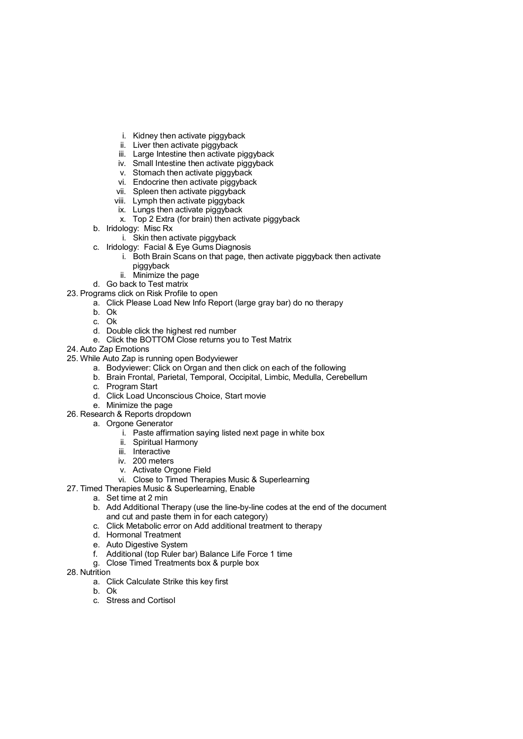- i. Kidney then activate piggyback
- ii. Liver then activate piggyback
- iii. Large Intestine then activate piggyback
- iv. Small Intestine then activate piggyback
- v. Stomach then activate piggyback
- vi. Endocrine then activate piggyback
- vii. Spleen then activate piggyback
- viii. Lymph then activate piggyback
- ix. Lungs then activate piggyback
- x. Top 2 Extra (for brain) then activate piggyback
- b. Iridology: Misc Rx
	- i. Skin then activate piggyback
- c. Iridology: Facial & Eye Gums Diagnosis
	- i. Both Brain Scans on that page, then activate piggyback then activate
		- piggyback
		- ii. Minimize the page
- d. Go back to Test matrix
- 23. Programs click on Risk Profile to open
	- a. Click Please Load New Info Report (large gray bar) do no therapy
		- b. Ok
		- c. Ok
		- d. Double click the highest red number
		- e. Click the BOTTOM Close returns you to Test Matrix
- 24. Auto Zap Emotions
- 25. While Auto Zap is running open Bodyviewer
	- a. Bodyviewer: Click on Organ and then click on each of the following
	- b. Brain Frontal, Parietal, Temporal, Occipital, Limbic, Medulla, Cerebellum
	- c. Program Start
	- d. Click Load Unconscious Choice, Start movie
	- e. Minimize the page
- 26. Research & Reports dropdown
	- a. Orgone Generator
		- i. Paste affirmation saying listed next page in white box
		- ii. Spiritual Harmony
		- iii. Interactive
		- iv. 200 meters
		- v. Activate Orgone Field
		- vi. Close to Timed Therapies Music & Superlearning
- 27. Timed Therapies Music & Superlearning, Enable
	- a. Set time at 2 min
	- b. Add Additional Therapy (use the line-by-line codes at the end of the document and cut and paste them in for each category)
	- c. Click Metabolic error on Add additional treatment to therapy
	- d. Hormonal Treatment
	- e. Auto Digestive System
	- f. Additional (top Ruler bar) Balance Life Force 1 time
	- g. Close Timed Treatments box & purple box
- 28. Nutrition
	- a. Click Calculate Strike this key first
	- b. Ok
	- c. Stress and Cortisol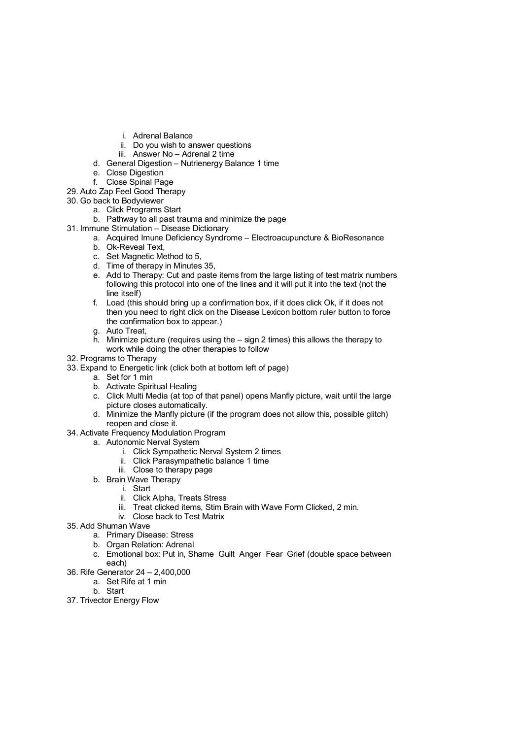- i. Adrenal Balance
- ii. Do you wish to answer questions
- iii. Answer No Adrenal 2 time
- d. General Digestion Nutrienergy Balance 1 time
- e. Close Digestion
- f. Close Spinal Page
- 29. Auto Zap Feel Good Therapy
- 30. Go back to Bodyviewer
	- a. Click Programs Start
	- b. Pathway to all past trauma and minimize the page
- 31. Immune Stimulation Disease Dictionary
	- a. Acquired Imune Deficiency Syndrome Electroacupuncture & BioResonance
		- b. Ok-Reveal Text,
		- c. Set Magnetic Method to 5,
		- d. Time of therapy in Minutes 35,
		- e. Add to Therapy: Cut and paste items from the large listing of test matrix numbers following this protocol into one of the lines and it will put it into the text (not the line itself)
		- f. Load (this should bring up a confirmation box, if it does click Ok, if it does not then you need to right click on the Disease Lexicon bottom ruler button to force the confirmation box to appear.)
		- g. Auto Treat,
		- h. Minimize picture (requires using the sign 2 times) this allows the therapy to work while doing the other therapies to follow
- 32. Programs to Therapy
- 33. Expand to Energetic link (click both at bottom left of page)
	- a. Set for 1 min
	- b. Activate Spiritual Healing
	- c. Click Multi Media (at top of that panel) opens Manfly picture, wait until the large picture closes automatically.
	- d. Minimize the Manfly picture (if the program does not allow this, possible glitch) reopen and close it.
- 34. Activate Frequency Modulation Program
	- a. Autonomic Nerval System
		- i. Click Sympathetic Nerval System 2 times
		- ii. Click Parasympathetic balance 1 time
		- iii. Close to therapy page
	- b. Brain Wave Therapy
		- i. Start
			- ii. Click Alpha, Treats Stress
			- iii. Treat clicked items, Stim Brain with Wave Form Clicked, 2 min.
		- iv. Close back to Test Matrix
- 35. Add Shuman Wave
	- a. Primary Disease: Stress
	- b. Organ Relation: Adrenal
	- c. Emotional box: Put in, Shame Guilt Anger Fear Grief (double space between each)
- 36. Rife Generator 24 2,400,000
	- a. Set Rife at 1 min
		- b. Start
- 37. Trivector Energy Flow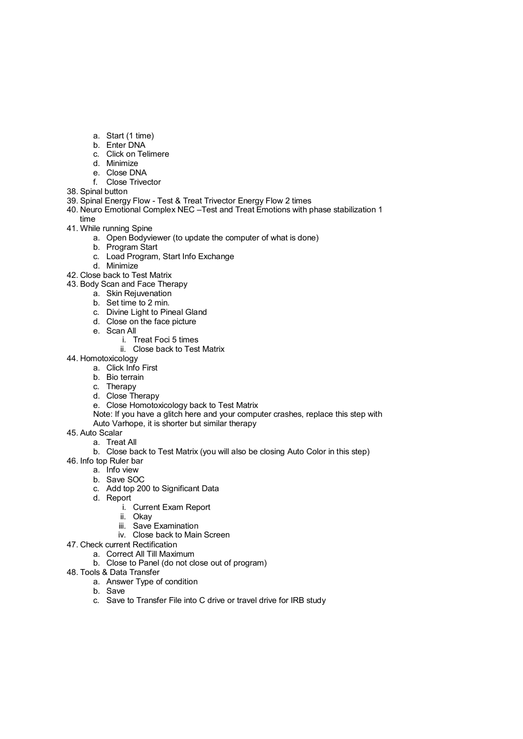- a. Start (1 time)
- b. Enter DNA
- c. Click on Telimere
- d. Minimize
- e. Close DNA
- f. Close Trivector
- 38. Spinal button
- 39. Spinal Energy Flow Test & Treat Trivector Energy Flow 2 times
- 40. Neuro Emotional Complex NEC –Test and Treat Emotions with phase stabilization 1
- time
- 41. While running Spine
	- a. Open Bodyviewer (to update the computer of what is done)
	- b. Program Start
	- c. Load Program, Start Info Exchange
	- d. Minimize
- 42. Close back to Test Matrix
- 43. Body Scan and Face Therapy
	- a. Skin Rejuvenation
	- b. Set time to 2 min.
	- c. Divine Light to Pineal Gland
	- d. Close on the face picture
	- e. Scan All
		- i. Treat Foci 5 times
		- ii. Close back to Test Matrix
- 44. Homotoxicology
	- a. Click Info First
	- b. Bio terrain
	- c. Therapy
	- d. Close Therapy
	- e. Close Homotoxicology back to Test Matrix
	- Note: If you have a glitch here and your computer crashes, replace this step with Auto Varhope, it is shorter but similar therapy
	-
- 45. Auto Scalar
	- a. Treat All
	- b. Close back to Test Matrix (you will also be closing Auto Color in this step)
- 46. Info top Ruler bar
	- a. Info view
	- b. Save SOC
	- c. Add top 200 to Significant Data
	- d. Report
		- i. Current Exam Report
		- ii. Okay
		- iii. Save Examination
		- iv. Close back to Main Screen
- 47. Check current Rectification
	- a. Correct All Till Maximum
	- b. Close to Panel (do not close out of program)
- 48. Tools & Data Transfer
	- a. Answer Type of condition
	- b. Save
	- c. Save to Transfer File into C drive or travel drive for IRB study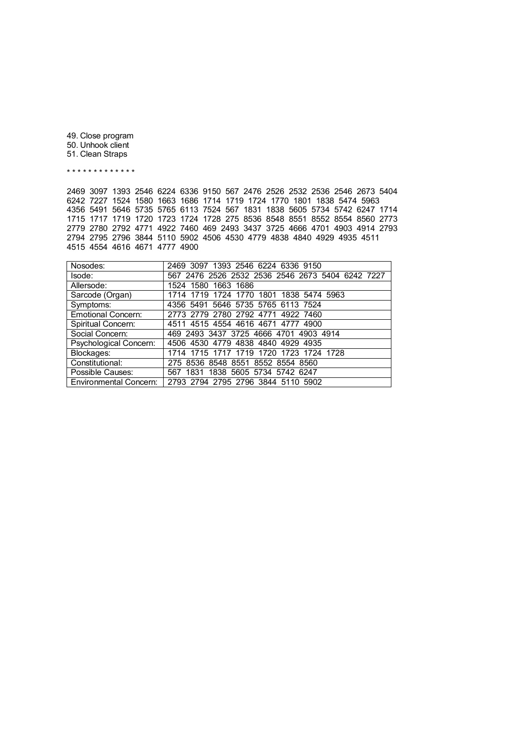49. Close program 50. Unhook client 51. Clean Straps

\* \* \* \* \* \* \* \* \* \* \* \* \*

2469 3097 1393 2546 6224 6336 9150 567 2476 2526 2532 2536 2546 2673 5404 6242 7227 1524 1580 1663 1686 1714 1719 1724 1770 1801 1838 5474 5963 4356 5491 5646 5735 5765 6113 7524 567 1831 1838 5605 5734 5742 6247 1714 1715 1717 1719 1720 1723 1724 1728 275 8536 8548 8551 8552 8554 8560 2773 2779 2780 2792 4771 4922 7460 469 2493 3437 3725 4666 4701 4903 4914 2793 2794 2795 2796 3844 5110 5902 4506 4530 4779 4838 4840 4929 4935 4511 4515 4554 4616 4671 4777 4900

| Nosodes:                  | 2469 3097 1393 2546 6224 6336 9150               |
|---------------------------|--------------------------------------------------|
| Isode:                    | 567 2476 2526 2532 2536 2546 2673 5404 6242 7227 |
| Allersode:                | 1524 1580 1663 1686                              |
| Sarcode (Organ)           | 1714 1719 1724 1770 1801 1838 5474 5963          |
| Symptoms:                 | 4356 5491 5646 5735 5765 6113 7524               |
| <b>Emotional Concern:</b> | 2773 2779 2780 2792 4771 4922 7460               |
| Spiritual Concern:        | 4511 4515 4554 4616 4671 4777 4900               |
| Social Concern:           | 469 2493 3437 3725 4666 4701 4903 4914           |
| Psychological Concern:    | 4506 4530 4779 4838 4840 4929 4935               |
| Blockages:                | 1714 1715 1717 1719 1720 1723 1724 1728          |
| Constitutional:           | 275 8536 8548 8551 8552 8554 8560                |
| Possible Causes:          | 567 1831 1838 5605 5734 5742 6247                |
| Environmental Concern:    | 2793 2794 2795 2796 3844 5110 5902               |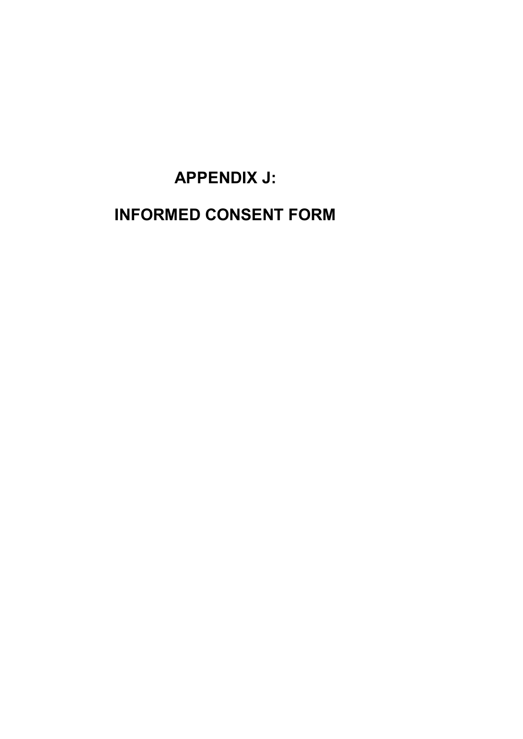# **APPENDIX J:**

## **INFORMED CONSENT FORM**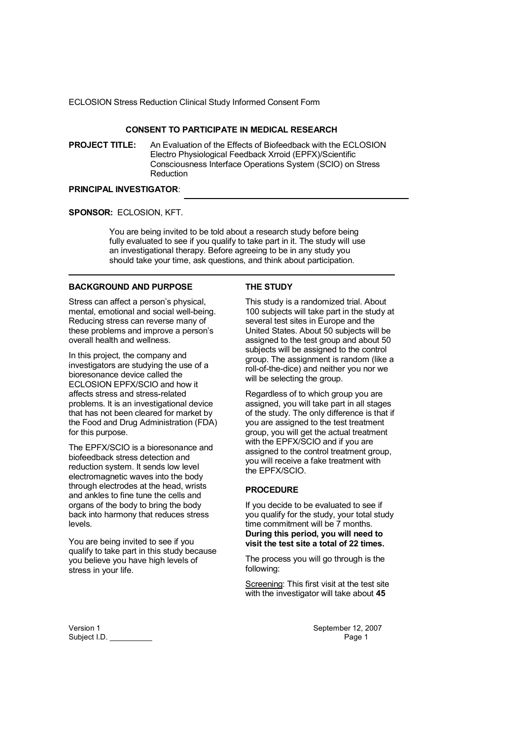### **CONSENT TO PARTICIPATE IN MEDICAL RESEARCH**

**PROJECT TITLE:** An Evaluation of the Effects of Biofeedback with the ECLOSION Electro Physiological Feedback Xrroid (EPFX)/Scientific Consciousness Interface Operations System (SCIO) on Stress Reduction

## **PRINCIPAL INVESTIGATOR**:

#### **SPONSOR:** ECLOSION, KFT.

You are being invited to be told about a research study before being fully evaluated to see if you qualify to take part in it. The study will use an investigational therapy. Before agreeing to be in any study you should take your time, ask questions, and think about participation.

**THE STUDY** 

### **BACKGROUND AND PURPOSE**

Stress can affect a person's physical, mental, emotional and social well-being. Reducing stress can reverse many of these problems and improve a person's overall health and wellness.

In this project, the company and investigators are studying the use of a bioresonance device called the ECLOSION EPFX/SCIO and how it affects stress and stress-related problems. It is an investigational device that has not been cleared for market by the Food and Drug Administration (FDA) for this purpose.

The EPFX/SCIO is a bioresonance and biofeedback stress detection and reduction system. It sends low level electromagnetic waves into the body through electrodes at the head, wrists and ankles to fine tune the cells and organs of the body to bring the body back into harmony that reduces stress levels.

You are being invited to see if you qualify to take part in this study because you believe you have high levels of stress in your life.

This study is a randomized trial. About 100 subjects will take part in the study at several test sites in Europe and the United States. About 50 subjects will be assigned to the test group and about 50 subjects will be assigned to the control group. The assignment is random (like a roll-of-the-dice) and neither you nor we will be selecting the group.

Regardless of to which group you are assigned, you will take part in all stages of the study. The only difference is that if you are assigned to the test treatment group, you will get the actual treatment with the EPFX/SCIO and if you are assigned to the control treatment group, you will receive a fake treatment with the EPFX/SCIO.

### **PROCEDURE**

If you decide to be evaluated to see if you qualify for the study, your total study time commitment will be 7 months. **During this period, you will need to visit the test site a total of 22 times.**

The process you will go through is the following:

Screening: This first visit at the test site with the investigator will take about **45** 

Version 1 September 12, 2007 Subject I.D. Page 1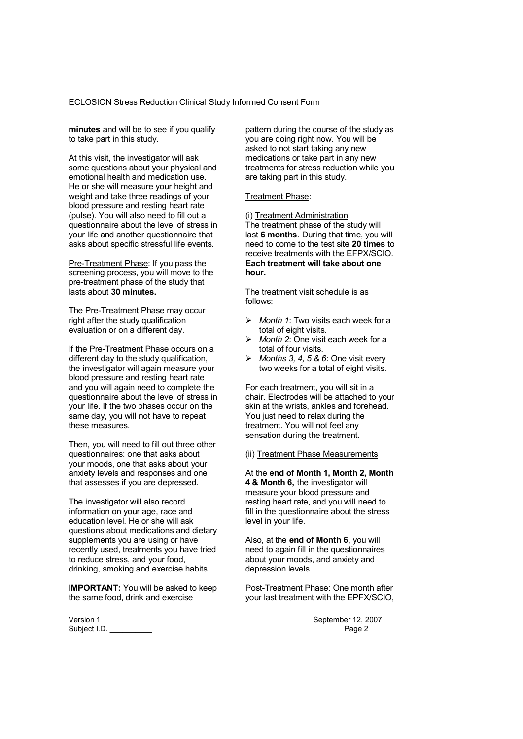**minutes** and will be to see if you qualify to take part in this study.

At this visit, the investigator will ask some questions about your physical and emotional health and medication use. He or she will measure your height and weight and take three readings of your blood pressure and resting heart rate (pulse). You will also need to fill out a questionnaire about the level of stress in your life and another questionnaire that asks about specific stressful life events.

Pre-Treatment Phase: If you pass the screening process, you will move to the pre-treatment phase of the study that lasts about **30 minutes.** 

The Pre-Treatment Phase may occur right after the study qualification evaluation or on a different day.

If the Pre-Treatment Phase occurs on a different day to the study qualification, the investigator will again measure your blood pressure and resting heart rate and you will again need to complete the questionnaire about the level of stress in your life. If the two phases occur on the same day, you will not have to repeat these measures.

Then, you will need to fill out three other questionnaires: one that asks about your moods, one that asks about your anxiety levels and responses and one that assesses if you are depressed.

The investigator will also record information on your age, race and education level. He or she will ask questions about medications and dietary supplements you are using or have recently used, treatments you have tried to reduce stress, and your food, drinking, smoking and exercise habits.

**IMPORTANT:** You will be asked to keep the same food, drink and exercise

Version 1<br>
September 12, 2007<br>
Subject I.D.<br>
Page 2 Subject I.D.

pattern during the course of the study as you are doing right now. You will be asked to not start taking any new medications or take part in any new treatments for stress reduction while you are taking part in this study.

Treatment Phase:

(i) Treatment Administration The treatment phase of the study will last **6 months**. During that time, you will need to come to the test site **20 times** to receive treatments with the EFPX/SCIO. **Each treatment will take about one hour.**

The treatment visit schedule is as follows:

- *Month 1*: Two visits each week for a total of eight visits.
- *Month 2*: One visit each week for a total of four visits.
- *Months 3, 4, 5 & 6*: One visit every two weeks for a total of eight visits.

For each treatment, you will sit in a chair. Electrodes will be attached to your skin at the wrists, ankles and forehead. You just need to relax during the treatment. You will not feel any sensation during the treatment.

#### (ii) Treatment Phase Measurements

At the **end of Month 1, Month 2, Month 4 & Month 6,** the investigator will measure your blood pressure and resting heart rate, and you will need to fill in the questionnaire about the stress level in your life.

Also, at the **end of Month 6**, you will need to again fill in the questionnaires about your moods, and anxiety and depression levels.

Post-Treatment Phase: One month after your last treatment with the EPFX/SCIO,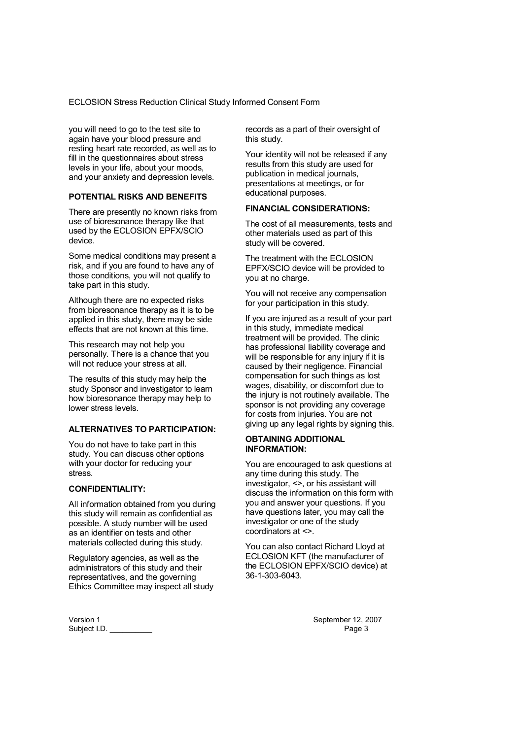you will need to go to the test site to again have your blood pressure and resting heart rate recorded, as well as to fill in the questionnaires about stress levels in your life, about your moods, and your anxiety and depression levels.

### **POTENTIAL RISKS AND BENEFITS**

There are presently no known risks from use of bioresonance therapy like that used by the ECLOSION EPFX/SCIO device.

Some medical conditions may present a risk, and if you are found to have any of those conditions, you will not qualify to take part in this study.

Although there are no expected risks from bioresonance therapy as it is to be applied in this study, there may be side effects that are not known at this time.

This research may not help you personally. There is a chance that you will not reduce your stress at all.

The results of this study may help the study Sponsor and investigator to learn how bioresonance therapy may help to lower stress levels.

#### **ALTERNATIVES TO PARTICIPATION:**

You do not have to take part in this study. You can discuss other options with your doctor for reducing your stress.

### **CONFIDENTIALITY:**

All information obtained from you during this study will remain as confidential as possible. A study number will be used as an identifier on tests and other materials collected during this study.

Regulatory agencies, as well as the administrators of this study and their representatives, and the governing Ethics Committee may inspect all study

Version 1<br>
September 12, 2007<br>
Subject I.D.<br>
Page 3 Subject I.D.

records as a part of their oversight of this study.

Your identity will not be released if any results from this study are used for publication in medical journals, presentations at meetings, or for educational purposes.

#### **FINANCIAL CONSIDERATIONS:**

The cost of all measurements, tests and other materials used as part of this study will be covered.

The treatment with the FCI OSION EPFX/SCIO device will be provided to you at no charge.

You will not receive any compensation for your participation in this study.

If you are injured as a result of your part in this study, immediate medical treatment will be provided. The clinic has professional liability coverage and will be responsible for any injury if it is caused by their negligence. Financial compensation for such things as lost wages, disability, or discomfort due to the injury is not routinely available. The sponsor is not providing any coverage for costs from injuries. You are not giving up any legal rights by signing this.

#### **OBTAINING ADDITIONAL INFORMATION:**

You are encouraged to ask questions at any time during this study. The investigator, <>, or his assistant will discuss the information on this form with you and answer your questions. If you have questions later, you may call the investigator or one of the study coordinators at <>.

You can also contact Richard Lloyd at ECLOSION KFT (the manufacturer of the ECLOSION EPFX/SCIO device) at 36-1-303-6043.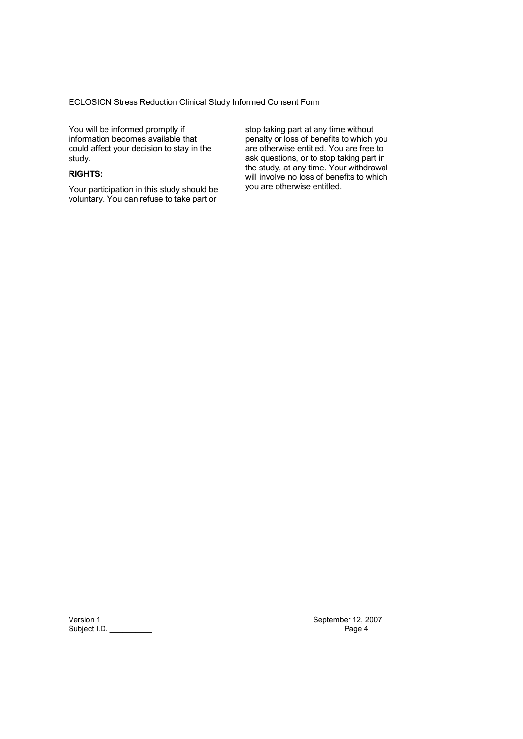You will be informed promptly if information becomes available that could affect your decision to stay in the study.

## **RIGHTS:**

Your participation in this study should be voluntary. You can refuse to take part or

stop taking part at any time without penalty or loss of benefits to which you are otherwise entitled. You are free to ask questions, or to stop taking part in the study, at any time. Your withdrawal will involve no loss of benefits to which you are otherwise entitled.

Version 1 September 12, 2007<br>Subject I.D. Page 4 Subject I.D. \_\_\_\_\_\_\_\_\_\_\_\_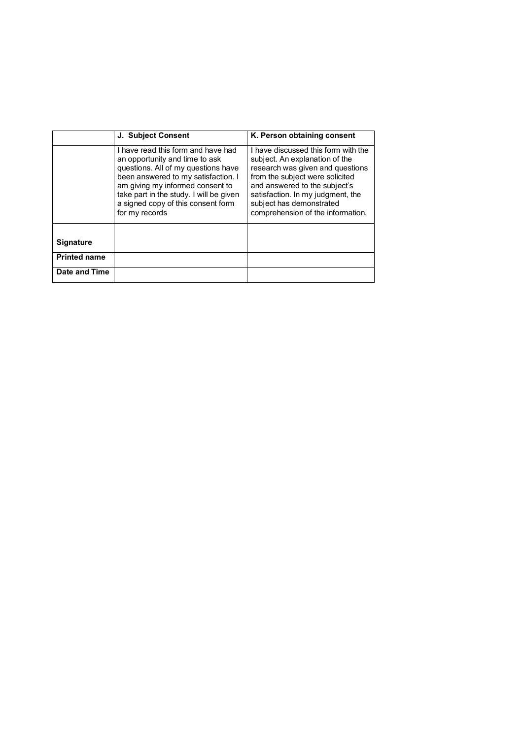|                     | <b>J. Subject Consent</b>                                                                                                                                                                                                                                                                 | K. Person obtaining consent                                                                                                                                                                                                                                                         |
|---------------------|-------------------------------------------------------------------------------------------------------------------------------------------------------------------------------------------------------------------------------------------------------------------------------------------|-------------------------------------------------------------------------------------------------------------------------------------------------------------------------------------------------------------------------------------------------------------------------------------|
|                     |                                                                                                                                                                                                                                                                                           |                                                                                                                                                                                                                                                                                     |
|                     | I have read this form and have had<br>an opportunity and time to ask<br>questions. All of my questions have<br>been answered to my satisfaction. I<br>am giving my informed consent to<br>take part in the study. I will be given<br>a signed copy of this consent form<br>for my records | I have discussed this form with the<br>subject. An explanation of the<br>research was given and questions<br>from the subject were solicited<br>and answered to the subject's<br>satisfaction. In my judgment, the<br>subject has demonstrated<br>comprehension of the information. |
| <b>Signature</b>    |                                                                                                                                                                                                                                                                                           |                                                                                                                                                                                                                                                                                     |
|                     |                                                                                                                                                                                                                                                                                           |                                                                                                                                                                                                                                                                                     |
| <b>Printed name</b> |                                                                                                                                                                                                                                                                                           |                                                                                                                                                                                                                                                                                     |
| Date and Time       |                                                                                                                                                                                                                                                                                           |                                                                                                                                                                                                                                                                                     |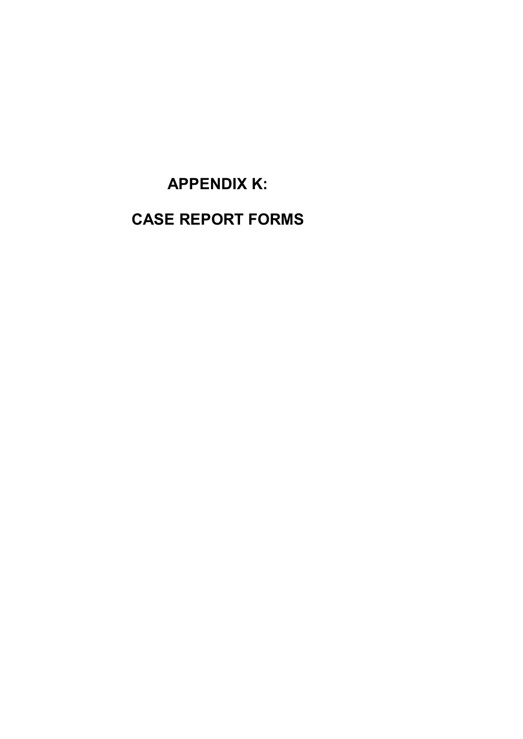**APPENDIX K: CASE REPORT FORMS**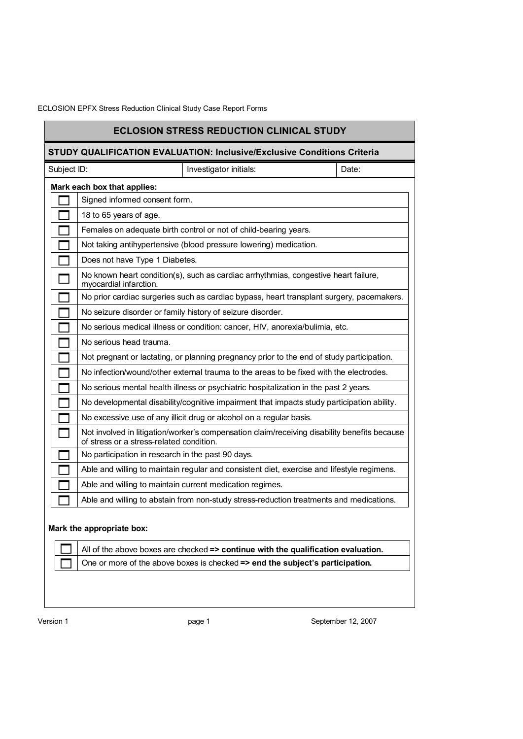|             |                                                   | <b>ECLOSION STRESS REDUCTION CLINICAL STUDY</b>                                              |       |
|-------------|---------------------------------------------------|----------------------------------------------------------------------------------------------|-------|
|             |                                                   | <b>STUDY QUALIFICATION EVALUATION: Inclusive/Exclusive Conditions Criteria</b>               |       |
| Subject ID: |                                                   | Investigator initials:                                                                       | Date: |
|             | Mark each box that applies:                       |                                                                                              |       |
|             | Signed informed consent form.                     |                                                                                              |       |
|             | 18 to 65 years of age.                            |                                                                                              |       |
|             |                                                   | Females on adequate birth control or not of child-bearing years.                             |       |
|             |                                                   | Not taking antihypertensive (blood pressure lowering) medication.                            |       |
|             | Does not have Type 1 Diabetes.                    |                                                                                              |       |
|             | myocardial infarction.                            | No known heart condition(s), such as cardiac arrhythmias, congestive heart failure,          |       |
|             |                                                   | No prior cardiac surgeries such as cardiac bypass, heart transplant surgery, pacemakers.     |       |
|             |                                                   | No seizure disorder or family history of seizure disorder.                                   |       |
|             |                                                   | No serious medical illness or condition: cancer, HIV, anorexia/bulimia, etc.                 |       |
|             | No serious head trauma.                           |                                                                                              |       |
|             |                                                   | Not pregnant or lactating, or planning pregnancy prior to the end of study participation.    |       |
|             |                                                   | No infection/wound/other external trauma to the areas to be fixed with the electrodes.       |       |
|             |                                                   | No serious mental health illness or psychiatric hospitalization in the past 2 years.         |       |
|             |                                                   | No developmental disability/cognitive impairment that impacts study participation ability.   |       |
|             |                                                   | No excessive use of any illicit drug or alcohol on a regular basis.                          |       |
|             | of stress or a stress-related condition.          | Not involved in litigation/worker's compensation claim/receiving disability benefits because |       |
|             | No participation in research in the past 90 days. |                                                                                              |       |
|             |                                                   | Able and willing to maintain regular and consistent diet, exercise and lifestyle regimens.   |       |
|             |                                                   | Able and willing to maintain current medication regimes.                                     |       |
|             |                                                   | Able and willing to abstain from non-study stress-reduction treatments and medications.      |       |
|             | Mark the appropriate box:                         |                                                                                              |       |
|             |                                                   | All of the above boxes are checked $\Rightarrow$ continue with the qualification evaluation. |       |
|             |                                                   | One or more of the above boxes is checked => end the subject's participation.                |       |
|             |                                                   |                                                                                              |       |

Version 1 **Details 12, 2007** bage 1 **page 1** September 12, 2007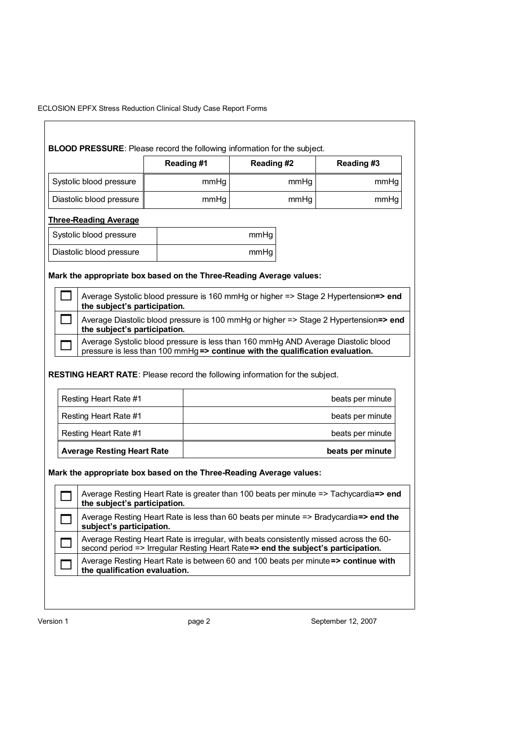|                                                                                     | Reading #1 | Reading #2 |      | Reading #3                                                                             |
|-------------------------------------------------------------------------------------|------------|------------|------|----------------------------------------------------------------------------------------|
| Systolic blood pressure                                                             | mmHg       |            | mmHg | mmHg                                                                                   |
| Diastolic blood pressure                                                            | mmHg       |            | mmHg | mmHg                                                                                   |
| <b>Three-Reading Average</b>                                                        |            |            |      |                                                                                        |
| Systolic blood pressure                                                             |            | mmHg       |      |                                                                                        |
| Diastolic blood pressure                                                            |            | mmHg       |      |                                                                                        |
| Mark the appropriate box based on the Three-Reading Average values:                 |            |            |      |                                                                                        |
|                                                                                     |            |            |      | Average Systolic blood pressure is 160 mmHg or higher => Stage 2 Hypertension=> end    |
| the subject's participation.                                                        |            |            |      |                                                                                        |
|                                                                                     |            |            |      | Average Diastolic blood pressure is 100 mmHg or higher => Stage 2 Hypertension=> end   |
| the subject's participation.                                                        |            |            |      |                                                                                        |
|                                                                                     |            |            |      | Average Systolic blood pressure is less than 160 mmHg AND Average Diastolic blood      |
| pressure is less than 100 mmHg => continue with the qualification evaluation.       |            |            |      |                                                                                        |
| <b>RESTING HEART RATE:</b> Please record the following information for the subject. |            |            |      |                                                                                        |
| Resting Heart Rate #1                                                               |            |            |      | beats per minute                                                                       |
| <b>Resting Heart Rate #1</b>                                                        |            |            |      | beats per minute                                                                       |
| Resting Heart Rate #1                                                               |            |            |      | beats per minute                                                                       |
| <b>Average Resting Heart Rate</b>                                                   |            |            |      | beats per minute                                                                       |
|                                                                                     |            |            |      |                                                                                        |
| Mark the appropriate box based on the Three-Reading Average values:                 |            |            |      |                                                                                        |
| the subject's participation.                                                        |            |            |      | Average Resting Heart Rate is greater than 100 beats per minute => Tachycardia=> end   |
| subject's participation.                                                            |            |            |      | Average Resting Heart Rate is less than 60 beats per minute => Bradycardia=> end the   |
| second period => Irregular Resting Heart Rate=> end the subject's participation.    |            |            |      | Average Resting Heart Rate is irregular, with beats consistently missed across the 60- |

Version 1 **page 2** Page 2 September 12, 2007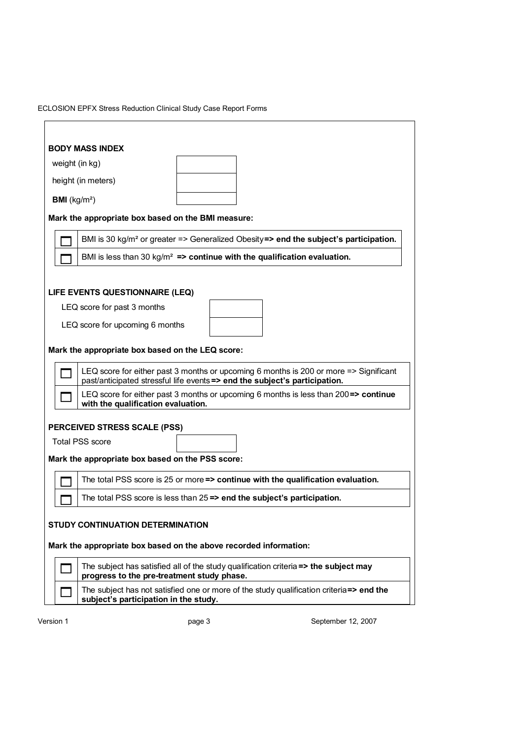| <b>BODY MASS INDEX</b>                                                                                                                                              |
|---------------------------------------------------------------------------------------------------------------------------------------------------------------------|
| weight (in kg)                                                                                                                                                      |
| height (in meters)                                                                                                                                                  |
| <b>BMI</b> ( $kg/m2$ )                                                                                                                                              |
| Mark the appropriate box based on the BMI measure:                                                                                                                  |
| BMI is 30 kg/m <sup>2</sup> or greater => Generalized Obesity=> end the subject's participation.                                                                    |
| BMI is less than 30 kg/m <sup>2</sup> => continue with the qualification evaluation.                                                                                |
|                                                                                                                                                                     |
| LIFE EVENTS QUESTIONNAIRE (LEQ)                                                                                                                                     |
| LEQ score for past 3 months                                                                                                                                         |
| LEQ score for upcoming 6 months                                                                                                                                     |
| Mark the appropriate box based on the LEQ score:                                                                                                                    |
| LEQ score for either past 3 months or upcoming 6 months is 200 or more => Significant<br>past/anticipated stressful life events => end the subject's participation. |
| LEQ score for either past 3 months or upcoming 6 months is less than 200=> continue<br>with the qualification evaluation.                                           |
| PERCEIVED STRESS SCALE (PSS)                                                                                                                                        |
| <b>Total PSS score</b>                                                                                                                                              |
| Mark the appropriate box based on the PSS score:                                                                                                                    |
| The total PSS score is 25 or more => continue with the qualification evaluation.                                                                                    |
| The total PSS score is less than $25 \Rightarrow$ end the subject's participation.                                                                                  |
|                                                                                                                                                                     |
| <b>STUDY CONTINUATION DETERMINATION</b>                                                                                                                             |
| Mark the appropriate box based on the above recorded information:                                                                                                   |
| The subject has satisfied all of the study qualification criteria => the subject may<br>progress to the pre-treatment study phase.                                  |
| The subject has not satisfied one or more of the study qualification criteria=> end the<br>subject's participation in the study.                                    |

Version 1 **page 3** Page 3 September 12, 2007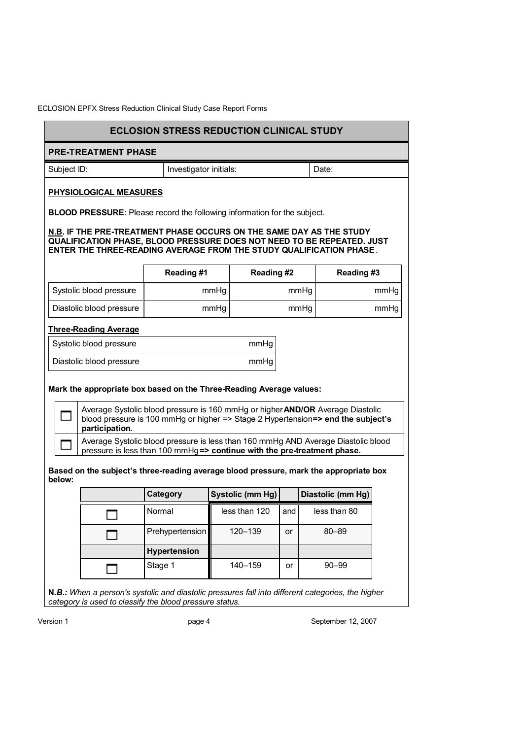|                                                                                                                                                                                                                             | <b>ECLOSION STRESS REDUCTION CLINICAL STUDY</b>                                                                                                                    |      |                  |      |       |                   |      |
|-----------------------------------------------------------------------------------------------------------------------------------------------------------------------------------------------------------------------------|--------------------------------------------------------------------------------------------------------------------------------------------------------------------|------|------------------|------|-------|-------------------|------|
| <b>PRE-TREATMENT PHASE</b>                                                                                                                                                                                                  |                                                                                                                                                                    |      |                  |      |       |                   |      |
| Subject ID:                                                                                                                                                                                                                 | Investigator initials:                                                                                                                                             |      |                  |      | Date: |                   |      |
| PHYSIOLOGICAL MEASURES                                                                                                                                                                                                      |                                                                                                                                                                    |      |                  |      |       |                   |      |
| <b>BLOOD PRESSURE:</b> Please record the following information for the subject.                                                                                                                                             |                                                                                                                                                                    |      |                  |      |       |                   |      |
| N.B. IF THE PRE-TREATMENT PHASE OCCURS ON THE SAME DAY AS THE STUDY<br><b>QUALIFICATION PHASE, BLOOD PRESSURE DOES NOT NEED TO BE REPEATED. JUST</b><br>ENTER THE THREE-READING AVERAGE FROM THE STUDY QUALIFICATION PHASE. |                                                                                                                                                                    |      |                  |      |       |                   |      |
|                                                                                                                                                                                                                             | Reading #1                                                                                                                                                         |      | Reading #2       |      |       | Reading#3         |      |
| Systolic blood pressure                                                                                                                                                                                                     |                                                                                                                                                                    | mmHg |                  | mmHg |       |                   | mmHg |
| Diastolic blood pressure                                                                                                                                                                                                    |                                                                                                                                                                    | mmHg |                  |      | mmHg  |                   | mmHg |
| <b>Three-Reading Average</b>                                                                                                                                                                                                |                                                                                                                                                                    |      |                  |      |       |                   |      |
| Systolic blood pressure                                                                                                                                                                                                     |                                                                                                                                                                    |      | mmHg             |      |       |                   |      |
| Diastolic blood pressure                                                                                                                                                                                                    |                                                                                                                                                                    |      | mmHg             |      |       |                   |      |
| Mark the appropriate box based on the Three-Reading Average values:                                                                                                                                                         |                                                                                                                                                                    |      |                  |      |       |                   |      |
| participation.                                                                                                                                                                                                              | Average Systolic blood pressure is 160 mmHg or higher AND/OR Average Diastolic<br>blood pressure is 100 mmHg or higher => Stage 2 Hypertension=> end the subject's |      |                  |      |       |                   |      |
|                                                                                                                                                                                                                             | Average Systolic blood pressure is less than 160 mmHg AND Average Diastolic blood<br>pressure is less than 100 mmHg => continue with the pre-treatment phase.      |      |                  |      |       |                   |      |
| Based on the subject's three-reading average blood pressure, mark the appropriate box<br>below:                                                                                                                             |                                                                                                                                                                    |      |                  |      |       |                   |      |
|                                                                                                                                                                                                                             | Category                                                                                                                                                           |      | Systolic (mm Hg) |      |       | Diastolic (mm Hg) |      |
|                                                                                                                                                                                                                             | Normal                                                                                                                                                             |      | less than 120    | and  |       | less than 80      |      |
|                                                                                                                                                                                                                             | Prehypertension                                                                                                                                                    |      | 120-139          | or   |       | $80 - 89$         |      |
|                                                                                                                                                                                                                             | Hypertension                                                                                                                                                       |      |                  |      |       |                   |      |
|                                                                                                                                                                                                                             | Stage 1                                                                                                                                                            |      | 140-159          | or   |       | $90 - 99$         |      |
| N.B.: When a person's systolic and diastolic pressures fall into different categories, the higher<br>category is used to classify the blood pressure status.                                                                |                                                                                                                                                                    |      |                  |      |       |                   |      |

Version 1 **page 4** Page 4 September 12, 2007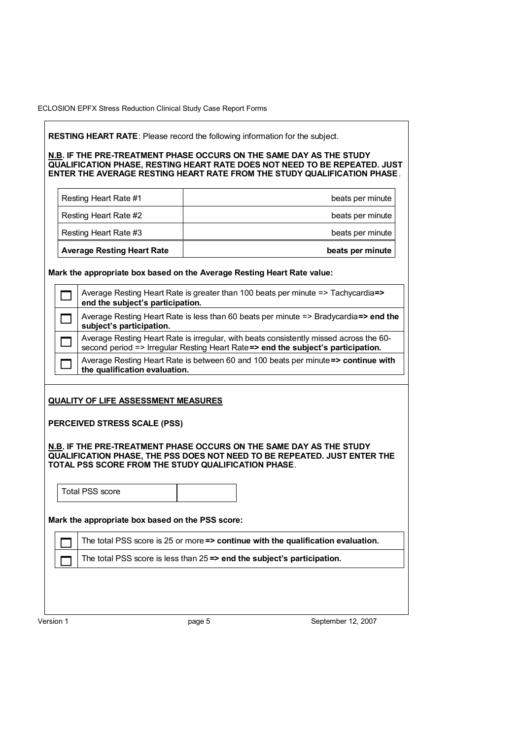**RESTING HEART RATE**: Please record the following information for the subject.

**N.B. IF THE PRE-TREATMENT PHASE OCCURS ON THE SAME DAY AS THE STUDY QUALIFICATION PHASE, RESTING HEART RATE DOES NOT NEED TO BE REPEATED. JUST ENTER THE AVERAGE RESTING HEART RATE FROM THE STUDY QUALIFICATION PHASE**.

| <b>Average Resting Heart Rate</b> | beats per minute |
|-----------------------------------|------------------|
| Resting Heart Rate #3             | beats per minute |
| Resting Heart Rate #2             | beats per minute |
| Resting Heart Rate #1             | beats per minute |

**Mark the appropriate box based on the Average Resting Heart Rate value:** 

| Average Resting Heart Rate is greater than 100 beats per minute => Tachycardia=><br>end the subject's participation.                                                       |
|----------------------------------------------------------------------------------------------------------------------------------------------------------------------------|
| Average Resting Heart Rate is less than 60 beats per minute => Bradycardia=> end the<br>subject's participation.                                                           |
| Average Resting Heart Rate is irregular, with beats consistently missed across the 60-<br>second period => Irregular Resting Heart Rate=> end the subject's participation. |
| Average Resting Heart Rate is between 60 and 100 beats per minute => continue with<br>the qualification evaluation.                                                        |

## **QUALITY OF LIFE ASSESSMENT MEASURES**

**PERCEIVED STRESS SCALE (PSS)** 

**N.B. IF THE PRE-TREATMENT PHASE OCCURS ON THE SAME DAY AS THE STUDY QUALIFICATION PHASE, THE PSS DOES NOT NEED TO BE REPEATED. JUST ENTER THE TOTAL PSS SCORE FROM THE STUDY QUALIFICATION PHASE**.

Total PSS score

**Mark the appropriate box based on the PSS score:** 

The total PSS score is 25 or more **=> continue with the qualification evaluation.**

The total PSS score is less than 25 **=> end the subject's participation.**

Version 1 **big 12, 2007 page 5** September 12, 2007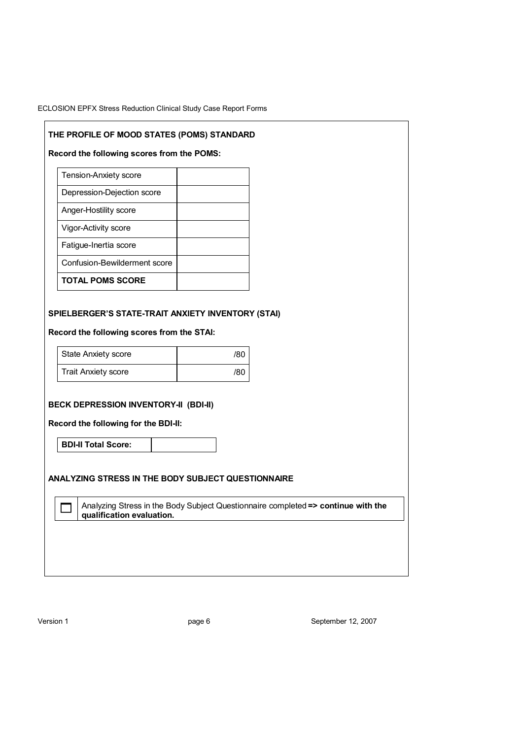## **THE PROFILE OF MOOD STATES (POMS) STANDARD**

**Record the following scores from the POMS:** 

| <b>Tension-Anxiety score</b> |  |
|------------------------------|--|
| Depression-Dejection score   |  |
| Anger-Hostility score        |  |
| Vigor-Activity score         |  |
| Fatique-Inertia score        |  |
| Confusion-Bewilderment score |  |
| <b>TOTAL POMS SCORE</b>      |  |

## **SPIELBERGER'S STATE-TRAIT ANXIETY INVENTORY (STAI)**

**Record the following scores from the STAI:** 

| State Anxiety score | /80 |
|---------------------|-----|
| Trait Anxiety score | /80 |

#### **BECK DEPRESSION INVENTORY-II (BDI-II)**

**Record the following for the BDI-II:** 

**BDI-II Total Score:** 

**ANALYZING STRESS IN THE BODY SUBJECT QUESTIONNAIRE** 

 Analyzing Stress in the Body Subject Questionnaire completed **=> continue with the qualification evaluation.**

Version 1 **big 12, 2007 page 6** September 12, 2007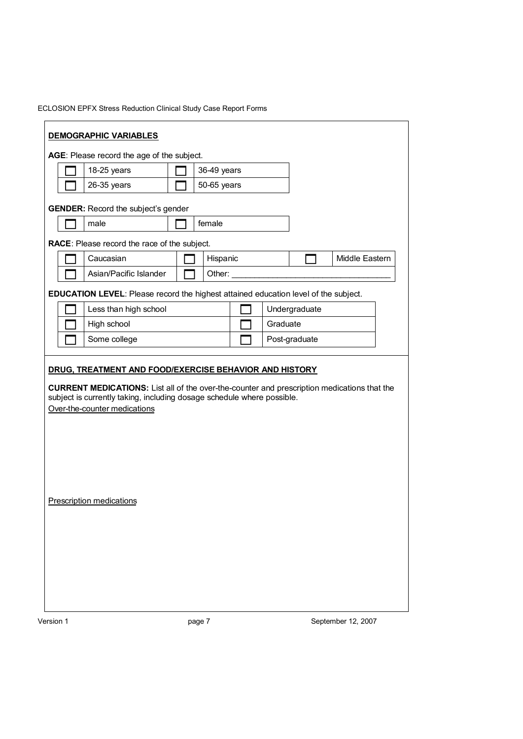| ECLOSION EPFX Stress Reduction Clinical Study Case Report Forms |  |
|-----------------------------------------------------------------|--|
|-----------------------------------------------------------------|--|

| AGE: Please record the age of the subject.<br>18-25 years                                                                                                                                                                                              | 36-49 years |          |               |                |  |
|--------------------------------------------------------------------------------------------------------------------------------------------------------------------------------------------------------------------------------------------------------|-------------|----------|---------------|----------------|--|
| 26-35 years                                                                                                                                                                                                                                            | 50-65 years |          |               |                |  |
|                                                                                                                                                                                                                                                        |             |          |               |                |  |
| <b>GENDER:</b> Record the subject's gender                                                                                                                                                                                                             |             |          |               |                |  |
| male                                                                                                                                                                                                                                                   | female      |          |               |                |  |
| RACE: Please record the race of the subject.                                                                                                                                                                                                           |             |          |               |                |  |
| Caucasian                                                                                                                                                                                                                                              | Hispanic    |          |               | Middle Eastern |  |
| Asian/Pacific Islander                                                                                                                                                                                                                                 | Other:      |          |               |                |  |
| EDUCATION LEVEL: Please record the highest attained education level of the subject.                                                                                                                                                                    |             |          |               |                |  |
| Less than high school                                                                                                                                                                                                                                  |             |          | Undergraduate |                |  |
| High school                                                                                                                                                                                                                                            |             | Graduate |               |                |  |
|                                                                                                                                                                                                                                                        |             |          |               |                |  |
| Some college<br>DRUG, TREATMENT AND FOOD/EXERCISE BEHAVIOR AND HISTORY<br><b>CURRENT MEDICATIONS:</b> List all of the over-the-counter and prescription medications that the<br>subject is currently taking, including dosage schedule where possible. |             |          | Post-graduate |                |  |
| Over-the-counter medications                                                                                                                                                                                                                           |             |          |               |                |  |
|                                                                                                                                                                                                                                                        |             |          |               |                |  |
|                                                                                                                                                                                                                                                        |             |          |               |                |  |
|                                                                                                                                                                                                                                                        |             |          |               |                |  |
|                                                                                                                                                                                                                                                        |             |          |               |                |  |
|                                                                                                                                                                                                                                                        |             |          |               |                |  |
| <b>Prescription medications</b>                                                                                                                                                                                                                        |             |          |               |                |  |
|                                                                                                                                                                                                                                                        |             |          |               |                |  |
|                                                                                                                                                                                                                                                        |             |          |               |                |  |
|                                                                                                                                                                                                                                                        |             |          |               |                |  |
|                                                                                                                                                                                                                                                        |             |          |               |                |  |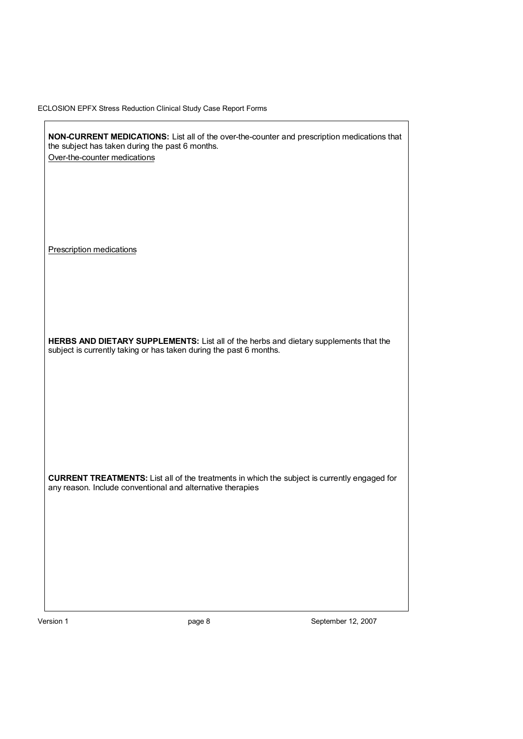| NON-CURRENT MEDICATIONS: List all of the over-the-counter and prescription medications that<br>the subject has taken during the past 6 months.                    |  |
|-------------------------------------------------------------------------------------------------------------------------------------------------------------------|--|
| Over-the-counter medications                                                                                                                                      |  |
|                                                                                                                                                                   |  |
|                                                                                                                                                                   |  |
|                                                                                                                                                                   |  |
| <b>Prescription medications</b>                                                                                                                                   |  |
|                                                                                                                                                                   |  |
|                                                                                                                                                                   |  |
|                                                                                                                                                                   |  |
|                                                                                                                                                                   |  |
| HERBS AND DIETARY SUPPLEMENTS: List all of the herbs and dietary supplements that the<br>subject is currently taking or has taken during the past 6 months.       |  |
|                                                                                                                                                                   |  |
|                                                                                                                                                                   |  |
|                                                                                                                                                                   |  |
|                                                                                                                                                                   |  |
|                                                                                                                                                                   |  |
|                                                                                                                                                                   |  |
| <b>CURRENT TREATMENTS:</b> List all of the treatments in which the subject is currently engaged for<br>any reason. Include conventional and alternative therapies |  |
|                                                                                                                                                                   |  |
|                                                                                                                                                                   |  |
|                                                                                                                                                                   |  |
|                                                                                                                                                                   |  |
|                                                                                                                                                                   |  |
|                                                                                                                                                                   |  |

Version 1 **page 8** Page 8 September 12, 2007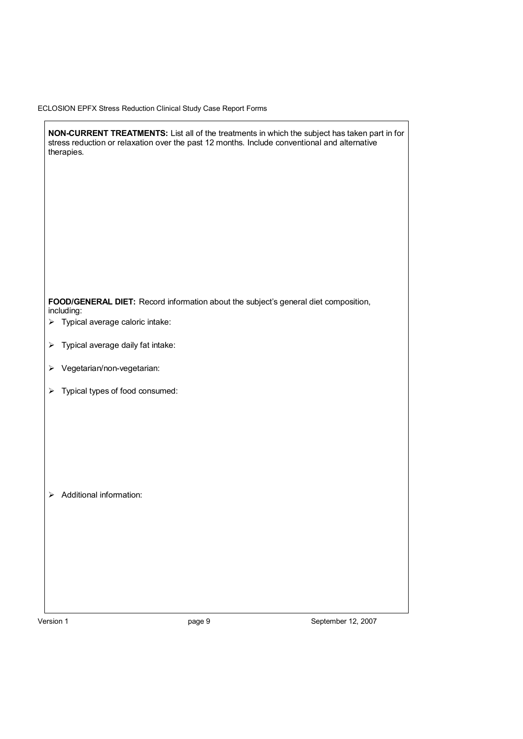|                       | NON-CURRENT TREATMENTS: List all of the treatments in which the subject has taken part in for<br>stress reduction or relaxation over the past 12 months. Include conventional and alternative<br>therapies. |
|-----------------------|-------------------------------------------------------------------------------------------------------------------------------------------------------------------------------------------------------------|
|                       |                                                                                                                                                                                                             |
|                       | FOOD/GENERAL DIET: Record information about the subject's general diet composition,                                                                                                                         |
| ➤                     | including:<br>Typical average caloric intake:                                                                                                                                                               |
| $\blacktriangleright$ | Typical average daily fat intake:                                                                                                                                                                           |
| ➤                     | Vegetarian/non-vegetarian:                                                                                                                                                                                  |
| $\blacktriangleright$ | Typical types of food consumed:                                                                                                                                                                             |
| ≻                     | Additional information:                                                                                                                                                                                     |

Version 1 **page 9** Page 9 September 12, 2007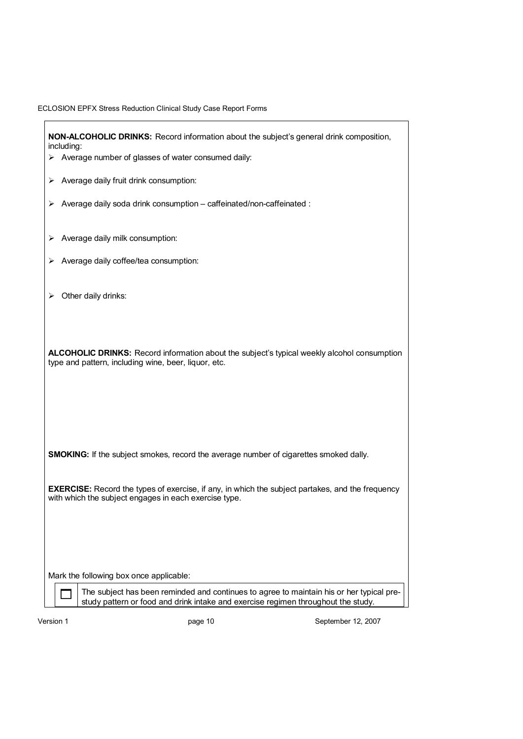|  |  | ECLOSION EPFX Stress Reduction Clinical Study Case Report Forms |  |  |  |  |  |
|--|--|-----------------------------------------------------------------|--|--|--|--|--|
|--|--|-----------------------------------------------------------------|--|--|--|--|--|

| NON-ALCOHOLIC DRINKS: Record information about the subject's general drink composition,<br>including:                                                                         |
|-------------------------------------------------------------------------------------------------------------------------------------------------------------------------------|
| $\triangleright$ Average number of glasses of water consumed daily:                                                                                                           |
| Average daily fruit drink consumption:<br>⋗                                                                                                                                   |
| Average daily soda drink consumption - caffeinated/non-caffeinated :<br>⋗                                                                                                     |
| Average daily milk consumption:<br>⋗                                                                                                                                          |
|                                                                                                                                                                               |
| Average daily coffee/tea consumption:<br>⋗                                                                                                                                    |
|                                                                                                                                                                               |
| Other daily drinks:<br>⋗                                                                                                                                                      |
|                                                                                                                                                                               |
|                                                                                                                                                                               |
|                                                                                                                                                                               |
| <b>ALCOHOLIC DRINKS:</b> Record information about the subject's typical weekly alcohol consumption                                                                            |
| type and pattern, including wine, beer, liquor, etc.                                                                                                                          |
|                                                                                                                                                                               |
|                                                                                                                                                                               |
|                                                                                                                                                                               |
|                                                                                                                                                                               |
|                                                                                                                                                                               |
| <b>SMOKING:</b> If the subject smokes, record the average number of cigarettes smoked dally.                                                                                  |
|                                                                                                                                                                               |
| <b>EXERCISE:</b> Record the types of exercise, if any, in which the subject partakes, and the frequency                                                                       |
| with which the subject engages in each exercise type.                                                                                                                         |
|                                                                                                                                                                               |
|                                                                                                                                                                               |
|                                                                                                                                                                               |
|                                                                                                                                                                               |
| Mark the following box once applicable:                                                                                                                                       |
|                                                                                                                                                                               |
| The subject has been reminded and continues to agree to maintain his or her typical pre-<br>study pattern or food and drink intake and exercise regimen throughout the study. |
|                                                                                                                                                                               |

Version 1 **page 10** page 10 September 12, 2007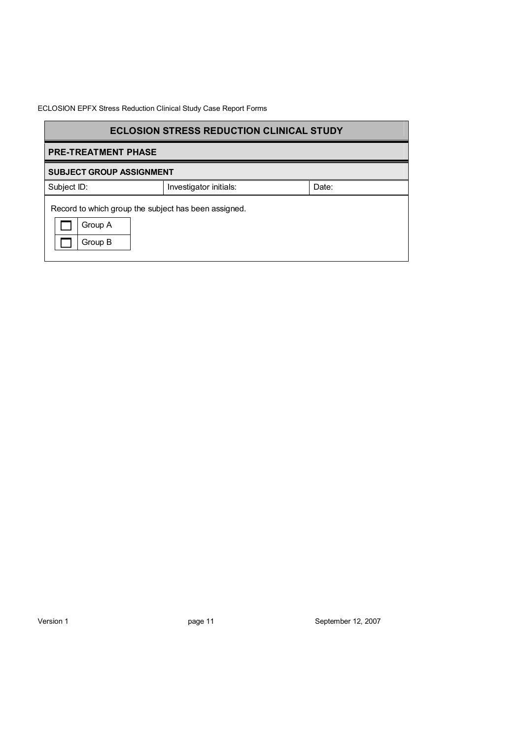| <b>ECLOSION STRESS REDUCTION CLINICAL STUDY</b>                            |                        |       |
|----------------------------------------------------------------------------|------------------------|-------|
| <b>PRE-TREATMENT PHASE</b>                                                 |                        |       |
| <b>SUBJECT GROUP ASSIGNMENT</b>                                            |                        |       |
| Subject ID:                                                                | Investigator initials: | Date: |
| Record to which group the subject has been assigned.<br>Group A<br>Group B |                        |       |

Version 1 **page 11** page 11 September 12, 2007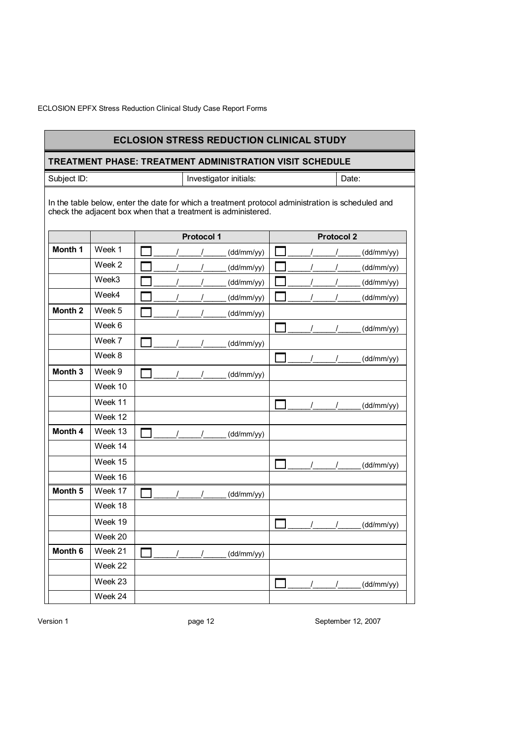|                    |         |  |                   | <b>ECLOSION STRESS REDUCTION CLINICAL STUDY</b>                                                                                                                    |   |                   |            |
|--------------------|---------|--|-------------------|--------------------------------------------------------------------------------------------------------------------------------------------------------------------|---|-------------------|------------|
|                    |         |  |                   | TREATMENT PHASE: TREATMENT ADMINISTRATION VISIT SCHEDULE                                                                                                           |   |                   |            |
| Subject ID:        |         |  |                   | Investigator initials:                                                                                                                                             |   |                   | Date:      |
|                    |         |  |                   | In the table below, enter the date for which a treatment protocol administration is scheduled and<br>check the adjacent box when that a treatment is administered. |   |                   |            |
|                    |         |  | <b>Protocol 1</b> |                                                                                                                                                                    |   | <b>Protocol 2</b> |            |
| Month 1            | Week 1  |  |                   | (dd/mm/yy)                                                                                                                                                         |   |                   | (dd/mm/yy) |
|                    | Week 2  |  |                   | (dd/mm/yy)                                                                                                                                                         |   |                   | (dd/mm/yy) |
|                    | Week3   |  |                   | (dd/mm/yy)                                                                                                                                                         |   |                   | (dd/mm/yy) |
|                    | Week4   |  |                   | (dd/mm/yy)                                                                                                                                                         |   |                   | (dd/mm/yy) |
| Month <sub>2</sub> | Week 5  |  |                   | (dd/mm/yy)                                                                                                                                                         |   |                   |            |
|                    | Week 6  |  |                   |                                                                                                                                                                    |   |                   | (dd/mm/yy) |
|                    | Week 7  |  |                   | (dd/mm/yy)                                                                                                                                                         |   |                   |            |
|                    | Week 8  |  |                   |                                                                                                                                                                    |   |                   | (dd/mm/yy) |
| Month <sub>3</sub> | Week 9  |  |                   | (dd/mm/yy)                                                                                                                                                         |   |                   |            |
|                    | Week 10 |  |                   |                                                                                                                                                                    |   |                   |            |
|                    | Week 11 |  |                   |                                                                                                                                                                    |   |                   | (dd/mm/yy) |
|                    | Week 12 |  |                   |                                                                                                                                                                    |   |                   |            |
| Month 4            | Week 13 |  |                   | (dd/mm/yy)                                                                                                                                                         |   |                   |            |
|                    | Week 14 |  |                   |                                                                                                                                                                    |   |                   |            |
|                    | Week 15 |  |                   |                                                                                                                                                                    |   |                   | (dd/mm/yy) |
|                    | Week 16 |  |                   |                                                                                                                                                                    |   |                   |            |
| Month <sub>5</sub> | Week 17 |  |                   | (dd/mm/yy)                                                                                                                                                         |   |                   |            |
|                    | Week 18 |  |                   |                                                                                                                                                                    |   |                   |            |
|                    | Week 19 |  |                   |                                                                                                                                                                    | ┍ |                   | (dd/mm/yy) |
|                    | Week 20 |  |                   |                                                                                                                                                                    |   |                   |            |
| Month 6            | Week 21 |  |                   | (dd/mm/yy)                                                                                                                                                         |   |                   |            |
|                    | Week 22 |  |                   |                                                                                                                                                                    |   |                   |            |
|                    | Week 23 |  |                   |                                                                                                                                                                    |   |                   | (dd/mm/yy) |
|                    | Week 24 |  |                   |                                                                                                                                                                    |   |                   |            |

Version 1 **page 12** Provide the September 12, 2007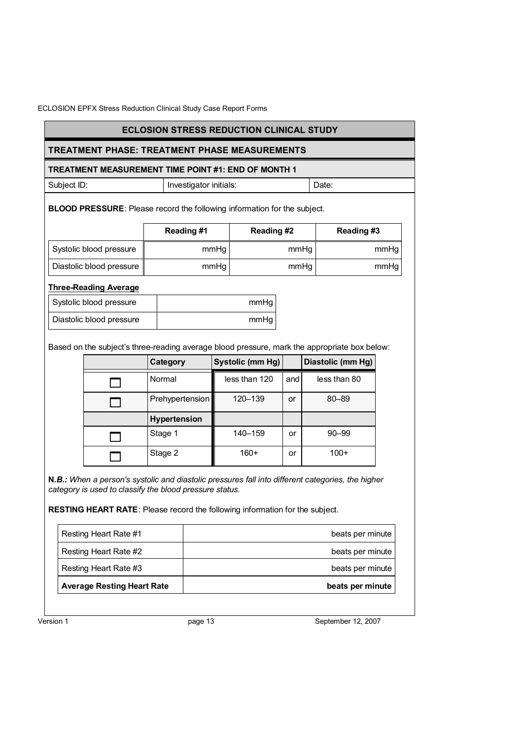## **ECLOSION STRESS REDUCTION CLINICAL STUDY**

## **TREATMENT PHASE: TREATMENT PHASE MEASUREMENTS**

### **TREATMENT MEASUREMENT TIME POINT #1: END OF MONTH 1**

| Subject ID: | Investigator initials: | Date: |
|-------------|------------------------|-------|
|             |                        |       |

**BLOOD PRESSURE**: Please record the following information for the subject.

|                          | Reading#1 | Reading #2 | Reading#3 |
|--------------------------|-----------|------------|-----------|
| Systolic blood pressure  | mmHg      | mmHq       | mmHg      |
| Diastolic blood pressure | mmHq      | mmHq       | mmHg      |

### **Three-Reading Average**

| Systolic blood pressure  | mmHq |
|--------------------------|------|
| Diastolic blood pressure | mmHq |

Based on the subject's three-reading average blood pressure, mark the appropriate box below:

| Category            | Systolic (mm Hg) |     | Diastolic (mm Hg) |
|---------------------|------------------|-----|-------------------|
| Normal              | less than 120    | and | less than 80      |
| Prehypertension     | 120-139          | or  | $80 - 89$         |
| <b>Hypertension</b> |                  |     |                   |
| Stage 1             | 140-159          | or  | $90 - 99$         |
| Stage 2             | $160+$           | or  | $100+$            |

**N***.B.: When a person's systolic and diastolic pressures fall into different categories, the higher category is used to classify the blood pressure status.* 

**RESTING HEART RATE**: Please record the following information for the subject.

| Resting Heart Rate #1             | beats per minute |
|-----------------------------------|------------------|
| Resting Heart Rate #2             | beats per minute |
| Resting Heart Rate #3             | beats per minute |
| <b>Average Resting Heart Rate</b> | beats per minute |

Version 1 **big 12, 2007 page 13 big 12, 2007 September 12, 2007**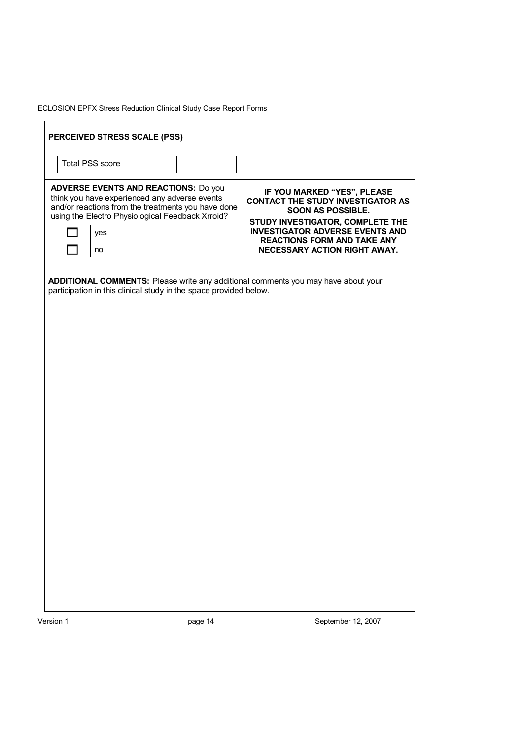| yes<br>no | <b>ADVERSE EVENTS AND REACTIONS: Do you</b><br>think you have experienced any adverse events<br>and/or reactions from the treatments you have done<br>using the Electro Physiological Feedback Xrroid? | IF YOU MARKED "YES", PLEASE<br><b>CONTACT THE STUDY INVESTIGATOR AS</b><br><b>SOON AS POSSIBLE.</b><br>STUDY INVESTIGATOR, COMPLETE THE<br><b>INVESTIGATOR ADVERSE EVENTS AND</b><br><b>REACTIONS FORM AND TAKE ANY</b><br>NECESSARY ACTION RIGHT AWAY. |
|-----------|--------------------------------------------------------------------------------------------------------------------------------------------------------------------------------------------------------|---------------------------------------------------------------------------------------------------------------------------------------------------------------------------------------------------------------------------------------------------------|
|           |                                                                                                                                                                                                        |                                                                                                                                                                                                                                                         |
|           | participation in this clinical study in the space provided below.                                                                                                                                      | ADDITIONAL COMMENTS: Please write any additional comments you may have about your                                                                                                                                                                       |
|           |                                                                                                                                                                                                        |                                                                                                                                                                                                                                                         |
|           |                                                                                                                                                                                                        |                                                                                                                                                                                                                                                         |
|           |                                                                                                                                                                                                        |                                                                                                                                                                                                                                                         |
|           |                                                                                                                                                                                                        |                                                                                                                                                                                                                                                         |
|           |                                                                                                                                                                                                        |                                                                                                                                                                                                                                                         |
|           |                                                                                                                                                                                                        |                                                                                                                                                                                                                                                         |
|           |                                                                                                                                                                                                        |                                                                                                                                                                                                                                                         |
|           |                                                                                                                                                                                                        |                                                                                                                                                                                                                                                         |
|           |                                                                                                                                                                                                        |                                                                                                                                                                                                                                                         |
|           |                                                                                                                                                                                                        |                                                                                                                                                                                                                                                         |
|           |                                                                                                                                                                                                        |                                                                                                                                                                                                                                                         |
|           |                                                                                                                                                                                                        |                                                                                                                                                                                                                                                         |
|           |                                                                                                                                                                                                        |                                                                                                                                                                                                                                                         |
|           |                                                                                                                                                                                                        |                                                                                                                                                                                                                                                         |
|           |                                                                                                                                                                                                        |                                                                                                                                                                                                                                                         |
|           |                                                                                                                                                                                                        |                                                                                                                                                                                                                                                         |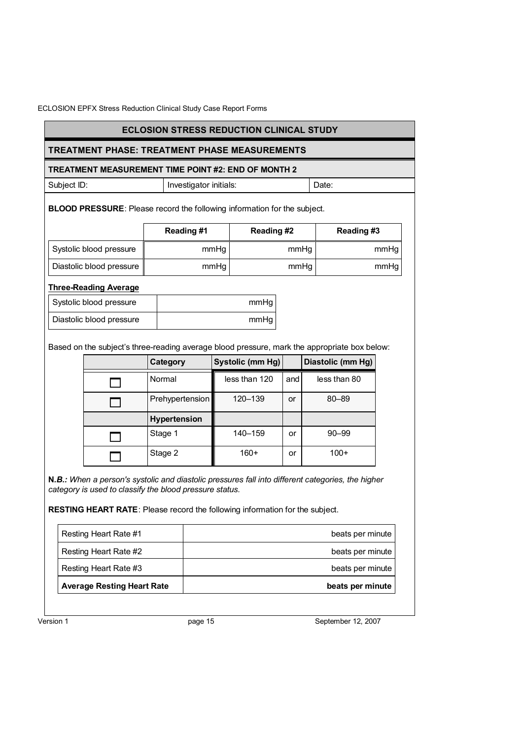## **ECLOSION STRESS REDUCTION CLINICAL STUDY**

## **TREATMENT PHASE: TREATMENT PHASE MEASUREMENTS**

### **TREATMENT MEASUREMENT TIME POINT #2: END OF MONTH 2**

| Subject ID:<br>Investigator initials:<br>Date: |  |
|------------------------------------------------|--|
|------------------------------------------------|--|

**BLOOD PRESSURE**: Please record the following information for the subject.

|                          | Reading#1 | Reading #2 | Reading#3 |
|--------------------------|-----------|------------|-----------|
| Systolic blood pressure  | mmHg      | mmHq       | mmHg      |
| Diastolic blood pressure | mmHq      | mmHq       | mmHg      |

### **Three-Reading Average**

| Systolic blood pressure  | mmHq |
|--------------------------|------|
| Diastolic blood pressure | mmHq |

Based on the subject's three-reading average blood pressure, mark the appropriate box below:

| Category            | Systolic (mm Hg) |     | Diastolic (mm Hg) |
|---------------------|------------------|-----|-------------------|
| Normal              | less than 120    | and | less than 80      |
| Prehypertension     | 120-139          | or  | 80-89             |
| <b>Hypertension</b> |                  |     |                   |
| Stage 1             | 140-159          | or  | $90 - 99$         |
| Stage 2             | $160+$           | or  | $100+$            |

**N***.B.: When a person's systolic and diastolic pressures fall into different categories, the higher category is used to classify the blood pressure status.* 

**RESTING HEART RATE**: Please record the following information for the subject.

| <b>Average Resting Heart Rate</b> | beats per minute |
|-----------------------------------|------------------|
| Resting Heart Rate #3             | beats per minute |
| Resting Heart Rate #2             | beats per minute |
| Resting Heart Rate #1             | beats per minute |

Version 1 **big 12, 2007 page 15** September 12, 2007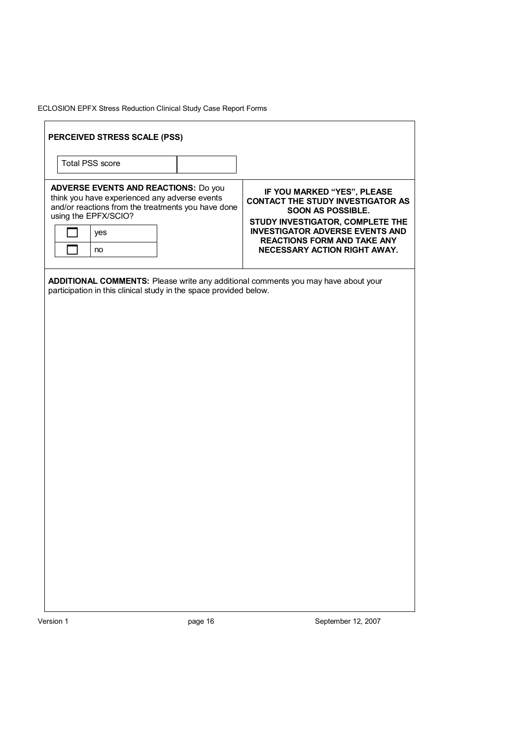| <b>ADVERSE EVENTS AND REACTIONS: Do you</b><br>IF YOU MARKED "YES", PLEASE<br>think you have experienced any adverse events<br><b>CONTACT THE STUDY INVESTIGATOR AS</b><br>and/or reactions from the treatments you have done<br>SOON AS POSSIBLE.<br>using the EPFX/SCIO?<br>STUDY INVESTIGATOR, COMPLETE THE<br><b>INVESTIGATOR ADVERSE EVENTS AND</b><br>yes<br><b>REACTIONS FORM AND TAKE ANY</b><br>NECESSARY ACTION RIGHT AWAY.<br>no<br>ADDITIONAL COMMENTS: Please write any additional comments you may have about your<br>participation in this clinical study in the space provided below. |                        |  |  |
|-------------------------------------------------------------------------------------------------------------------------------------------------------------------------------------------------------------------------------------------------------------------------------------------------------------------------------------------------------------------------------------------------------------------------------------------------------------------------------------------------------------------------------------------------------------------------------------------------------|------------------------|--|--|
|                                                                                                                                                                                                                                                                                                                                                                                                                                                                                                                                                                                                       |                        |  |  |
|                                                                                                                                                                                                                                                                                                                                                                                                                                                                                                                                                                                                       |                        |  |  |
|                                                                                                                                                                                                                                                                                                                                                                                                                                                                                                                                                                                                       |                        |  |  |
|                                                                                                                                                                                                                                                                                                                                                                                                                                                                                                                                                                                                       |                        |  |  |
|                                                                                                                                                                                                                                                                                                                                                                                                                                                                                                                                                                                                       |                        |  |  |
|                                                                                                                                                                                                                                                                                                                                                                                                                                                                                                                                                                                                       |                        |  |  |
|                                                                                                                                                                                                                                                                                                                                                                                                                                                                                                                                                                                                       |                        |  |  |
|                                                                                                                                                                                                                                                                                                                                                                                                                                                                                                                                                                                                       |                        |  |  |
|                                                                                                                                                                                                                                                                                                                                                                                                                                                                                                                                                                                                       |                        |  |  |
|                                                                                                                                                                                                                                                                                                                                                                                                                                                                                                                                                                                                       | <b>Total PSS score</b> |  |  |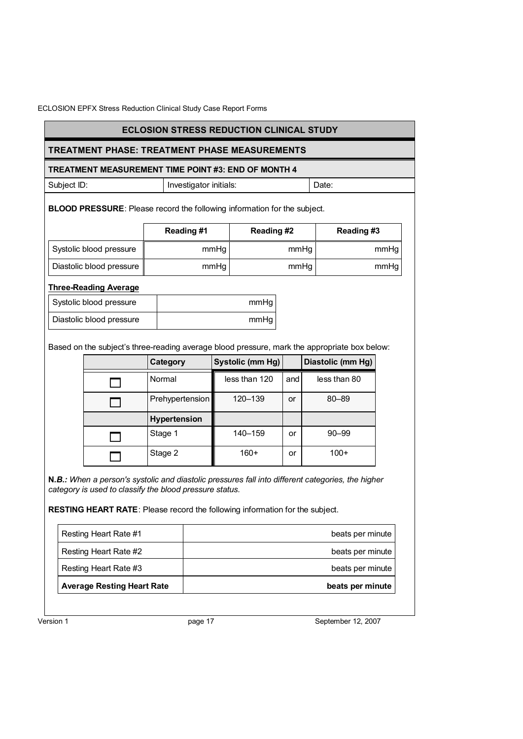## **ECLOSION STRESS REDUCTION CLINICAL STUDY**

## **TREATMENT PHASE: TREATMENT PHASE MEASUREMENTS**

### **TREATMENT MEASUREMENT TIME POINT #3: END OF MONTH 4**

| Subject ID: | Investigator initials: | Date: |
|-------------|------------------------|-------|
|-------------|------------------------|-------|

**BLOOD PRESSURE**: Please record the following information for the subject.

|                          | Reading#1 | Reading #2 | Reading#3 |
|--------------------------|-----------|------------|-----------|
| Systolic blood pressure  | mmHg      | mmHq       | mmHg      |
| Diastolic blood pressure | mmHq      | mmHq       | mmHg      |

### **Three-Reading Average**

| Systolic blood pressure  | mmHq |
|--------------------------|------|
| Diastolic blood pressure | mmHq |

Based on the subject's three-reading average blood pressure, mark the appropriate box below:

| Category            | Systolic (mm Hg) |     | Diastolic (mm Hg) |
|---------------------|------------------|-----|-------------------|
| Normal              | less than 120    | and | less than 80      |
| Prehypertension     | 120-139          | or  | 80-89             |
| <b>Hypertension</b> |                  |     |                   |
| Stage 1             | 140-159          | or  | $90 - 99$         |
| Stage 2             | $160+$           | or  | $100+$            |

**N***.B.: When a person's systolic and diastolic pressures fall into different categories, the higher category is used to classify the blood pressure status.* 

**RESTING HEART RATE**: Please record the following information for the subject.

| Resting Heart Rate #1             | beats per minute |
|-----------------------------------|------------------|
| Resting Heart Rate #2             | beats per minute |
| Resting Heart Rate #3             | beats per minute |
| <b>Average Resting Heart Rate</b> | beats per minute |

Version 1 **big 17** bagge 17 **page 17** between 12, 2007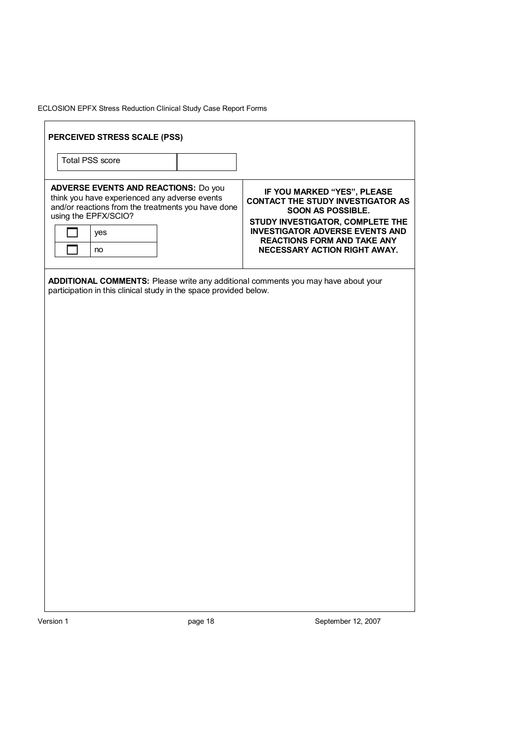|                      | <b>REACTIONS FORM AND TAKE ANY</b><br>NECESSARY ACTION RIGHT AWAY.                                                                                                                                                                                                                                           |
|----------------------|--------------------------------------------------------------------------------------------------------------------------------------------------------------------------------------------------------------------------------------------------------------------------------------------------------------|
|                      | STUDY INVESTIGATOR, COMPLETE THE<br><b>INVESTIGATOR ADVERSE EVENTS AND</b>                                                                                                                                                                                                                                   |
|                      | IF YOU MARKED "YES", PLEASE<br><b>CONTACT THE STUDY INVESTIGATOR AS</b><br>SOON AS POSSIBLE.                                                                                                                                                                                                                 |
|                      |                                                                                                                                                                                                                                                                                                              |
|                      |                                                                                                                                                                                                                                                                                                              |
| using the EPFX/SCIO? | <b>ADVERSE EVENTS AND REACTIONS: Do you</b><br>think you have experienced any adverse events<br>and/or reactions from the treatments you have done<br>ADDITIONAL COMMENTS: Please write any additional comments you may have about your<br>participation in this clinical study in the space provided below. |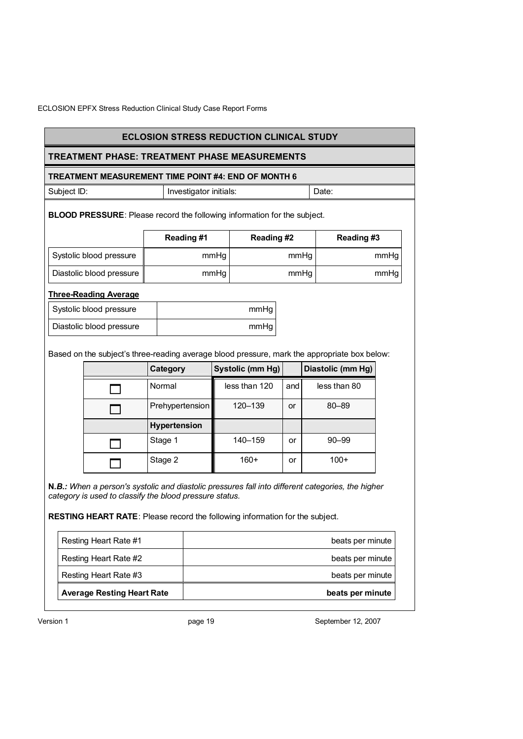## **TREATMENT PHASE: TREATMENT PHASE MEASUREMENTS**

### **TREATMENT MEASUREMENT TIME POINT #4: END OF MONTH 6**

| Subject ID: | Investigator initials: | Date: |
|-------------|------------------------|-------|
|             |                        |       |

**BLOOD PRESSURE**: Please record the following information for the subject.

|                          | Reading#1 | Reading #2 | Reading #3 |
|--------------------------|-----------|------------|------------|
| Systolic blood pressure  | mmHg      | mmHg       | mmHg       |
| Diastolic blood pressure | mmHg      | mmHg       | mmHg       |

## **Three-Reading Average**

| Systolic blood pressure  | mmHq |
|--------------------------|------|
| Diastolic blood pressure | mmHa |

Based on the subject's three-reading average blood pressure, mark the appropriate box below:

| Category            | Systolic (mm Hg) |     | Diastolic (mm Hg) |
|---------------------|------------------|-----|-------------------|
| Normal              | less than 120    | and | less than 80      |
| Prehypertension     | 120-139          | or  | 80-89             |
| <b>Hypertension</b> |                  |     |                   |
| Stage 1             | 140-159          | or  | $90 - 99$         |
| Stage 2             | $160+$           | or  | $100+$            |

**N***.B.: When a person's systolic and diastolic pressures fall into different categories, the higher category is used to classify the blood pressure status.* 

**RESTING HEART RATE**: Please record the following information for the subject.

| <b>Average Resting Heart Rate</b> | beats per minute |
|-----------------------------------|------------------|
| Resting Heart Rate #3             | beats per minute |
| Resting Heart Rate #2             | beats per minute |
| Resting Heart Rate #1             | beats per minute |

Version 1 **big 19** between 12, 2007 between 12, 2007 between 12, 2007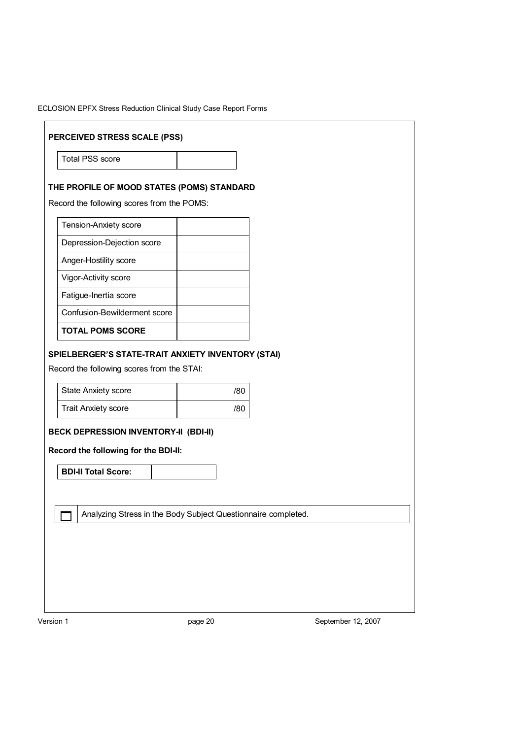|  | ECLOSION EPFX Stress Reduction Clinical Study Case Report Forms |  |
|--|-----------------------------------------------------------------|--|
|  |                                                                 |  |

| PERCEIVED STRESS SCALE (PSS)<br><b>Total PSS score</b>                                                                      |     |  |  |
|-----------------------------------------------------------------------------------------------------------------------------|-----|--|--|
|                                                                                                                             |     |  |  |
| THE PROFILE OF MOOD STATES (POMS) STANDARD                                                                                  |     |  |  |
| Record the following scores from the POMS:                                                                                  |     |  |  |
| Tension-Anxiety score                                                                                                       |     |  |  |
| Depression-Dejection score                                                                                                  |     |  |  |
| Anger-Hostility score                                                                                                       |     |  |  |
| Vigor-Activity score                                                                                                        |     |  |  |
| Fatigue-Inertia score                                                                                                       |     |  |  |
| Confusion-Bewilderment score                                                                                                |     |  |  |
|                                                                                                                             |     |  |  |
| <b>TOTAL POMS SCORE</b><br>SPIELBERGER'S STATE-TRAIT ANXIETY INVENTORY (STAI)<br>Record the following scores from the STAI: |     |  |  |
|                                                                                                                             |     |  |  |
| <b>State Anxiety score</b>                                                                                                  | /80 |  |  |
| <b>Trait Anxiety score</b>                                                                                                  | /80 |  |  |
| <b>BECK DEPRESSION INVENTORY-II (BDI-II)</b>                                                                                |     |  |  |
| Record the following for the BDI-II:                                                                                        |     |  |  |
| <b>BDI-II Total Score:</b>                                                                                                  |     |  |  |
|                                                                                                                             |     |  |  |
|                                                                                                                             |     |  |  |
| Analyzing Stress in the Body Subject Questionnaire completed.                                                               |     |  |  |
|                                                                                                                             |     |  |  |
|                                                                                                                             |     |  |  |
|                                                                                                                             |     |  |  |

Version 1 **page 20** Provide 20 September 12, 2007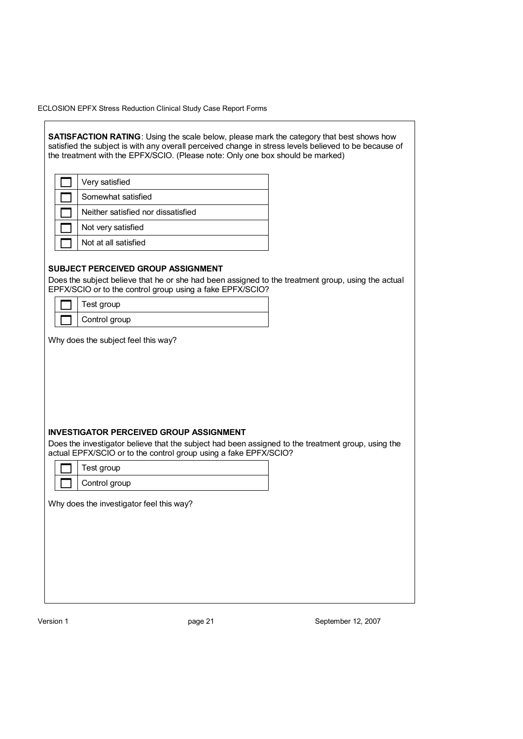**SATISFACTION RATING**: Using the scale below, please mark the category that best shows how satisfied the subject is with any overall perceived change in stress levels believed to be because of the treatment with the EPFX/SCIO. (Please note: Only one box should be marked)

| Very satisfied                     |
|------------------------------------|
| Somewhat satisfied                 |
| Neither satisfied nor dissatisfied |
| Not very satisfied                 |
| Not at all satisfied               |

#### **SUBJECT PERCEIVED GROUP ASSIGNMENT**

Does the subject believe that he or she had been assigned to the treatment group, using the actual EPFX/SCIO or to the control group using a fake EPFX/SCIO?

| Test group    |
|---------------|
| Control group |

Why does the subject feel this way?

### **INVESTIGATOR PERCEIVED GROUP ASSIGNMENT**

Does the investigator believe that the subject had been assigned to the treatment group, using the actual EPFX/SCIO or to the control group using a fake EPFX/SCIO?

| Test group    |
|---------------|
| Control group |

Why does the investigator feel this way?

Version 1 **big and September 12, 2007 big page 21** September 12, 2007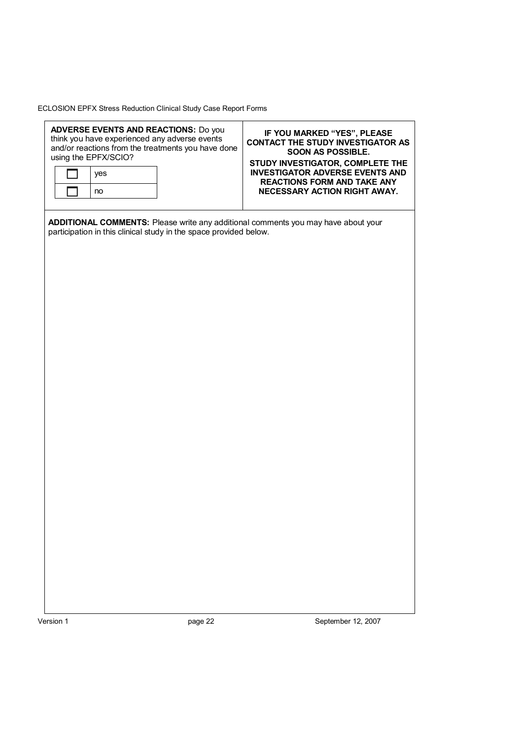| September 12, 2007                                                                |
|-----------------------------------------------------------------------------------|
|                                                                                   |
|                                                                                   |
|                                                                                   |
|                                                                                   |
|                                                                                   |
|                                                                                   |
|                                                                                   |
|                                                                                   |
|                                                                                   |
|                                                                                   |
|                                                                                   |
|                                                                                   |
|                                                                                   |
|                                                                                   |
|                                                                                   |
|                                                                                   |
|                                                                                   |
|                                                                                   |
|                                                                                   |
|                                                                                   |
|                                                                                   |
|                                                                                   |
|                                                                                   |
|                                                                                   |
|                                                                                   |
|                                                                                   |
|                                                                                   |
|                                                                                   |
|                                                                                   |
|                                                                                   |
|                                                                                   |
|                                                                                   |
|                                                                                   |
|                                                                                   |
|                                                                                   |
|                                                                                   |
|                                                                                   |
|                                                                                   |
| participation in this clinical study in the space provided below.                 |
| ADDITIONAL COMMENTS: Please write any additional comments you may have about your |
|                                                                                   |
|                                                                                   |
| NECESSARY ACTION RIGHT AWAY.                                                      |
| <b>REACTIONS FORM AND TAKE ANY</b>                                                |
| STUDY INVESTIGATOR, COMPLETE THE<br><b>INVESTIGATOR ADVERSE EVENTS AND</b>        |
| SOON AS POSSIBLE.                                                                 |
| <b>CONTACT THE STUDY INVESTIGATOR AS</b>                                          |
| IF YOU MARKED "YES", PLEASE                                                       |
|                                                                                   |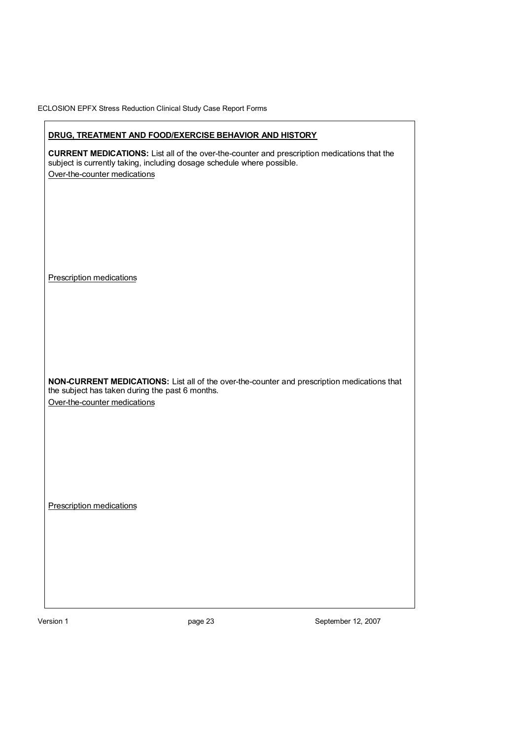| Prescription medications                        |                                                                        |                                                                                                    |
|-------------------------------------------------|------------------------------------------------------------------------|----------------------------------------------------------------------------------------------------|
|                                                 |                                                                        |                                                                                                    |
|                                                 |                                                                        |                                                                                                    |
|                                                 |                                                                        |                                                                                                    |
|                                                 |                                                                        |                                                                                                    |
| Over-the-counter medications                    |                                                                        |                                                                                                    |
| the subject has taken during the past 6 months. |                                                                        | NON-CURRENT MEDICATIONS: List all of the over-the-counter and prescription medications that        |
|                                                 |                                                                        |                                                                                                    |
|                                                 |                                                                        |                                                                                                    |
|                                                 |                                                                        |                                                                                                    |
|                                                 |                                                                        |                                                                                                    |
| <b>Prescription medications</b>                 |                                                                        |                                                                                                    |
|                                                 |                                                                        |                                                                                                    |
|                                                 |                                                                        |                                                                                                    |
|                                                 |                                                                        |                                                                                                    |
|                                                 |                                                                        |                                                                                                    |
| Over-the-counter medications                    |                                                                        |                                                                                                    |
|                                                 | subject is currently taking, including dosage schedule where possible. |                                                                                                    |
|                                                 |                                                                        | <b>CURRENT MEDICATIONS:</b> List all of the over-the-counter and prescription medications that the |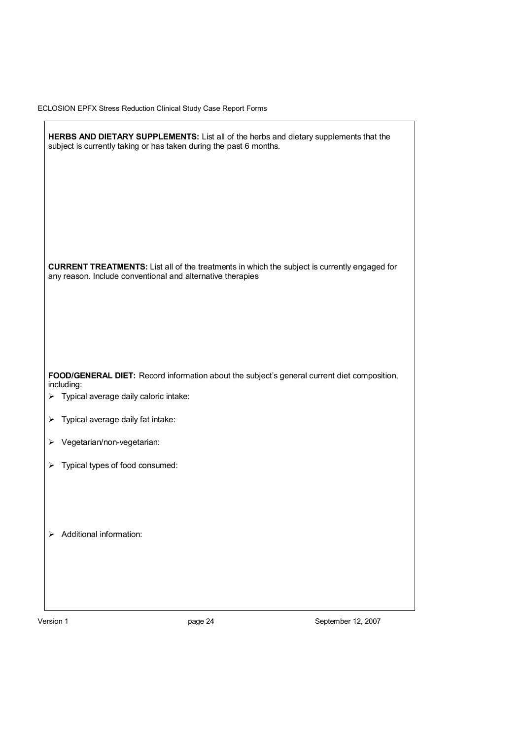|        | HERBS AND DIETARY SUPPLEMENTS: List all of the herbs and dietary supplements that the<br>subject is currently taking or has taken during the past 6 months.       |
|--------|-------------------------------------------------------------------------------------------------------------------------------------------------------------------|
|        | <b>CURRENT TREATMENTS:</b> List all of the treatments in which the subject is currently engaged for<br>any reason. Include conventional and alternative therapies |
|        | FOOD/GENERAL DIET: Record information about the subject's general current diet composition,<br>including:<br>> Typical average daily caloric intake:              |
| ⋗<br>⋗ | Typical average daily fat intake:<br>Vegetarian/non-vegetarian:                                                                                                   |
| ⋗      | Typical types of food consumed:                                                                                                                                   |
|        | $\triangleright$ Additional information:                                                                                                                          |

Version 1 **page 24** Proposed 24 September 12, 2007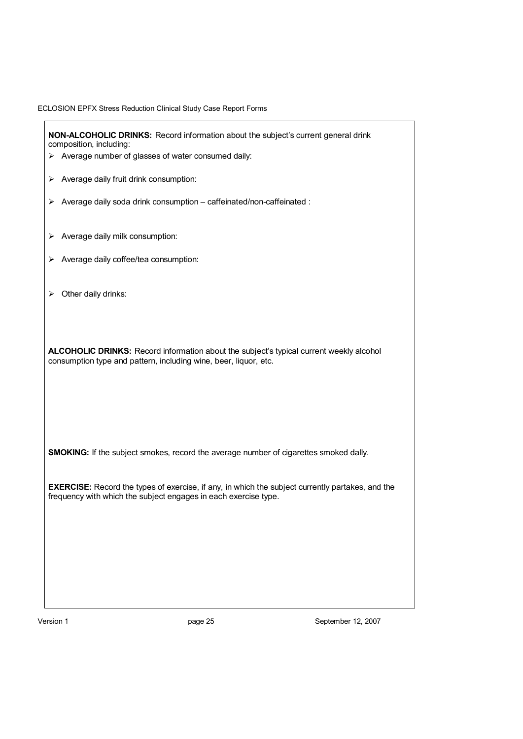**NON-ALCOHOLIC DRINKS:** Record information about the subject's current general drink composition, including:  $\triangleright$  Average number of glasses of water consumed daily:  $\triangleright$  Average daily fruit drink consumption:  $\triangleright$  Average daily soda drink consumption – caffeinated/non-caffeinated :  $\triangleright$  Average daily milk consumption:  $\triangleright$  Average daily coffee/tea consumption:  $\triangleright$  Other daily drinks: **ALCOHOLIC DRINKS:** Record information about the subject's typical current weekly alcohol consumption type and pattern, including wine, beer, liquor, etc. **SMOKING:** If the subject smokes, record the average number of cigarettes smoked dally. **EXERCISE:** Record the types of exercise, if any, in which the subject currently partakes, and the frequency with which the subject engages in each exercise type.

Version 1 **base 12, 2007** September 12, 2007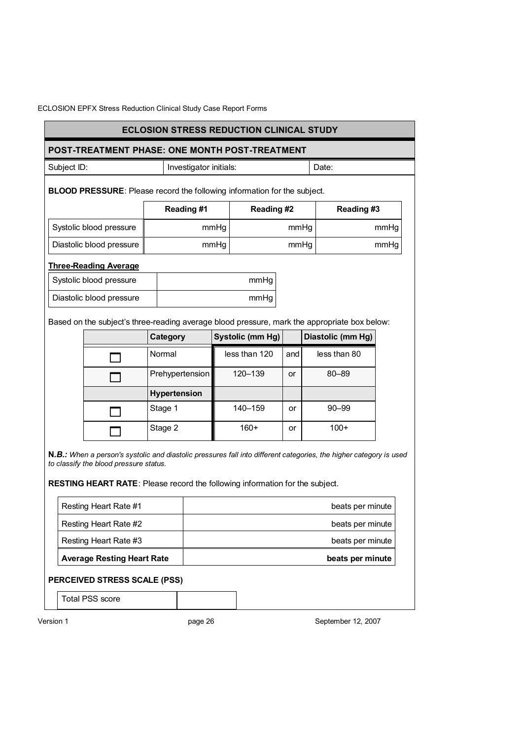# **ECLOSION STRESS REDUCTION CLINICAL STUDY**

#### **POST-TREATMENT PHASE: ONE MONTH POST-TREATMENT**

Subject ID: **Investigator initials:** Date:

**BLOOD PRESSURE**: Please record the following information for the subject.

|                          | Reading#1 | Reading#2 | Reading #3 |
|--------------------------|-----------|-----------|------------|
| Systolic blood pressure  | mmHq      | mmHq      | mmHg       |
| Diastolic blood pressure | mmHg      | mmHq      | mmHg       |

#### **Three-Reading Average**

| Systolic blood pressure  | mmHa |
|--------------------------|------|
| Diastolic blood pressure | mmHa |

Based on the subject's three-reading average blood pressure, mark the appropriate box below:

| Category            | Systolic (mm Hg) |     | Diastolic (mm Hg) |
|---------------------|------------------|-----|-------------------|
| Normal              | less than 120    | and | less than 80      |
| Prehypertension     | 120-139          | or  | $80 - 89$         |
| <b>Hypertension</b> |                  |     |                   |
| Stage 1             | 140-159          | or  | $90 - 99$         |
| Stage 2             | $160+$           | or  | $100+$            |

**N***.B.: When a person's systolic and diastolic pressures fall into different categories, the higher category is used to classify the blood pressure status.* 

**RESTING HEART RATE**: Please record the following information for the subject.

| Resting Heart Rate #1             | beats per minute |
|-----------------------------------|------------------|
| Resting Heart Rate #2             | beats per minute |
| Resting Heart Rate #3             | beats per minute |
| <b>Average Resting Heart Rate</b> | beats per minute |

### **PERCEIVED STRESS SCALE (PSS)**

Total PSS score

Version 1 **big 12, 2007** bagge 26 **September 12, 2007**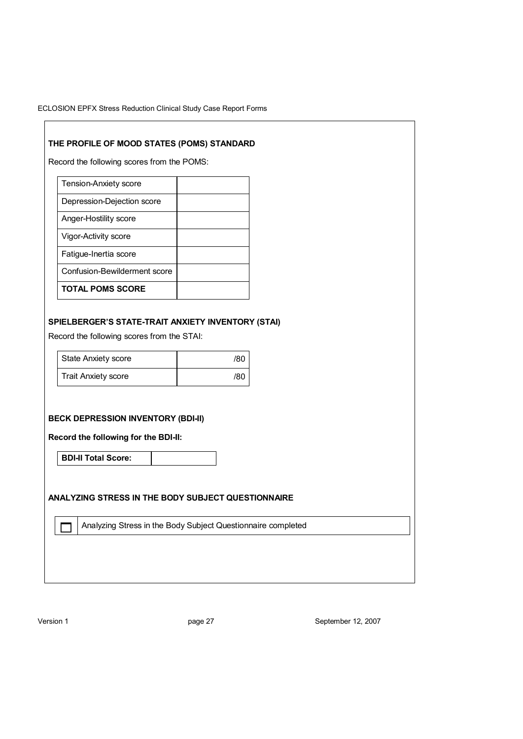# **THE PROFILE OF MOOD STATES (POMS) STANDARD**

Record the following scores from the POMS:

| <b>Tension-Anxiety score</b> |  |
|------------------------------|--|
| Depression-Dejection score   |  |
| Anger-Hostility score        |  |
| Vigor-Activity score         |  |
| Fatigue-Inertia score        |  |
| Confusion-Bewilderment score |  |
| <b>TOTAL POMS SCORE</b>      |  |

## **SPIELBERGER'S STATE-TRAIT ANXIETY INVENTORY (STAI)**

Record the following scores from the STAI:

| State Anxiety score        | /80 |
|----------------------------|-----|
| <b>Trait Anxiety score</b> | /80 |

## **BECK DEPRESSION INVENTORY (BDI-II)**

**Record the following for the BDI-II:** 

**BDI-II Total Score:** 

## **ANALYZING STRESS IN THE BODY SUBJECT QUESTIONNAIRE**

Analyzing Stress in the Body Subject Questionnaire completed

Version 1 **page 27** Product by Deptember 12, 2007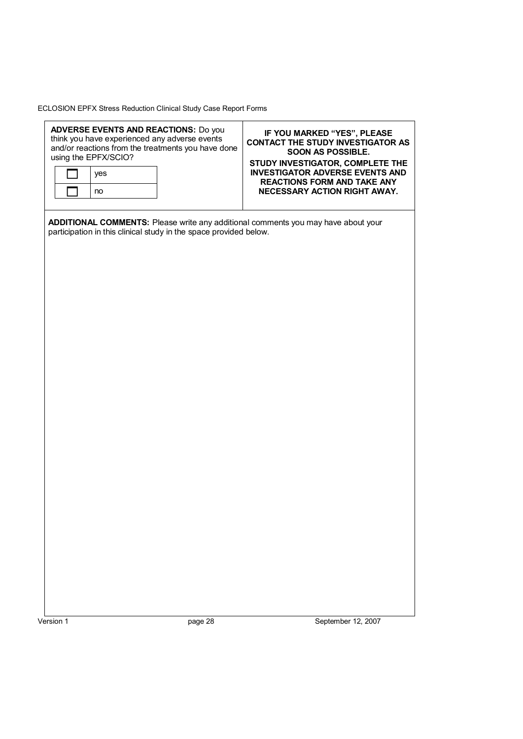|           | using the EPFX/SCIO?<br>yes<br>no | <b>ADVERSE EVENTS AND REACTIONS: Do you</b><br>think you have experienced any adverse events<br>and/or reactions from the treatments you have done | IF YOU MARKED "YES", PLEASE<br><b>CONTACT THE STUDY INVESTIGATOR AS</b><br><b>SOON AS POSSIBLE.</b><br>STUDY INVESTIGATOR, COMPLETE THE<br><b>INVESTIGATOR ADVERSE EVENTS AND</b><br><b>REACTIONS FORM AND TAKE ANY</b><br>NECESSARY ACTION RIGHT AWAY. |                    |
|-----------|-----------------------------------|----------------------------------------------------------------------------------------------------------------------------------------------------|---------------------------------------------------------------------------------------------------------------------------------------------------------------------------------------------------------------------------------------------------------|--------------------|
|           |                                   | participation in this clinical study in the space provided below.                                                                                  | ADDITIONAL COMMENTS: Please write any additional comments you may have about your                                                                                                                                                                       |                    |
|           |                                   |                                                                                                                                                    |                                                                                                                                                                                                                                                         |                    |
|           |                                   |                                                                                                                                                    |                                                                                                                                                                                                                                                         |                    |
|           |                                   |                                                                                                                                                    |                                                                                                                                                                                                                                                         |                    |
|           |                                   |                                                                                                                                                    |                                                                                                                                                                                                                                                         |                    |
| Version 1 |                                   | page 28                                                                                                                                            |                                                                                                                                                                                                                                                         | September 12, 2007 |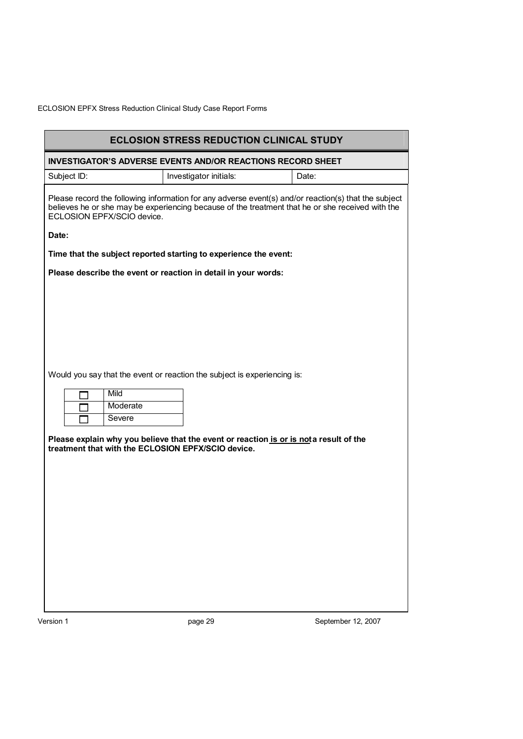| <b>ECLOSION STRESS REDUCTION CLINICAL STUDY</b>                                                                                                                                                                                        |                                                                                        |       |  |  |
|----------------------------------------------------------------------------------------------------------------------------------------------------------------------------------------------------------------------------------------|----------------------------------------------------------------------------------------|-------|--|--|
| <b>INVESTIGATOR'S ADVERSE EVENTS AND/OR REACTIONS RECORD SHEET</b>                                                                                                                                                                     |                                                                                        |       |  |  |
| Subject ID:                                                                                                                                                                                                                            | Investigator initials:                                                                 | Date: |  |  |
| Please record the following information for any adverse event(s) and/or reaction(s) that the subject<br>believes he or she may be experiencing because of the treatment that he or she received with the<br>ECLOSION EPFX/SCIO device. |                                                                                        |       |  |  |
| Date:                                                                                                                                                                                                                                  |                                                                                        |       |  |  |
|                                                                                                                                                                                                                                        | Time that the subject reported starting to experience the event:                       |       |  |  |
|                                                                                                                                                                                                                                        | Please describe the event or reaction in detail in your words:                         |       |  |  |
|                                                                                                                                                                                                                                        |                                                                                        |       |  |  |
|                                                                                                                                                                                                                                        |                                                                                        |       |  |  |
|                                                                                                                                                                                                                                        |                                                                                        |       |  |  |
|                                                                                                                                                                                                                                        |                                                                                        |       |  |  |
|                                                                                                                                                                                                                                        |                                                                                        |       |  |  |
|                                                                                                                                                                                                                                        | Would you say that the event or reaction the subject is experiencing is:               |       |  |  |
| Mild                                                                                                                                                                                                                                   |                                                                                        |       |  |  |
| Moderate<br>Severe                                                                                                                                                                                                                     |                                                                                        |       |  |  |
|                                                                                                                                                                                                                                        |                                                                                        |       |  |  |
| treatment that with the ECLOSION EPFX/SCIO device.                                                                                                                                                                                     | Please explain why you believe that the event or reaction is or is not a result of the |       |  |  |
|                                                                                                                                                                                                                                        |                                                                                        |       |  |  |
|                                                                                                                                                                                                                                        |                                                                                        |       |  |  |
|                                                                                                                                                                                                                                        |                                                                                        |       |  |  |
|                                                                                                                                                                                                                                        |                                                                                        |       |  |  |
|                                                                                                                                                                                                                                        |                                                                                        |       |  |  |
|                                                                                                                                                                                                                                        |                                                                                        |       |  |  |
|                                                                                                                                                                                                                                        |                                                                                        |       |  |  |
|                                                                                                                                                                                                                                        |                                                                                        |       |  |  |
|                                                                                                                                                                                                                                        |                                                                                        |       |  |  |
|                                                                                                                                                                                                                                        |                                                                                        |       |  |  |

Version 1 **page 29** Product 2, 2007